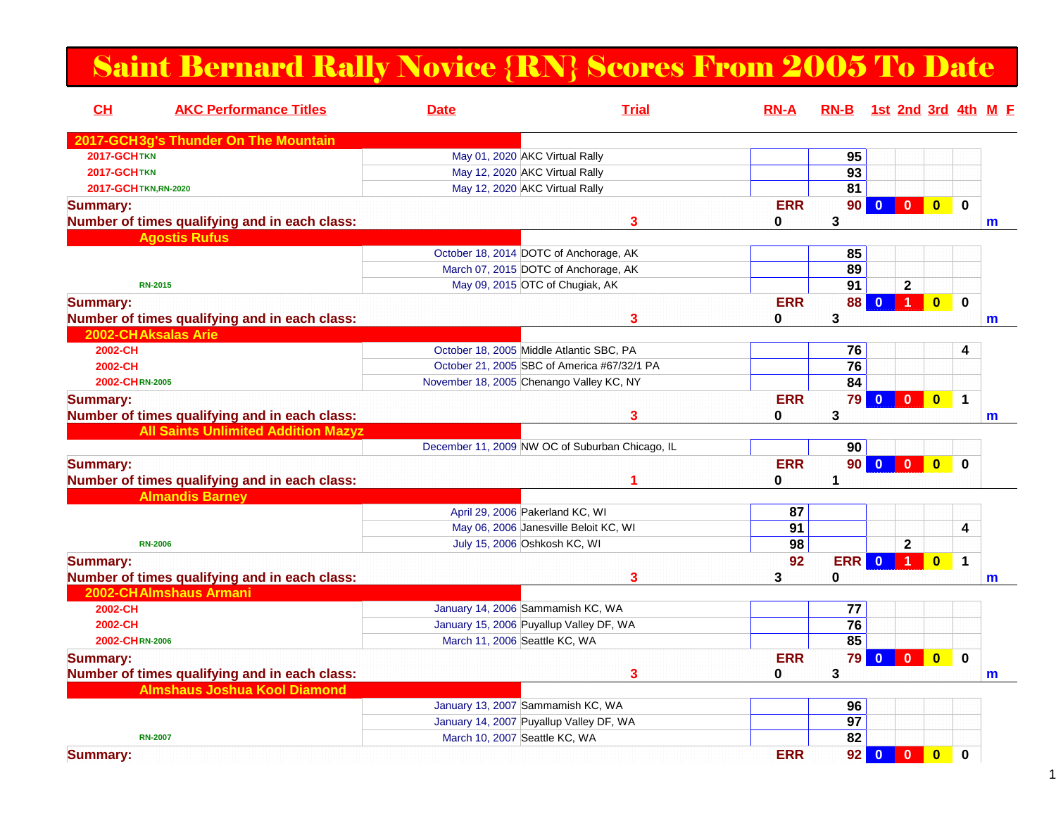## Saint Bernard Rally Novice {RN} Scores From 2005 To Date

| <b>AKC Performance Titles</b><br>CH           | <b>Date</b>                              | <b>Trial</b>                                    | $RN-A$     |                 | RN-B 1st 2nd 3rd 4th M E                           |                         |             |   |
|-----------------------------------------------|------------------------------------------|-------------------------------------------------|------------|-----------------|----------------------------------------------------|-------------------------|-------------|---|
| 2017-GCH3g's Thunder On The Mountain          |                                          |                                                 |            |                 |                                                    |                         |             |   |
| 2017-GCHTKN                                   | May 01, 2020 AKC Virtual Rally           |                                                 |            | 95              |                                                    |                         |             |   |
| <b>2017-GCHTKN</b>                            | May 12, 2020 AKC Virtual Rally           |                                                 |            | $\overline{93}$ |                                                    |                         |             |   |
| 2017-GCHTKN,RN-2020                           | May 12, 2020 AKC Virtual Rally           |                                                 |            | 81              |                                                    |                         |             |   |
| <b>Summary:</b>                               |                                          |                                                 | <b>ERR</b> | 90 <sub>1</sub> |                                                    | $\overline{\mathbf{0}}$ | $\bf{0}$    |   |
| Number of times qualifying and in each class: |                                          | 3                                               | 0          | 3               |                                                    |                         |             | m |
| <b>Agostis Rufus</b>                          |                                          |                                                 |            |                 |                                                    |                         |             |   |
|                                               |                                          | October 18, 2014 DOTC of Anchorage, AK          |            | 85              |                                                    |                         |             |   |
|                                               |                                          | March 07, 2015 DOTC of Anchorage, AK            |            | 89              |                                                    |                         |             |   |
| <b>RN-2015</b>                                |                                          | May 09, 2015 OTC of Chugiak, AK                 |            | 91              | $\mathbf{2}$                                       |                         |             |   |
| <b>Summary:</b>                               |                                          |                                                 | <b>ERR</b> | 88              | $\blacksquare$<br>$\mathbf{0}$                     | $\overline{\mathbf{0}}$ | $\bf{0}$    |   |
| Number of times qualifying and in each class: |                                          | 3                                               | 0          | 3               |                                                    |                         |             | m |
| 2002-CH Aksalas Arie                          |                                          |                                                 |            |                 |                                                    |                         |             |   |
| 2002-CH                                       |                                          | October 18, 2005 Middle Atlantic SBC, PA        |            | 76              |                                                    |                         | 4           |   |
| 2002-CH                                       |                                          | October 21, 2005 SBC of America #67/32/1 PA     |            | 76              |                                                    |                         |             |   |
| 2002-CHRN-2005                                | November 18, 2005 Chenango Valley KC, NY |                                                 |            | 84              |                                                    |                         |             |   |
| <b>Summary:</b>                               |                                          |                                                 | <b>ERR</b> | 79              | $\bullet$<br>$\overline{0}$                        | $\overline{\mathbf{0}}$ | $\mathbf 1$ |   |
| Number of times qualifying and in each class: |                                          | 3                                               | 0          | 3               |                                                    |                         |             | m |
| <b>All Saints Unlimited Addition Mazyz</b>    |                                          |                                                 |            |                 |                                                    |                         |             |   |
|                                               |                                          | December 11, 2009 NW OC of Suburban Chicago, IL |            | 90              |                                                    |                         |             |   |
| <b>Summary:</b>                               |                                          |                                                 | <b>ERR</b> | 90              |                                                    | $\overline{0}$          | $\bf{0}$    |   |
| Number of times qualifying and in each class: |                                          |                                                 | 0          | 1               |                                                    |                         |             |   |
| <b>Almandis Barney</b>                        |                                          |                                                 |            |                 |                                                    |                         |             |   |
|                                               | April 29, 2006 Pakerland KC, WI          |                                                 | 87         |                 |                                                    |                         |             |   |
|                                               |                                          | May 06, 2006 Janesville Beloit KC, WI           | 91         |                 |                                                    |                         | 4           |   |
| <b>RN-2006</b>                                | July 15, 2006 Oshkosh KC, WI             |                                                 | 98         |                 | $\mathbf 2$                                        |                         |             |   |
| <b>Summary:</b>                               |                                          |                                                 | 92         | <b>ERR</b>      | $\mathbf{0}$                                       | $\bf{0}$                | $\mathbf 1$ |   |
| Number of times qualifying and in each class: |                                          | 3                                               | 3          | $\bf{0}$        |                                                    |                         |             | m |
| 2002-CHAlmshaus Armani                        |                                          |                                                 |            |                 |                                                    |                         |             |   |
| 2002-CH                                       | January 14, 2006 Sammamish KC, WA        |                                                 |            | 77              |                                                    |                         |             |   |
| 2002-CH                                       |                                          | January 15, 2006 Puyallup Valley DF, WA         |            | 76              |                                                    |                         |             |   |
| 2002-CHRN-2006                                | March 11, 2006 Seattle KC, WA            |                                                 |            | 85              |                                                    |                         |             |   |
| <b>Summary:</b>                               |                                          |                                                 | <b>ERR</b> | 79              | $\overline{0}$<br>$\mathbf{0}$                     | $\overline{\mathbf{0}}$ | $\bf{0}$    |   |
| Number of times qualifying and in each class: |                                          | 3                                               | 0          | 3               |                                                    |                         |             | m |
| <b>Almshaus Joshua Kool Diamond</b>           |                                          |                                                 |            |                 |                                                    |                         |             |   |
|                                               | January 13, 2007 Sammamish KC, WA        |                                                 |            | 96              |                                                    |                         |             |   |
|                                               |                                          | January 14, 2007 Puyallup Valley DF, WA         |            | 97              |                                                    |                         |             |   |
| <b>RN-2007</b>                                | March 10, 2007 Seattle KC, WA            |                                                 |            | $\overline{82}$ |                                                    |                         |             |   |
| <b>Summary:</b>                               |                                          |                                                 | <b>ERR</b> | 92              | $\overline{\mathbf{0}}$<br>$\overline{\mathbf{0}}$ | $\overline{\mathbf{0}}$ | 0           |   |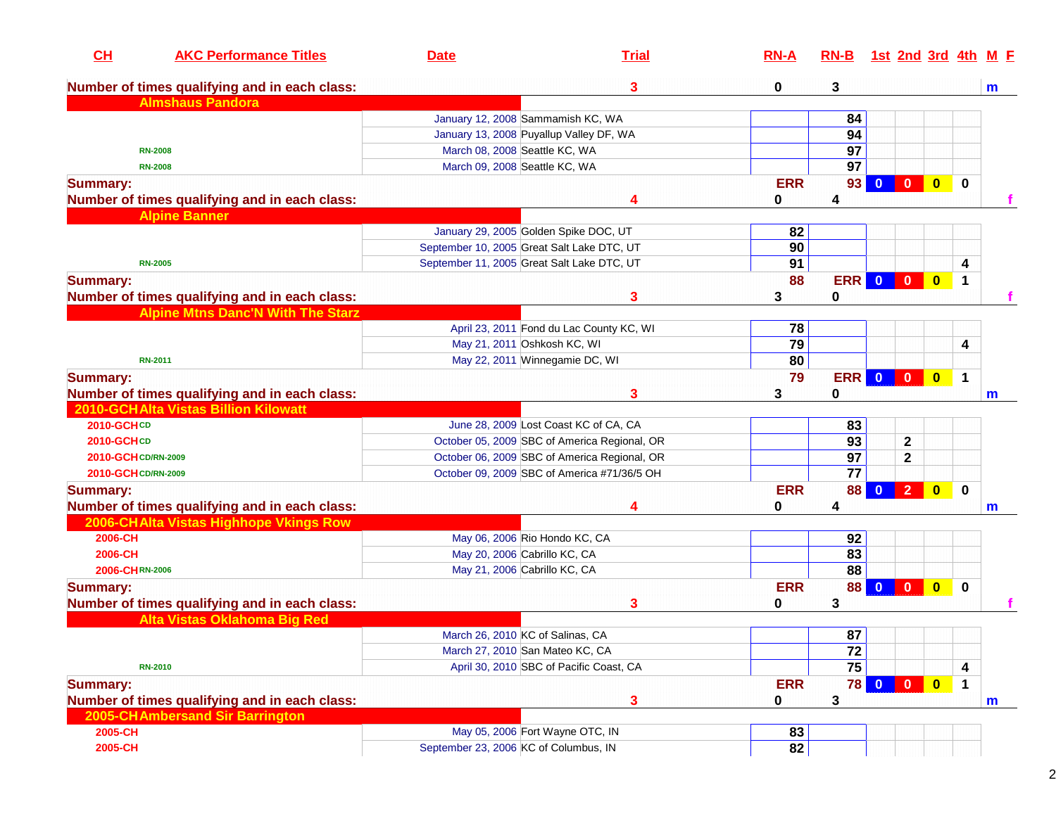| CH                  | <b>AKC Performance Titles</b>                 | <b>Date</b>                                | <b>Trial</b>                                 | $RN-A$     | $RN-B$          |              |                         |                         |             | <u>1st 2nd 3rd 4th M F</u> |
|---------------------|-----------------------------------------------|--------------------------------------------|----------------------------------------------|------------|-----------------|--------------|-------------------------|-------------------------|-------------|----------------------------|
|                     | Number of times qualifying and in each class: |                                            | 3                                            | 0          | 3               |              |                         |                         |             | m                          |
|                     | <b>Almshaus Pandora</b>                       |                                            |                                              |            |                 |              |                         |                         |             |                            |
|                     |                                               | January 12, 2008 Sammamish KC, WA          |                                              |            | 84              |              |                         |                         |             |                            |
|                     |                                               | January 13, 2008 Puyallup Valley DF, WA    |                                              |            | 94              |              |                         |                         |             |                            |
|                     | <b>RN-2008</b>                                | March 08, 2008 Seattle KC, WA              |                                              |            | 97              |              |                         |                         |             |                            |
|                     | <b>RN-2008</b>                                | March 09, 2008 Seattle KC, WA              |                                              |            | 97              |              |                         |                         |             |                            |
| <b>Summary:</b>     |                                               |                                            |                                              | <b>ERR</b> | 93 <sub>1</sub> | $\mathbf{0}$ | $\overline{\mathbf{0}}$ | $\overline{\mathbf{0}}$ | $\mathbf 0$ |                            |
|                     | Number of times qualifying and in each class: |                                            | 4                                            | 0          | 4               |              |                         |                         |             |                            |
|                     | <b>Alpine Banner</b>                          |                                            |                                              |            |                 |              |                         |                         |             |                            |
|                     |                                               | January 29, 2005 Golden Spike DOC, UT      |                                              | 82         |                 |              |                         |                         |             |                            |
|                     |                                               | September 10, 2005 Great Salt Lake DTC, UT |                                              | 90         |                 |              |                         |                         |             |                            |
|                     | <b>RN-2005</b>                                | September 11, 2005 Great Salt Lake DTC, UT |                                              | 91         |                 |              |                         |                         | 4           |                            |
| <b>Summary:</b>     |                                               |                                            |                                              | 88         | <b>ERR 0 0</b>  |              |                         | $\bullet$               | $\mathbf 1$ |                            |
|                     | Number of times qualifying and in each class: |                                            | 3                                            | 3          | 0               |              |                         |                         |             |                            |
|                     | <b>Alpine Mtns Danc'N With The Starz</b>      |                                            |                                              |            |                 |              |                         |                         |             |                            |
|                     |                                               |                                            | April 23, 2011 Fond du Lac County KC, WI     | 78         |                 |              |                         |                         |             |                            |
|                     |                                               | May 21, 2011 Oshkosh KC, WI                |                                              | 79         |                 |              |                         |                         | 4           |                            |
|                     | <b>RN-2011</b>                                | May 22, 2011 Winnegamie DC, WI             |                                              | 80         |                 |              |                         |                         |             |                            |
| <b>Summary:</b>     |                                               |                                            |                                              | 79         | <b>ERR</b>      | $\bullet$    | $\overline{\mathbf{0}}$ | $\bullet$               | $\mathbf 1$ |                            |
|                     | Number of times qualifying and in each class: |                                            | 3                                            | 3          | 0               |              |                         |                         |             | m                          |
|                     | 2010-GCHAlta Vistas Billion Kilowatt          |                                            |                                              |            |                 |              |                         |                         |             |                            |
| 2010-GCHCD          |                                               |                                            | June 28, 2009 Lost Coast KC of CA, CA        |            | 83              |              |                         |                         |             |                            |
| 2010-GCHCD          |                                               |                                            | October 05, 2009 SBC of America Regional, OR |            | $\overline{93}$ |              | $\mathbf 2$             |                         |             |                            |
| 2010-GCH CD/RN-2009 |                                               |                                            | October 06, 2009 SBC of America Regional, OR |            | $\overline{97}$ |              | 2                       |                         |             |                            |
| 2010-GCH CD/RN-2009 |                                               |                                            | October 09, 2009 SBC of America #71/36/5 OH  |            | $\overline{77}$ |              |                         |                         |             |                            |
| <b>Summary:</b>     |                                               |                                            |                                              | <b>ERR</b> | <b>88</b>       | $\mathbf{0}$ | $\overline{2}$          | $\bullet$               | $\mathbf 0$ |                            |
|                     | Number of times qualifying and in each class: |                                            | 4                                            | 0          | 4               |              |                         |                         |             | m                          |
|                     | 2006-CHAlta Vistas Highhope Vkings Row        |                                            |                                              |            |                 |              |                         |                         |             |                            |
| 2006-CH             |                                               | May 06, 2006 Rio Hondo KC, CA              |                                              |            | 92              |              |                         |                         |             |                            |
| 2006-CH             |                                               | May 20, 2006 Cabrillo KC, CA               |                                              |            | 83              |              |                         |                         |             |                            |
| 2006-CHRN-2006      |                                               | May 21, 2006 Cabrillo KC, CA               |                                              |            | 88              |              |                         |                         |             |                            |
| <b>Summary:</b>     |                                               |                                            |                                              | <b>ERR</b> | <b>88</b>       |              | $0$ 0                   | $\overline{\mathbf{0}}$ | $\bf{0}$    |                            |
|                     | Number of times qualifying and in each class: |                                            | 3                                            | 0          | 3               |              |                         |                         |             |                            |
|                     | Alta Vistas Oklahoma Big Red                  |                                            |                                              |            |                 |              |                         |                         |             |                            |
|                     |                                               |                                            |                                              |            | 87              |              |                         |                         |             |                            |
|                     |                                               | March 26, 2010 KC of Salinas, CA           |                                              |            |                 |              |                         |                         |             |                            |
|                     |                                               | March 27, 2010 San Mateo KC, CA            |                                              |            | 72<br>75        |              |                         |                         |             |                            |
|                     | <b>RN-2010</b>                                |                                            | April 30, 2010 SBC of Pacific Coast, CA      |            |                 |              |                         |                         | 4           |                            |
| <b>Summary:</b>     |                                               |                                            |                                              | <b>ERR</b> | <b>78</b>       | $\bullet$    | $\overline{\mathbf{0}}$ | $\bullet$               | $\mathbf 1$ |                            |
|                     | Number of times qualifying and in each class: |                                            | 3                                            | 0          | 3               |              |                         |                         |             | m                          |
|                     | 2005-CH Ambersand Sir Barrington              |                                            |                                              |            |                 |              |                         |                         |             |                            |
| 2005-CH             |                                               | May 05, 2006 Fort Wayne OTC, IN            |                                              | 83         |                 |              |                         |                         |             |                            |
| 2005-CH             |                                               | September 23, 2006 KC of Columbus, IN      |                                              | 82         |                 |              |                         |                         |             |                            |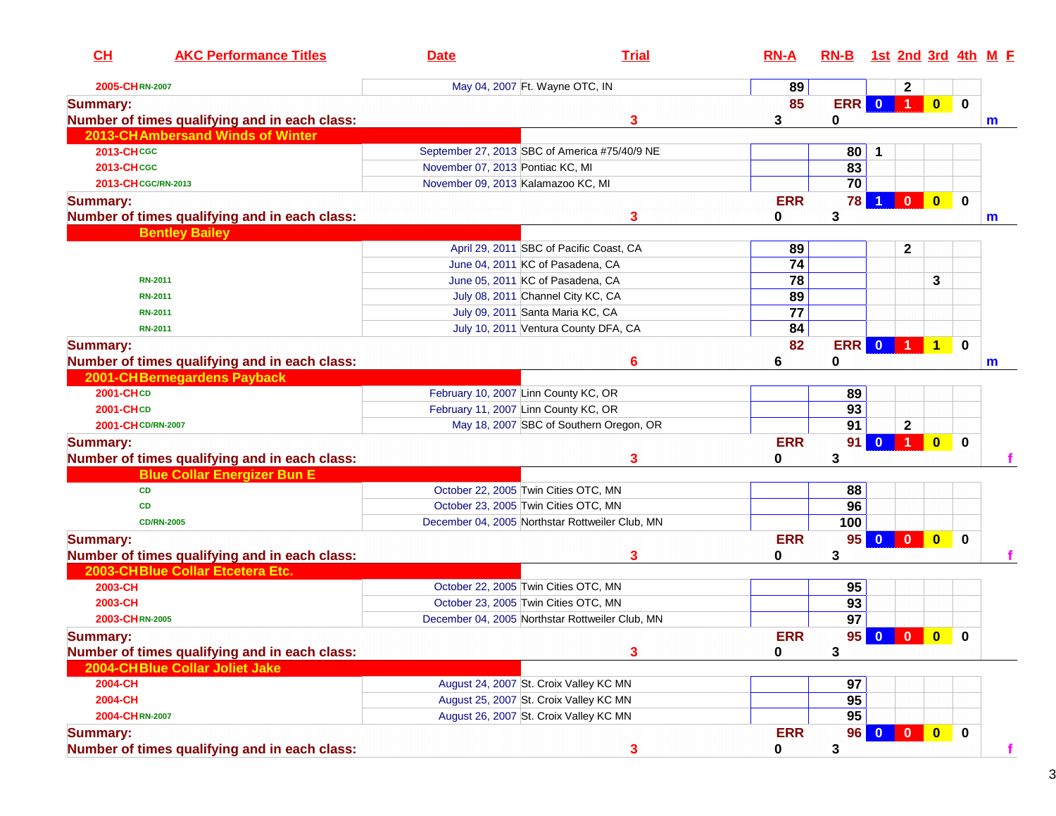| CL                 | <b>AKC Performance Titles</b>                 | <b>Date</b>                                   | <b>Trial</b>                                    | $RN-A$          | $RN-B$          |                         |                                                                                             |                         |             | 1st 2nd 3rd 4th M F |
|--------------------|-----------------------------------------------|-----------------------------------------------|-------------------------------------------------|-----------------|-----------------|-------------------------|---------------------------------------------------------------------------------------------|-------------------------|-------------|---------------------|
| 2005-CHRN-2007     |                                               | May 04, 2007 Ft. Wayne OTC, IN                |                                                 | 89              |                 |                         | $\mathbf{2}$                                                                                |                         |             |                     |
| <b>Summary:</b>    |                                               |                                               |                                                 | 85              | ERR             | $\bullet$               | <b>TP</b>                                                                                   | $\bullet$               | $\mathbf 0$ |                     |
|                    | Number of times qualifying and in each class: |                                               | 3                                               | 3               | 0               |                         |                                                                                             |                         |             | m                   |
|                    | 2013-CH Ambersand Winds of Winter             |                                               |                                                 |                 |                 |                         |                                                                                             |                         |             |                     |
| 2013-CHCGC         |                                               | September 27, 2013 SBC of America #75/40/9 NE |                                                 |                 | 80              | 1                       |                                                                                             |                         |             |                     |
| <b>2013-CHCGC</b>  |                                               | November 07, 2013 Pontiac KC, MI              |                                                 |                 | 83              |                         |                                                                                             |                         |             |                     |
|                    | 2013-CH CGC/RN-2013                           | November 09, 2013 Kalamazoo KC, MI            |                                                 |                 | 70              |                         |                                                                                             |                         |             |                     |
| <b>Summary:</b>    |                                               |                                               |                                                 | <b>ERR</b>      | 78              |                         | $\mathbf{0}$                                                                                | $\mathbf{0}$            | $\mathbf 0$ |                     |
|                    | Number of times qualifying and in each class: |                                               | 3                                               | 0               | 3               |                         |                                                                                             |                         |             | m                   |
|                    | <b>Bentley Bailey</b>                         |                                               |                                                 |                 |                 |                         |                                                                                             |                         |             |                     |
|                    |                                               |                                               | April 29, 2011 SBC of Pacific Coast, CA         | 89              |                 |                         | $\mathbf 2$                                                                                 |                         |             |                     |
|                    |                                               | June 04, 2011 KC of Pasadena, CA              |                                                 | 74              |                 |                         |                                                                                             |                         |             |                     |
|                    | <b>RN-2011</b>                                | June 05, 2011 KC of Pasadena, CA              |                                                 | 78              |                 |                         |                                                                                             | 3                       |             |                     |
|                    | <b>RN-2011</b>                                | July 08, 2011 Channel City KC, CA             |                                                 | 89              |                 |                         |                                                                                             |                         |             |                     |
|                    | <b>RN-2011</b>                                | July 09, 2011 Santa Maria KC, CA              |                                                 | $\overline{77}$ |                 |                         |                                                                                             |                         |             |                     |
|                    | <b>RN-2011</b>                                |                                               | July 10, 2011 Ventura County DFA, CA            | 84              |                 |                         |                                                                                             |                         |             |                     |
| <b>Summary:</b>    |                                               |                                               |                                                 | 82              | <b>ERR</b>      | $\overline{\mathbf{0}}$ | $\begin{array}{ c c c c c }\n\hline\n\text{1} & \text{1} & \text{1} \\ \hline\n\end{array}$ |                         | $\mathbf 0$ |                     |
|                    | Number of times qualifying and in each class: |                                               | 6                                               | 6               | 0               |                         |                                                                                             |                         |             | m                   |
|                    | 2001-CH Bernegardens Payback                  |                                               |                                                 |                 |                 |                         |                                                                                             |                         |             |                     |
| 2001-CHCD          |                                               | February 10, 2007 Linn County KC, OR          |                                                 |                 | 89              |                         |                                                                                             |                         |             |                     |
| 2001-CHCD          |                                               | February 11, 2007 Linn County KC, OR          |                                                 |                 | $\overline{93}$ |                         |                                                                                             |                         |             |                     |
| 2001-CH CD/RN-2007 |                                               |                                               | May 18, 2007 SBC of Southern Oregon, OR         |                 | $\overline{91}$ |                         | $\mathbf 2$                                                                                 |                         |             |                     |
| <b>Summary:</b>    |                                               |                                               |                                                 | <b>ERR</b>      | 91              | $\mathbf{0}$            | $\clubsuit$                                                                                 | $\overline{\mathbf{0}}$ | $\mathbf 0$ |                     |
|                    | Number of times qualifying and in each class: |                                               | 3                                               | 0               | 3               |                         |                                                                                             |                         |             |                     |
|                    | <b>Blue Collar Energizer Bun E</b>            |                                               |                                                 |                 |                 |                         |                                                                                             |                         |             |                     |
|                    | <b>CD</b>                                     | October 22, 2005 Twin Cities OTC, MN          |                                                 |                 | 88              |                         |                                                                                             |                         |             |                     |
|                    | <b>CD</b>                                     | October 23, 2005 Twin Cities OTC, MN          |                                                 |                 | 96              |                         |                                                                                             |                         |             |                     |
|                    | <b>CD/RN-2005</b>                             |                                               | December 04, 2005 Northstar Rottweiler Club, MN |                 | 100             |                         |                                                                                             |                         |             |                     |
| <b>Summary:</b>    |                                               |                                               |                                                 | <b>ERR</b>      | 95              | $\overline{\mathbf{0}}$ |                                                                                             | $\overline{\mathbf{0}}$ | $\bf{0}$    |                     |
|                    | Number of times qualifying and in each class: |                                               | 3                                               | 0               | 3               |                         |                                                                                             |                         |             |                     |
|                    | 2003-CHBlue Collar Etcetera Etc.              |                                               |                                                 |                 |                 |                         |                                                                                             |                         |             |                     |
| 2003-CH            |                                               | October 22, 2005 Twin Cities OTC, MN          |                                                 |                 | 95              |                         |                                                                                             |                         |             |                     |
| 2003-CH            |                                               | October 23, 2005 Twin Cities OTC, MN          |                                                 |                 | 93              |                         |                                                                                             |                         |             |                     |
| 2003-CHRN-2005     |                                               |                                               | December 04, 2005 Northstar Rottweiler Club, MN |                 | $\overline{97}$ |                         |                                                                                             |                         |             |                     |
| <b>Summary:</b>    |                                               |                                               |                                                 | <b>ERR</b>      |                 |                         | 95 0 0 0                                                                                    |                         | $\Omega$    |                     |
|                    | Number of times qualifying and in each class: |                                               | 3                                               | 0               | 3               |                         |                                                                                             |                         |             |                     |
|                    | 2004-CHBlue Collar Joliet Jake                |                                               |                                                 |                 |                 |                         |                                                                                             |                         |             |                     |
| 2004-CH            |                                               | August 24, 2007 St. Croix Valley KC MN        |                                                 |                 | 97              |                         |                                                                                             |                         |             |                     |
| 2004-CH            |                                               | August 25, 2007 St. Croix Valley KC MN        |                                                 |                 | 95              |                         |                                                                                             |                         |             |                     |
| 2004-CHRN-2007     |                                               | August 26, 2007 St. Croix Valley KC MN        |                                                 |                 | 95              |                         |                                                                                             |                         |             |                     |
| <b>Summary:</b>    |                                               |                                               |                                                 | <b>ERR</b>      | 96              |                         | $\mathbf{0}$                                                                                | $\overline{\mathbf{0}}$ | $\bf{0}$    |                     |
|                    | Number of times qualifying and in each class: |                                               | 3                                               | 0               | 3               |                         |                                                                                             |                         |             | f                   |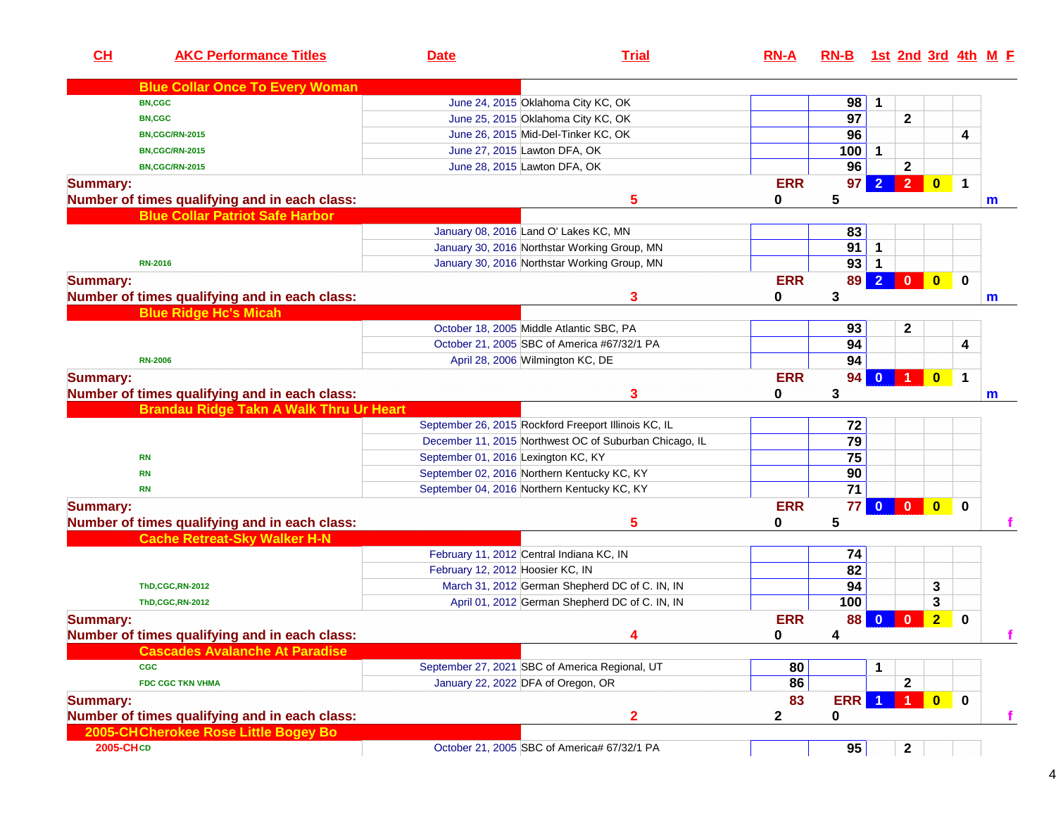| CL              | <b>AKC Performance Titles</b>                  | <b>Date</b>                                 | <b>Trial</b>                                           | $RN-A$     | $RN-B$          |                |                |                         |              | 1st 2nd 3rd 4th M E |
|-----------------|------------------------------------------------|---------------------------------------------|--------------------------------------------------------|------------|-----------------|----------------|----------------|-------------------------|--------------|---------------------|
|                 | <b>Blue Collar Once To Every Woman</b>         |                                             |                                                        |            |                 |                |                |                         |              |                     |
|                 | <b>BN,CGC</b>                                  |                                             | June 24, 2015 Oklahoma City KC, OK                     |            | 98              | 1              |                |                         |              |                     |
|                 | <b>BN,CGC</b>                                  |                                             | June 25, 2015 Oklahoma City KC, OK                     |            | $\overline{97}$ |                | $\mathbf 2$    |                         |              |                     |
|                 | <b>BN,CGC/RN-2015</b>                          |                                             | June 26, 2015 Mid-Del-Tinker KC, OK                    |            | 96              |                |                |                         | 4            |                     |
|                 | <b>BN,CGC/RN-2015</b>                          | June 27, 2015 Lawton DFA, OK                |                                                        |            | 100             | $\mathbf{1}$   |                |                         |              |                     |
|                 | <b>BN,CGC/RN-2015</b>                          | June 28, 2015 Lawton DFA, OK                |                                                        |            | 96              |                | $\mathbf{2}$   |                         |              |                     |
| <b>Summary:</b> |                                                |                                             |                                                        | <b>ERR</b> | 97              |                | $\overline{2}$ | $\bullet$               | $\mathbf 1$  |                     |
|                 | Number of times qualifying and in each class:  |                                             | 5                                                      | 0          | 5               |                |                |                         |              | $\mathbf m$         |
|                 | <b>Blue Collar Patriot Safe Harbor</b>         |                                             |                                                        |            |                 |                |                |                         |              |                     |
|                 |                                                | January 08, 2016 Land O' Lakes KC, MN       |                                                        |            | 83              |                |                |                         |              |                     |
|                 |                                                |                                             | January 30, 2016 Northstar Working Group, MN           |            | 91              | 1              |                |                         |              |                     |
|                 | <b>RN-2016</b>                                 |                                             | January 30, 2016 Northstar Working Group, MN           |            | 93              |                |                |                         |              |                     |
| <b>Summary:</b> |                                                |                                             |                                                        | <b>ERR</b> | 89              | $\overline{2}$ | $\mathbf{0}$   | $\bullet$               | $\mathbf 0$  |                     |
|                 | Number of times qualifying and in each class:  |                                             | 3                                                      | 0          | 3               |                |                |                         |              | m                   |
|                 | <b>Blue Ridge Hc's Micah</b>                   |                                             |                                                        |            |                 |                |                |                         |              |                     |
|                 |                                                | October 18, 2005 Middle Atlantic SBC, PA    |                                                        |            | 93              |                | 2              |                         |              |                     |
|                 |                                                |                                             | October 21, 2005 SBC of America #67/32/1 PA            |            | 94              |                |                |                         | 4            |                     |
|                 | <b>RN-2006</b>                                 | April 28, 2006 Wilmington KC, DE            |                                                        |            | 94              |                |                |                         |              |                     |
| <b>Summary:</b> |                                                |                                             |                                                        | <b>ERR</b> | 94              | $\bf{0}$       | -1             | $\bullet$               | 1            |                     |
|                 | Number of times qualifying and in each class:  |                                             | 3                                                      | 0          | 3               |                |                |                         |              | m                   |
|                 | <b>Brandau Ridge Takn A Walk Thru Ur Heart</b> |                                             |                                                        |            |                 |                |                |                         |              |                     |
|                 |                                                |                                             | September 26, 2015 Rockford Freeport Illinois KC, IL   |            | 72              |                |                |                         |              |                     |
|                 |                                                |                                             | December 11, 2015 Northwest OC of Suburban Chicago, IL |            | $\overline{79}$ |                |                |                         |              |                     |
|                 | <b>RN</b>                                      | September 01, 2016 Lexington KC, KY         |                                                        |            | 75              |                |                |                         |              |                     |
|                 | <b>RN</b>                                      | September 02, 2016 Northern Kentucky KC, KY |                                                        |            | 90              |                |                |                         |              |                     |
|                 | <b>RN</b>                                      | September 04, 2016 Northern Kentucky KC, KY |                                                        |            | 71              |                |                |                         |              |                     |
| <b>Summary:</b> |                                                |                                             |                                                        | <b>ERR</b> | 77              |                | $0$ 0          | $\overline{\mathbf{0}}$ | $\bf{0}$     |                     |
|                 | Number of times qualifying and in each class:  |                                             | 5                                                      | 0          | 5               |                |                |                         |              |                     |
|                 | <b>Cache Retreat-Sky Walker H-N</b>            |                                             |                                                        |            |                 |                |                |                         |              |                     |
|                 |                                                | February 11, 2012 Central Indiana KC, IN    |                                                        |            | 74              |                |                |                         |              |                     |
|                 |                                                | February 12, 2012 Hoosier KC, IN            |                                                        |            | 82              |                |                |                         |              |                     |
|                 | <b>ThD,CGC,RN-2012</b>                         |                                             | March 31, 2012 German Shepherd DC of C. IN, IN         |            | 94              |                |                | 3                       |              |                     |
|                 | <b>ThD,CGC,RN-2012</b>                         |                                             | April 01, 2012 German Shepherd DC of C. IN, IN         |            | 100             |                |                | 3                       |              |                     |
| <b>Summary:</b> |                                                |                                             |                                                        | <b>ERR</b> | 88              | $\bf{0}$       | $\bf{0}$       | $\overline{2}$          | 0            |                     |
|                 | Number of times qualifying and in each class:  |                                             | 4                                                      | $\bf{0}$   | 4               |                |                |                         |              |                     |
|                 | <b>Cascades Avalanche At Paradise</b>          |                                             |                                                        |            |                 |                |                |                         |              |                     |
|                 | <b>CGC</b>                                     |                                             | September 27, 2021 SBC of America Regional, UT         | 80         |                 |                |                |                         |              |                     |
|                 | <b>FDC CGC TKN VHMA</b>                        | January 22, 2022 DFA of Oregon, OR          |                                                        | 86         |                 |                | 2              |                         |              |                     |
| <b>Summary:</b> |                                                |                                             |                                                        | 83         | <b>ERR</b>      |                | $\overline{1}$ | $\overline{\mathbf{0}}$ | $\mathbf{0}$ |                     |
|                 | Number of times qualifying and in each class:  |                                             | $\mathbf{2}$                                           | 2          | 0               |                |                |                         |              |                     |
|                 | 2005-CH Cherokee Rose Little Bogey Bo          |                                             |                                                        |            |                 |                |                |                         |              |                     |
| 2005-CHCD       |                                                |                                             | October 21, 2005 SBC of America# 67/32/1 PA            |            | 95              |                | $\mathbf{2}$   |                         |              |                     |
|                 |                                                |                                             |                                                        |            |                 |                |                |                         |              |                     |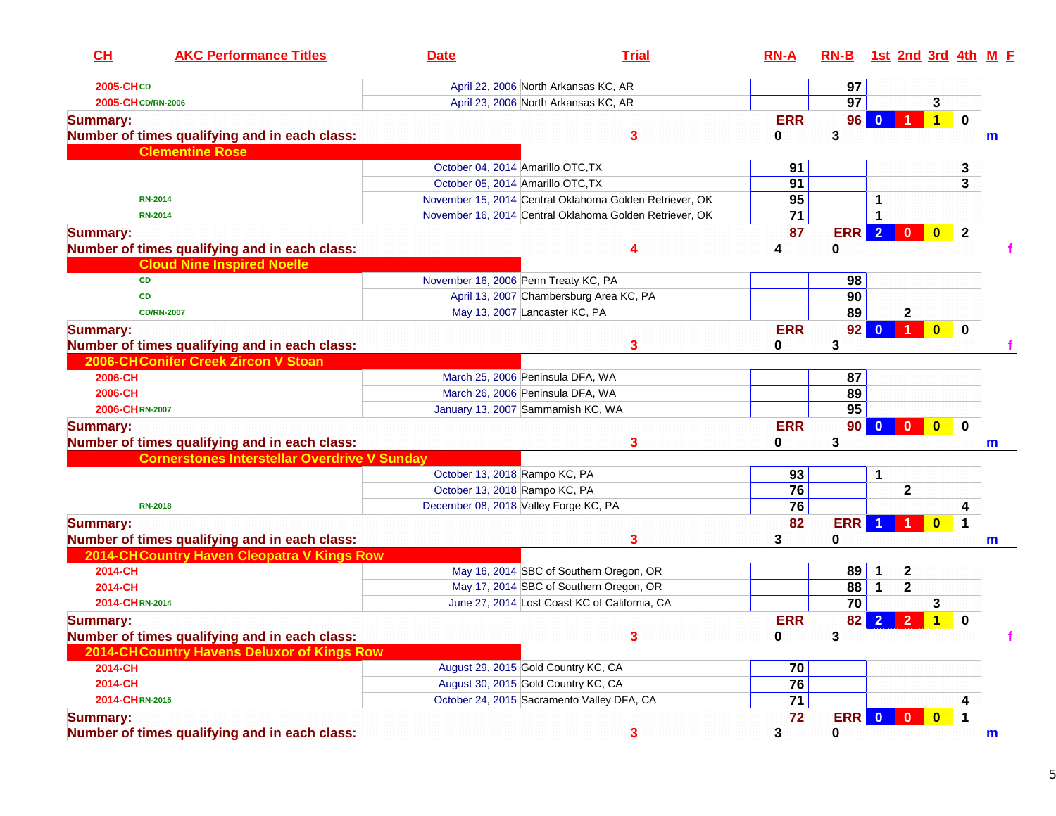| CH                 | <b>AKC Performance Titles</b>                       | <b>Date</b>                           | <b>Trial</b>                                            | $RN-A$          | $RN-B$          |                |                      |                         |              | 1st 2nd 3rd 4th M E |
|--------------------|-----------------------------------------------------|---------------------------------------|---------------------------------------------------------|-----------------|-----------------|----------------|----------------------|-------------------------|--------------|---------------------|
| 2005-CHCD          |                                                     |                                       | April 22, 2006 North Arkansas KC, AR                    |                 | 97              |                |                      |                         |              |                     |
| 2005-CH CD/RN-2006 |                                                     |                                       | April 23, 2006 North Arkansas KC, AR                    |                 | $\overline{97}$ |                |                      | 3                       |              |                     |
| <b>Summary:</b>    |                                                     |                                       |                                                         | <b>ERR</b>      | 96              | $\Omega$       |                      | $\overline{\mathbf{1}}$ | $\mathbf 0$  |                     |
|                    | Number of times qualifying and in each class:       |                                       | 3                                                       | 0               | 3               |                |                      |                         |              | m                   |
|                    | <b>Clementine Rose</b>                              |                                       |                                                         |                 |                 |                |                      |                         |              |                     |
|                    |                                                     | October 04, 2014 Amarillo OTC, TX     |                                                         | 91              |                 |                |                      |                         | 3            |                     |
|                    |                                                     | October 05, 2014 Amarillo OTC, TX     |                                                         | 91              |                 |                |                      |                         | 3            |                     |
|                    | <b>RN-2014</b>                                      |                                       | November 15, 2014 Central Oklahoma Golden Retriever, OK | 95              |                 | 1              |                      |                         |              |                     |
|                    | <b>RN-2014</b>                                      |                                       | November 16, 2014 Central Oklahoma Golden Retriever, OK | $\overline{71}$ |                 |                |                      |                         |              |                     |
| <b>Summary:</b>    | Number of times qualifying and in each class:       |                                       | 4                                                       | 87<br>4         | <b>ERR</b><br>0 | $\overline{2}$ | $\bf{0}$             | $\bullet$               | $\mathbf{2}$ |                     |
|                    | <b>Cloud Nine Inspired Noelle</b>                   |                                       |                                                         |                 |                 |                |                      |                         |              |                     |
|                    | <b>CD</b>                                           | November 16, 2006 Penn Treaty KC, PA  |                                                         |                 | 98              |                |                      |                         |              |                     |
|                    | <b>CD</b>                                           |                                       | April 13, 2007 Chambersburg Area KC, PA                 |                 | 90              |                |                      |                         |              |                     |
|                    | <b>CD/RN-2007</b>                                   | May 13, 2007 Lancaster KC, PA         |                                                         |                 | 89              |                | $\mathbf 2$          |                         |              |                     |
| <b>Summary:</b>    |                                                     |                                       |                                                         | <b>ERR</b>      | 92              | $\bf{0}$       | $\blacktriangleleft$ | $\bullet$               | $\mathbf 0$  |                     |
|                    | Number of times qualifying and in each class:       |                                       | 3                                                       | 0               | 3               |                |                      |                         |              |                     |
|                    | 2006-CHConifer Creek Zircon V Stoan                 |                                       |                                                         |                 |                 |                |                      |                         |              |                     |
| 2006-CH            |                                                     | March 25, 2006 Peninsula DFA, WA      |                                                         |                 | 87              |                |                      |                         |              |                     |
| 2006-CH            |                                                     | March 26, 2006 Peninsula DFA, WA      |                                                         |                 | 89              |                |                      |                         |              |                     |
| 2006-CHRN-2007     |                                                     | January 13, 2007 Sammamish KC, WA     |                                                         |                 | $\overline{95}$ |                |                      |                         |              |                     |
| <b>Summary:</b>    |                                                     |                                       |                                                         | <b>ERR</b>      | 90 <sub>1</sub> |                | $0$ 0                | $\bullet$               | $\mathbf 0$  |                     |
|                    | Number of times qualifying and in each class:       |                                       | 3                                                       | 0               | 3               |                |                      |                         |              | m                   |
|                    | <b>Cornerstones Interstellar Overdrive V Sunday</b> |                                       |                                                         |                 |                 |                |                      |                         |              |                     |
|                    |                                                     | October 13, 2018 Rampo KC, PA         |                                                         | 93              |                 | 1              |                      |                         |              |                     |
|                    |                                                     | October 13, 2018 Rampo KC, PA         |                                                         | 76              |                 |                | 2                    |                         |              |                     |
|                    | <b>RN-2018</b>                                      | December 08, 2018 Valley Forge KC, PA |                                                         | 76              |                 |                |                      |                         | 4            |                     |
| <b>Summary:</b>    |                                                     |                                       |                                                         | 82              | <b>ERR</b>      |                | 1                    | $\bf{0}$                | $\mathbf 1$  |                     |
|                    | Number of times qualifying and in each class:       |                                       | 3                                                       | 3               | 0               |                |                      |                         |              | m                   |
|                    | 2014-CH Country Haven Cleopatra V Kings Row         |                                       |                                                         |                 |                 |                |                      |                         |              |                     |
| 2014-CH            |                                                     |                                       | May 16, 2014 SBC of Southern Oregon, OR                 |                 | 89              |                | $\mathbf 2$          |                         |              |                     |
| 2014-CH            |                                                     |                                       | May 17, 2014 SBC of Southern Oregon, OR                 |                 | 88              | $\mathbf 1$    | $\mathbf{2}$         |                         |              |                     |
| 2014-CHRN-2014     |                                                     |                                       | June 27, 2014 Lost Coast KC of California, CA           |                 | 70              |                |                      | 3                       |              |                     |
| <b>Summary:</b>    |                                                     |                                       |                                                         | <b>ERR</b>      | 82              | $\overline{2}$ | $\overline{2}$       |                         | $\bf{0}$     |                     |
|                    | Number of times qualifying and in each class:       |                                       |                                                         | 0               | 3               |                |                      |                         |              |                     |
|                    | 2014-CH Country Havens Deluxor of Kings Row         |                                       |                                                         |                 |                 |                |                      |                         |              |                     |
| 2014-CH            |                                                     | August 29, 2015 Gold Country KC, CA   |                                                         | 70              |                 |                |                      |                         |              |                     |
| 2014-CH            |                                                     | August 30, 2015 Gold Country KC, CA   |                                                         | 76              |                 |                |                      |                         |              |                     |
| 2014-CHRN-2015     |                                                     |                                       | October 24, 2015 Sacramento Valley DFA, CA              | 71              |                 |                |                      |                         | 4            |                     |
| <b>Summary:</b>    |                                                     |                                       |                                                         | 72              | ERR 0           |                | $\mathbf{0}$         | $\bullet$               | $\mathbf 1$  |                     |
|                    | Number of times qualifying and in each class:       |                                       | 3                                                       | 3               | $\mathbf 0$     |                |                      |                         |              | m                   |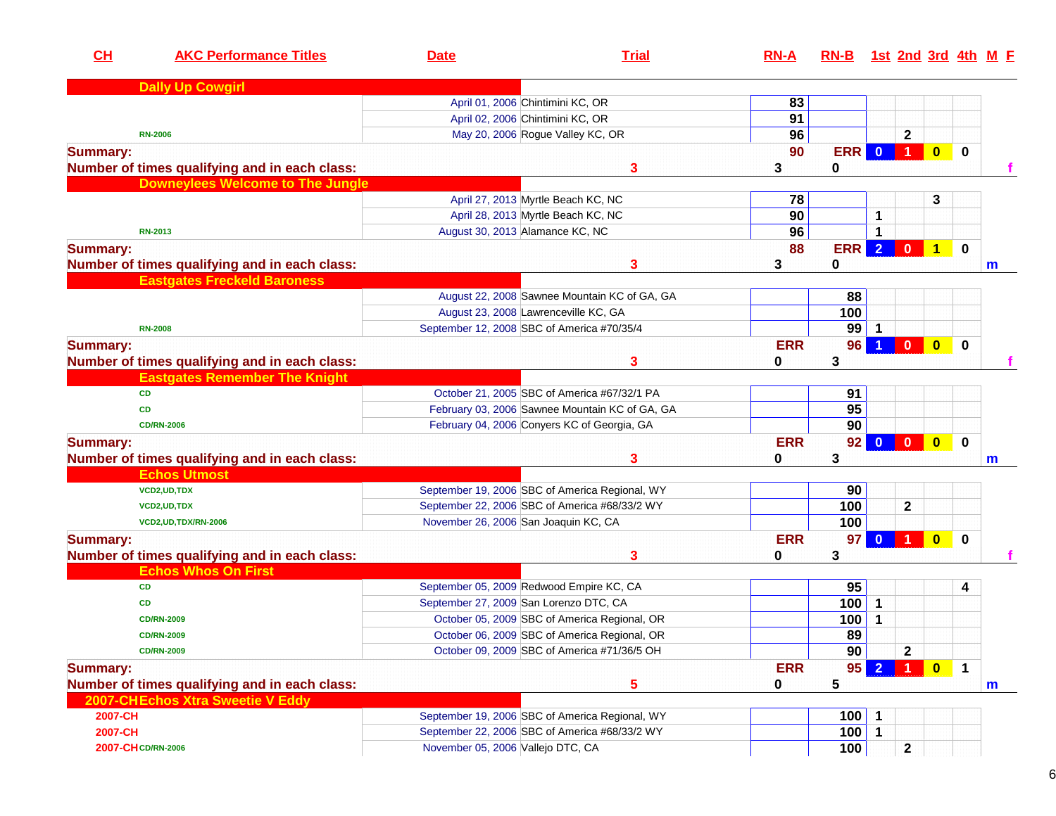| CH              | <b>AKC Performance Titles</b>                 | <b>Date</b>                          | <b>Trial</b>                                   | $RN-A$     | $RN-B$     |                         |                                |                         |             | 1st 2nd 3rd 4th M E |
|-----------------|-----------------------------------------------|--------------------------------------|------------------------------------------------|------------|------------|-------------------------|--------------------------------|-------------------------|-------------|---------------------|
|                 | <b>Dally Up Cowgirl</b>                       |                                      |                                                |            |            |                         |                                |                         |             |                     |
|                 |                                               |                                      | April 01, 2006 Chintimini KC, OR               | 83         |            |                         |                                |                         |             |                     |
|                 |                                               |                                      | April 02, 2006 Chintimini KC, OR               | 91         |            |                         |                                |                         |             |                     |
|                 | <b>RN-2006</b>                                |                                      | May 20, 2006 Rogue Valley KC, OR               | 96         |            |                         | $\mathbf{2}$                   |                         |             |                     |
| <b>Summary:</b> |                                               |                                      |                                                | 90         | <b>ERR</b> | $\overline{0}$          | $\blacktriangleleft$           | $\bullet$               | $\mathbf 0$ |                     |
|                 | Number of times qualifying and in each class: |                                      | 3                                              | 3          | 0          |                         |                                |                         |             |                     |
|                 | <b>Downeylees Welcome to The Jungle</b>       |                                      |                                                |            |            |                         |                                |                         |             |                     |
|                 |                                               |                                      | April 27, 2013 Myrtle Beach KC, NC             | 78         |            |                         |                                | 3                       |             |                     |
|                 |                                               |                                      | April 28, 2013 Myrtle Beach KC, NC             | 90         |            | 1                       |                                |                         |             |                     |
|                 | <b>RN-2013</b>                                |                                      | August 30, 2013 Alamance KC, NC                | 96         |            |                         |                                |                         |             |                     |
| <b>Summary:</b> |                                               |                                      |                                                | 88         | <b>ERR</b> | $\overline{2}$          | $\mathbf{0}$                   | $\mathbf{1}$            | $\mathbf 0$ |                     |
|                 | Number of times qualifying and in each class: |                                      | 3                                              | 3          | 0          |                         |                                |                         |             | m                   |
|                 | <b>Eastgates Freckeld Baroness</b>            |                                      |                                                |            |            |                         |                                |                         |             |                     |
|                 |                                               |                                      | August 22, 2008 Sawnee Mountain KC of GA, GA   |            | 88         |                         |                                |                         |             |                     |
|                 |                                               |                                      | August 23, 2008 Lawrenceville KC, GA           |            | 100        |                         |                                |                         |             |                     |
|                 | <b>RN-2008</b>                                |                                      | September 12, 2008 SBC of America #70/35/4     |            | 99         |                         |                                |                         |             |                     |
| <b>Summary:</b> |                                               |                                      |                                                | <b>ERR</b> | 96         |                         | $\mathbf{0}$                   | $\bullet$               | $\bf{0}$    |                     |
|                 | Number of times qualifying and in each class: |                                      | 3                                              | 0          | 3          |                         |                                |                         |             |                     |
|                 | <b>Eastgates Remember The Knight</b>          |                                      |                                                |            |            |                         |                                |                         |             |                     |
|                 | <b>CD</b>                                     |                                      | October 21, 2005 SBC of America #67/32/1 PA    |            | 91         |                         |                                |                         |             |                     |
|                 | <b>CD</b>                                     |                                      | February 03, 2006 Sawnee Mountain KC of GA, GA |            | 95         |                         |                                |                         |             |                     |
|                 | <b>CD/RN-2006</b>                             |                                      | February 04, 2006 Conyers KC of Georgia, GA    |            | 90         |                         |                                |                         |             |                     |
| <b>Summary:</b> |                                               |                                      |                                                | <b>ERR</b> | 92         | $\overline{\mathbf{0}}$ | $\mathbf{0}$                   | $\overline{\mathbf{0}}$ | $\bf{0}$    |                     |
|                 | Number of times qualifying and in each class: |                                      | 3                                              | 0          | 3          |                         |                                |                         |             | m                   |
|                 | <b>Echos Utmost</b>                           |                                      |                                                |            |            |                         |                                |                         |             |                     |
|                 | VCD2, UD, TDX                                 |                                      | September 19, 2006 SBC of America Regional, WY |            | 90         |                         |                                |                         |             |                     |
|                 | VCD2, UD, TDX                                 |                                      | September 22, 2006 SBC of America #68/33/2 WY  |            | 100        |                         | 2                              |                         |             |                     |
|                 | VCD2, UD, TDX/RN-2006                         | November 26, 2006 San Joaquin KC, CA |                                                |            | 100        |                         |                                |                         |             |                     |
| <b>Summary:</b> |                                               |                                      |                                                | <b>ERR</b> | 97         | $\Omega$                |                                | $\bf{0}$                | $\bf{0}$    |                     |
|                 | Number of times qualifying and in each class: |                                      | 3                                              | 0          | 3          |                         |                                |                         |             |                     |
|                 | <b>Echos Whos On First</b>                    |                                      |                                                |            |            |                         |                                |                         |             |                     |
|                 | <b>CD</b>                                     |                                      | September 05, 2009 Redwood Empire KC, CA       |            | 95         |                         |                                |                         | 4           |                     |
|                 | <b>CD</b>                                     |                                      | September 27, 2009 San Lorenzo DTC, CA         |            | 100        | $\mathbf{1}$            |                                |                         |             |                     |
|                 | <b>CD/RN-2009</b>                             |                                      | October 05, 2009 SBC of America Regional, OR   |            | 100        | 1                       |                                |                         |             |                     |
|                 | <b>CD/RN-2009</b>                             |                                      | October 06, 2009 SBC of America Regional, OR   |            | 89         |                         |                                |                         |             |                     |
|                 | <b>CD/RN-2009</b>                             |                                      | October 09, 2009 SBC of America #71/36/5 OH    |            | 90         |                         |                                |                         |             |                     |
|                 |                                               |                                      |                                                |            |            |                         | $\mathbf{2}$<br>1 <sup>1</sup> |                         |             |                     |
| <b>Summary:</b> |                                               |                                      |                                                | <b>ERR</b> | 95         | $\mathbf{2}$            |                                | $0$ 1                   |             |                     |
|                 | Number of times qualifying and in each class: |                                      | 5                                              | 0          | 5          |                         |                                |                         |             | m                   |
|                 | 2007-CHEchos Xtra Sweetie V Eddy              |                                      |                                                |            |            |                         |                                |                         |             |                     |
| 2007-CH         |                                               |                                      | September 19, 2006 SBC of America Regional, WY |            | $100$ 1    |                         |                                |                         |             |                     |
| 2007-CH         |                                               |                                      | September 22, 2006 SBC of America #68/33/2 WY  |            | $100$ 1    |                         |                                |                         |             |                     |
|                 | 2007-CH CD/RN-2006                            | November 05, 2006 Vallejo DTC, CA    |                                                |            | 100        |                         | $\mathbf{2}$                   |                         |             |                     |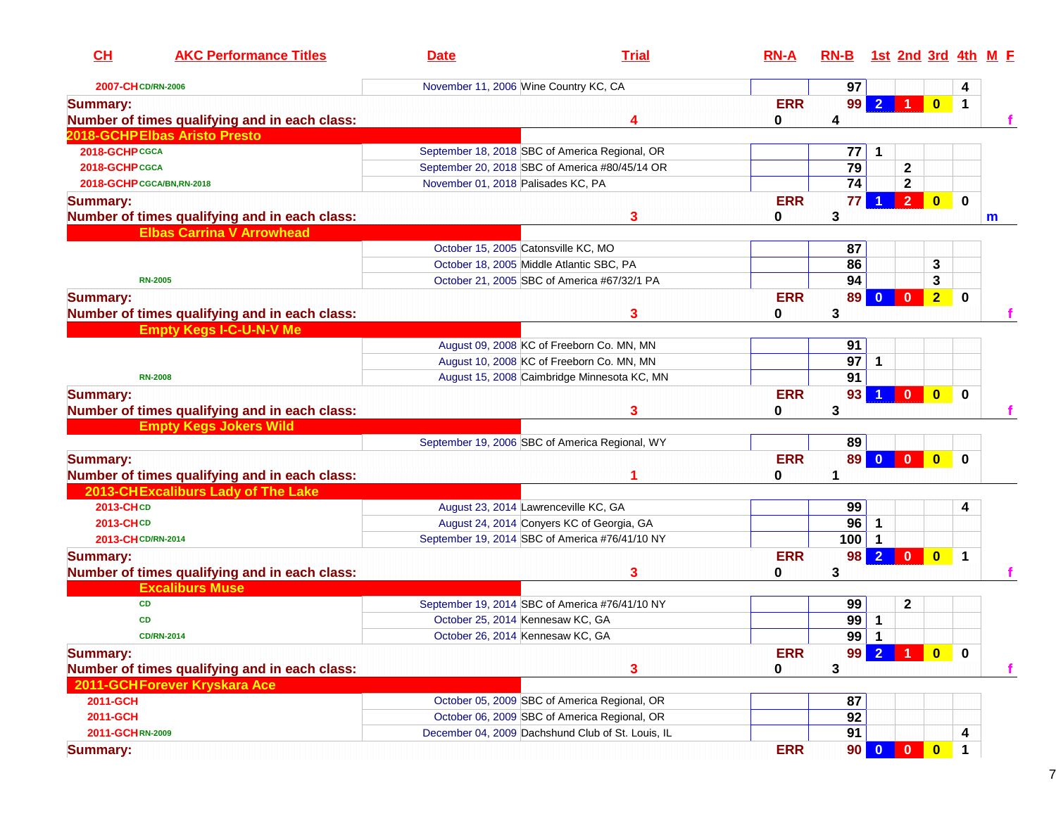| CL<br><b>AKC Performance Titles</b>           | <b>Date</b>                              | <b>Trial</b>                                      | $RN-A$     | $RN-B$          |                |                         |                         |             | 1st 2nd 3rd 4th M E |
|-----------------------------------------------|------------------------------------------|---------------------------------------------------|------------|-----------------|----------------|-------------------------|-------------------------|-------------|---------------------|
| 2007-CH CD/RN-2006                            | November 11, 2006 Wine Country KC, CA    |                                                   |            | 97              |                |                         |                         | 4           |                     |
| <b>Summary:</b>                               |                                          |                                                   | <b>ERR</b> | 99              | $\mathbf{2}$   |                         | $\mathbf{0}$            | $\mathbf 1$ |                     |
| Number of times qualifying and in each class: |                                          | 4                                                 | 0          | 4               |                |                         |                         |             |                     |
| 2018-GCHPElbas Aristo Presto                  |                                          |                                                   |            |                 |                |                         |                         |             |                     |
| 2018-GCHPCGCA                                 |                                          | September 18, 2018 SBC of America Regional, OR    |            | 77              | 1              |                         |                         |             |                     |
| 2018-GCHP CGCA                                |                                          | September 20, 2018 SBC of America #80/45/14 OR    |            | 79              |                | $\mathbf{2}$            |                         |             |                     |
| 2018-GCHP CGCA/BN, RN-2018                    | November 01, 2018 Palisades KC, PA       |                                                   |            | $\overline{74}$ |                | $\mathbf{2}$            |                         |             |                     |
| <b>Summary:</b>                               |                                          |                                                   | <b>ERR</b> | 77              |                | $\overline{2}$          | $\bf{0}$                | $\mathbf 0$ |                     |
| Number of times qualifying and in each class: |                                          | 3                                                 | 0          | 3               |                |                         |                         |             | m                   |
| <b>Elbas Carrina V Arrowhead</b>              |                                          |                                                   |            |                 |                |                         |                         |             |                     |
|                                               | October 15, 2005 Catonsville KC, MO      |                                                   |            | 87              |                |                         |                         |             |                     |
|                                               | October 18, 2005 Middle Atlantic SBC, PA |                                                   |            | 86              |                |                         | 3                       |             |                     |
| <b>RN-2005</b>                                |                                          | October 21, 2005 SBC of America #67/32/1 PA       |            | 94              |                |                         | 3                       |             |                     |
| <b>Summary:</b>                               |                                          |                                                   | <b>ERR</b> | 89              |                | $\mathbf{0}$            | 2 <sub>2</sub>          | $\bf{0}$    |                     |
| Number of times qualifying and in each class: |                                          | 3                                                 | 0          | 3               |                |                         |                         |             |                     |
| <b>Empty Kegs I-C-U-N-V Me</b>                |                                          |                                                   |            |                 |                |                         |                         |             |                     |
|                                               |                                          | August 09, 2008 KC of Freeborn Co. MN, MN         |            | 91              |                |                         |                         |             |                     |
|                                               |                                          | August 10, 2008 KC of Freeborn Co. MN, MN         |            | $\overline{97}$ | 1              |                         |                         |             |                     |
| <b>RN-2008</b>                                |                                          | August 15, 2008 Caimbridge Minnesota KC, MN       |            | 91              |                |                         |                         |             |                     |
| <b>Summary:</b>                               |                                          |                                                   | <b>ERR</b> | 93              |                | $\mathbf{0}$            | $\overline{\mathbf{0}}$ | $\bf{0}$    |                     |
| Number of times qualifying and in each class: |                                          | 3                                                 | 0          | 3               |                |                         |                         |             |                     |
| <b>Empty Kegs Jokers Wild</b>                 |                                          |                                                   |            |                 |                |                         |                         |             |                     |
|                                               |                                          | September 19, 2006 SBC of America Regional, WY    |            | 89              |                |                         |                         |             |                     |
| <b>Summary:</b>                               |                                          |                                                   | <b>ERR</b> | <b>89</b>       | $\mathbf{0}$   | $\overline{\mathbf{0}}$ | $\mathbf{0}$            | $\bf{0}$    |                     |
| Number of times qualifying and in each class: |                                          |                                                   | 0          | 1               |                |                         |                         |             |                     |
| 2013-CHExcaliburs Lady of The Lake            |                                          |                                                   |            |                 |                |                         |                         |             |                     |
| 2013-CHCD                                     | August 23, 2014 Lawrenceville KC, GA     |                                                   |            | 99              |                |                         |                         | 4           |                     |
| 2013-CHCD                                     |                                          | August 24, 2014 Conyers KC of Georgia, GA         |            | $\overline{96}$ | 1              |                         |                         |             |                     |
| 2013-CH CD/RN-2014                            |                                          | September 19, 2014 SBC of America #76/41/10 NY    |            | 100             |                |                         |                         |             |                     |
| <b>Summary:</b>                               |                                          |                                                   | <b>ERR</b> | 98 <sup>1</sup> | 2 <sup>7</sup> | $\mathbf{0}$            | $\overline{\mathbf{0}}$ | $\mathbf 1$ |                     |
| Number of times qualifying and in each class: |                                          | 3                                                 | 0          | 3               |                |                         |                         |             |                     |
| <b>Excaliburs Muse</b>                        |                                          |                                                   |            |                 |                |                         |                         |             |                     |
| CD                                            |                                          | September 19, 2014 SBC of America #76/41/10 NY    |            | 99              |                | $\mathbf{2}$            |                         |             |                     |
| <b>CD</b>                                     | October 25, 2014 Kennesaw KC, GA         |                                                   |            | 99              | 1              |                         |                         |             |                     |
| <b>CD/RN-2014</b>                             | October 26, 2014 Kennesaw KC, GA         |                                                   |            | $\overline{99}$ | 1              |                         |                         |             |                     |
| <b>Summary:</b>                               |                                          |                                                   | <b>ERR</b> | 99 <sub>1</sub> | $\overline{2}$ |                         | $\mathbf{0}$            | $\bf{0}$    |                     |
| Number of times qualifying and in each class: |                                          | 3                                                 | 0          | 3               |                |                         |                         |             |                     |
| 2011-GCHForever Kryskara Ace                  |                                          |                                                   |            |                 |                |                         |                         |             |                     |
| 2011-GCH                                      |                                          | October 05, 2009 SBC of America Regional, OR      |            | 87              |                |                         |                         |             |                     |
| 2011-GCH                                      |                                          | October 06, 2009 SBC of America Regional, OR      |            | 92              |                |                         |                         |             |                     |
| 2011-GCHRN-2009                               |                                          | December 04, 2009 Dachshund Club of St. Louis, IL |            | 91              |                |                         |                         | 4           |                     |
| <b>Summary:</b>                               |                                          |                                                   | <b>ERR</b> | 90 <sup>1</sup> | $\mathbf{0}$   | $\mathbf{0}$            | $\overline{\mathbf{0}}$ | $\mathbf 1$ |                     |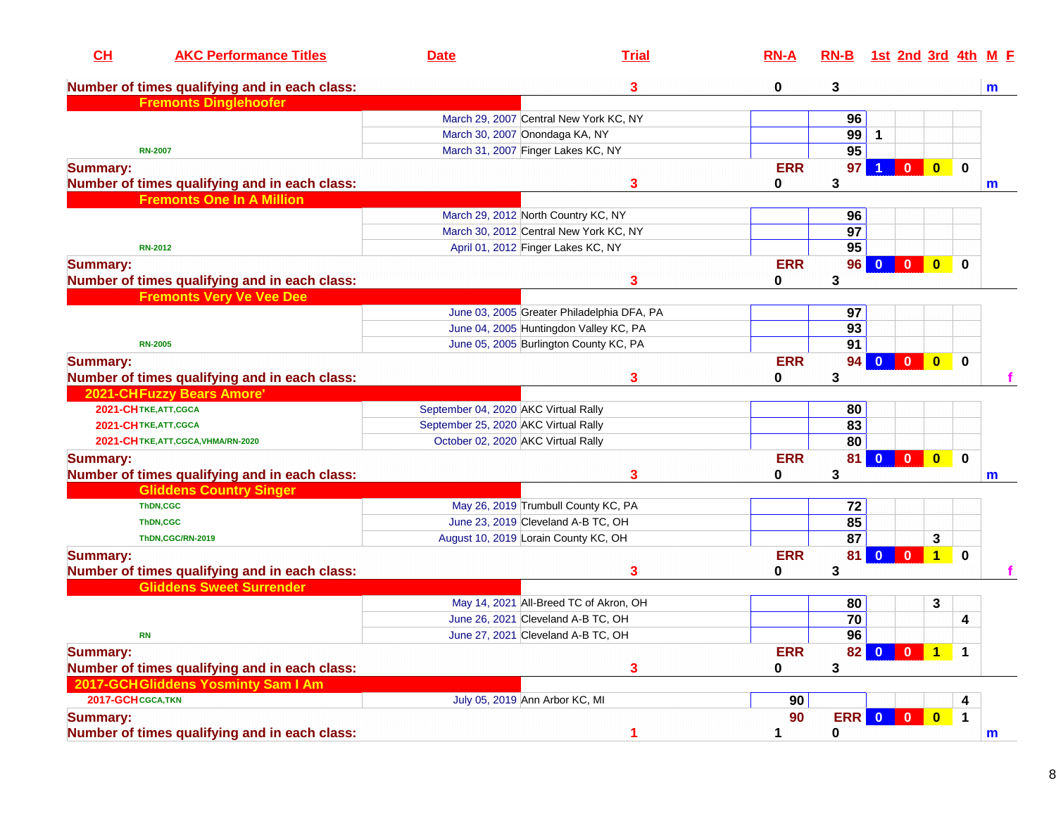| CH                 | <b>AKC Performance Titles</b>                 | <b>Date</b>                          | <b>Trial</b>                               | $RN-A$     | $RN-B$          |                         |                         |                         | <u>1st 2nd 3rd 4th M F</u> |  |
|--------------------|-----------------------------------------------|--------------------------------------|--------------------------------------------|------------|-----------------|-------------------------|-------------------------|-------------------------|----------------------------|--|
|                    | Number of times qualifying and in each class: |                                      | 3                                          | 0          | 3               |                         |                         |                         | m                          |  |
|                    | <b>Fremonts Dinglehoofer</b>                  |                                      |                                            |            |                 |                         |                         |                         |                            |  |
|                    |                                               |                                      | March 29, 2007 Central New York KC, NY     |            | 96              |                         |                         |                         |                            |  |
|                    |                                               | March 30, 2007 Onondaga KA, NY       |                                            |            | 99              | $\mathbf{1}$            |                         |                         |                            |  |
|                    | <b>RN-2007</b>                                |                                      | March 31, 2007 Finger Lakes KC, NY         |            | 95              |                         |                         |                         |                            |  |
| <b>Summary:</b>    |                                               |                                      |                                            | <b>ERR</b> | 97              |                         | $\bf{0}$                | $\overline{\mathbf{0}}$ | $\mathbf 0$                |  |
|                    | Number of times qualifying and in each class: |                                      | 3                                          | 0          | 3               |                         |                         |                         | m                          |  |
|                    | <b>Fremonts One In A Million</b>              |                                      |                                            |            |                 |                         |                         |                         |                            |  |
|                    |                                               |                                      | March 29, 2012 North Country KC, NY        |            | 96              |                         |                         |                         |                            |  |
|                    |                                               |                                      | March 30, 2012 Central New York KC, NY     |            | $\overline{97}$ |                         |                         |                         |                            |  |
|                    | <b>RN-2012</b>                                |                                      | April 01, 2012 Finger Lakes KC, NY         |            | 95              |                         |                         |                         |                            |  |
| <b>Summary:</b>    |                                               |                                      |                                            | <b>ERR</b> | 96              | $\bf{0}$                | $\mathbf{0}$            | $\bullet$               | $\bf{0}$                   |  |
|                    | Number of times qualifying and in each class: |                                      | 3                                          | 0          | 3               |                         |                         |                         |                            |  |
|                    | <b>Fremonts Very Ve Vee Dee</b>               |                                      |                                            |            |                 |                         |                         |                         |                            |  |
|                    |                                               |                                      | June 03, 2005 Greater Philadelphia DFA, PA |            | 97              |                         |                         |                         |                            |  |
|                    |                                               |                                      | June 04, 2005 Huntingdon Valley KC, PA     |            | $\overline{93}$ |                         |                         |                         |                            |  |
|                    | <b>RN-2005</b>                                |                                      | June 05, 2005 Burlington County KC, PA     |            | 91              |                         |                         |                         |                            |  |
| <b>Summary:</b>    |                                               |                                      |                                            | <b>ERR</b> | 94              |                         | $\bf{0}$                | $\bullet$               | $\mathbf 0$                |  |
|                    | Number of times qualifying and in each class: |                                      | 3                                          | 0          | 3               |                         |                         |                         |                            |  |
|                    | <b>2021-CHFuzzy Bears Amore'</b>              |                                      |                                            |            |                 |                         |                         |                         |                            |  |
|                    | 2021-CHTKE, ATT, CGCA                         | September 04, 2020 AKC Virtual Rally |                                            |            | 80              |                         |                         |                         |                            |  |
|                    | 2021-CHTKE, ATT, CGCA                         | September 25, 2020 AKC Virtual Rally |                                            |            | 83              |                         |                         |                         |                            |  |
|                    | 2021-CHTKE, ATT, CGCA, VHMA/RN-2020           | October 02, 2020 AKC Virtual Rally   |                                            |            | 80              |                         |                         |                         |                            |  |
| <b>Summary:</b>    |                                               |                                      |                                            | <b>ERR</b> | 81              | $\mathbf{0}$            | $\mathbf{0}$            | $\bullet$               | $\mathbf 0$                |  |
|                    | Number of times qualifying and in each class: |                                      | 3                                          | 0          | 3               |                         |                         |                         | m                          |  |
|                    | <b>Gliddens Country Singer</b>                |                                      |                                            |            |                 |                         |                         |                         |                            |  |
|                    | ThDN,CGC                                      |                                      | May 26, 2019 Trumbull County KC, PA        |            | 72              |                         |                         |                         |                            |  |
|                    | <b>ThDN,CGC</b>                               |                                      | June 23, 2019 Cleveland A-B TC, OH         |            | 85              |                         |                         |                         |                            |  |
|                    | ThDN,CGC/RN-2019                              |                                      | August 10, 2019 Lorain County KC, OH       |            | 87              |                         |                         | 3                       |                            |  |
| <b>Summary:</b>    |                                               |                                      |                                            | <b>ERR</b> | 81              | $\overline{\mathbf{0}}$ | $\overline{\mathbf{0}}$ | $\mathbf{1}$            | $\mathbf 0$                |  |
|                    | Number of times qualifying and in each class: |                                      | 3                                          | 0          | 3               |                         |                         |                         |                            |  |
|                    | <b>Gliddens Sweet Surrender</b>               |                                      |                                            |            |                 |                         |                         |                         |                            |  |
|                    |                                               |                                      | May 14, 2021 All-Breed TC of Akron, OH     |            | 80              |                         |                         | 3                       |                            |  |
|                    |                                               |                                      | June 26, 2021 Cleveland A-B TC, OH         |            | 70              |                         |                         |                         | 4                          |  |
|                    | <b>RN</b>                                     |                                      | June 27, 2021 Cleveland A-B TC, OH         |            | 96              |                         |                         |                         |                            |  |
| <b>Summary:</b>    |                                               |                                      |                                            | <b>ERR</b> |                 |                         | 82 0 0                  | $\mathbf{1}$            | $\mathbf 1$                |  |
|                    | Number of times qualifying and in each class: |                                      | 3                                          |            | 3               |                         |                         |                         |                            |  |
|                    | 2017-GCHGliddens Yosminty Sam I Am            |                                      |                                            | 0          |                 |                         |                         |                         |                            |  |
| 2017-GCH CGCA, TKN |                                               |                                      | July 05, 2019 Ann Arbor KC, MI             |            |                 |                         |                         |                         | 4                          |  |
|                    |                                               |                                      |                                            | 90         |                 |                         |                         |                         |                            |  |
| <b>Summary:</b>    |                                               |                                      |                                            | 90         | ERR 0           |                         | $\mathbf{0}$            | $\bullet$               | $\mathbf 1$                |  |
|                    | Number of times qualifying and in each class: |                                      | 1                                          | 1          | 0               |                         |                         |                         | m                          |  |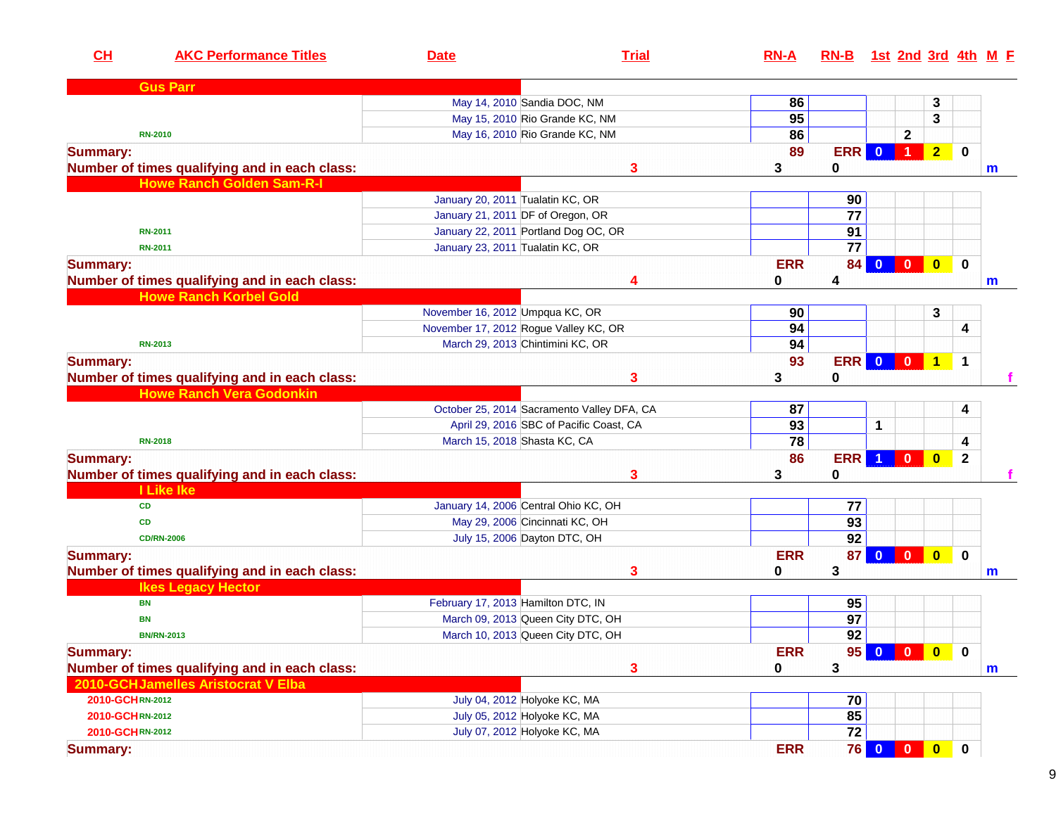| CL                                 | <b>AKC Performance Titles</b>                 | <b>Date</b>                           | <b>Trial</b>                               | $RN-A$          | RN-B 1st 2nd 3rd 4th M F |                         |                         |                         |              |             |
|------------------------------------|-----------------------------------------------|---------------------------------------|--------------------------------------------|-----------------|--------------------------|-------------------------|-------------------------|-------------------------|--------------|-------------|
| <b>Gus Parr</b>                    |                                               |                                       |                                            |                 |                          |                         |                         |                         |              |             |
|                                    |                                               | May 14, 2010 Sandia DOC, NM           |                                            | 86              |                          |                         |                         | 3                       |              |             |
|                                    |                                               | May 15, 2010 Rio Grande KC, NM        |                                            | 95              |                          |                         |                         | 3                       |              |             |
| <b>RN-2010</b>                     |                                               | May 16, 2010 Rio Grande KC, NM        |                                            | 86              |                          |                         | $\mathbf 2$             |                         |              |             |
| <b>Summary:</b>                    |                                               |                                       |                                            | 89              | <b>ERR</b>               | $\mathbf{0}$            | $\blacktriangleleft$    | 2 <sub>2</sub>          | $\mathbf 0$  |             |
|                                    | Number of times qualifying and in each class: |                                       | 3                                          | 3               | $\bf{0}$                 |                         |                         |                         |              | m           |
|                                    | <b>Howe Ranch Golden Sam-R-I</b>              |                                       |                                            |                 |                          |                         |                         |                         |              |             |
|                                    |                                               | January 20, 2011 Tualatin KC, OR      |                                            |                 | 90                       |                         |                         |                         |              |             |
|                                    |                                               | January 21, 2011 DF of Oregon, OR     |                                            |                 | $\overline{77}$          |                         |                         |                         |              |             |
| <b>RN-2011</b>                     |                                               | January 22, 2011 Portland Dog OC, OR  |                                            |                 | 91                       |                         |                         |                         |              |             |
| <b>RN-2011</b>                     |                                               | January 23, 2011 Tualatin KC, OR      |                                            |                 | $\overline{77}$          |                         |                         |                         |              |             |
| <b>Summary:</b>                    |                                               |                                       |                                            | <b>ERR</b>      | 84                       | $\mathbf{0}$            | $\mathbf{0}$            | $\bullet$               | $\mathbf{0}$ |             |
|                                    | Number of times qualifying and in each class: |                                       | 4                                          | 0               | 4                        |                         |                         |                         |              | $\mathbf m$ |
|                                    | <b>Howe Ranch Korbel Gold</b>                 |                                       |                                            |                 |                          |                         |                         |                         |              |             |
|                                    |                                               | November 16, 2012 Umpqua KC, OR       |                                            | 90              |                          |                         |                         | 3                       |              |             |
|                                    |                                               | November 17, 2012 Rogue Valley KC, OR |                                            | 94              |                          |                         |                         |                         | 4            |             |
| <b>RN-2013</b>                     |                                               | March 29, 2013 Chintimini KC, OR      |                                            | 94              |                          |                         |                         |                         |              |             |
| <b>Summary:</b>                    |                                               |                                       |                                            | 93              | <b>ERR</b>               | $\overline{\mathbf{0}}$ | $\overline{0}$          | $\blacktriangleleft$    | $\mathbf 1$  |             |
|                                    | Number of times qualifying and in each class: |                                       | 3                                          | 3               | 0                        |                         |                         |                         |              |             |
|                                    | <b>Howe Ranch Vera Godonkin</b>               |                                       |                                            |                 |                          |                         |                         |                         |              |             |
|                                    |                                               |                                       | October 25, 2014 Sacramento Valley DFA, CA | 87              |                          |                         |                         |                         | 4            |             |
|                                    |                                               |                                       | April 29, 2016 SBC of Pacific Coast, CA    | 93              |                          | 1                       |                         |                         |              |             |
| <b>RN-2018</b>                     |                                               | March 15, 2018 Shasta KC, CA          |                                            | $\overline{78}$ |                          |                         |                         |                         | 4            |             |
|                                    |                                               |                                       |                                            | 86              | <b>ERR</b>               | $\blacktriangleleft$    | $\mathbf{0}$            | $\overline{\mathbf{0}}$ |              |             |
| <b>Summary:</b>                    |                                               |                                       |                                            |                 |                          |                         |                         |                         | $\mathbf{2}$ |             |
| I Like Ike                         | Number of times qualifying and in each class: |                                       | 3                                          | 3               | 0                        |                         |                         |                         |              |             |
|                                    |                                               |                                       |                                            |                 |                          |                         |                         |                         |              |             |
| CD                                 |                                               | January 14, 2006 Central Ohio KC, OH  |                                            |                 | 77                       |                         |                         |                         |              |             |
| CD                                 |                                               | May 29, 2006 Cincinnati KC, OH        |                                            |                 | 93                       |                         |                         |                         |              |             |
| <b>CD/RN-2006</b>                  |                                               | July 15, 2006 Dayton DTC, OH          |                                            |                 | 92                       |                         |                         |                         |              |             |
| <b>Summary:</b>                    |                                               |                                       |                                            | <b>ERR</b>      | 87                       | $\overline{0}$          | $\overline{\mathbf{0}}$ | $\mathbf{0}$            | $\mathbf 0$  |             |
|                                    | Number of times qualifying and in each class: |                                       | 3                                          | 0               | 3                        |                         |                         |                         |              | m           |
| <b>Ikes Legacy Hector</b>          |                                               |                                       |                                            |                 |                          |                         |                         |                         |              |             |
| <b>BN</b>                          |                                               | February 17, 2013 Hamilton DTC, IN    |                                            |                 | 95                       |                         |                         |                         |              |             |
| <b>BN</b>                          |                                               | March 09, 2013 Queen City DTC, OH     |                                            |                 | $\overline{97}$          |                         |                         |                         |              |             |
| <b>BN/RN-2013</b>                  |                                               | March 10, 2013 Queen City DTC, OH     |                                            |                 | $\overline{92}$          |                         |                         |                         |              |             |
| <b>Summary:</b>                    |                                               |                                       |                                            | <b>ERR</b>      | 95                       | $\bullet$               | $\overline{\mathbf{0}}$ | $\bullet$               | $\mathbf 0$  |             |
|                                    | Number of times qualifying and in each class: |                                       | 3                                          | 0               | 3                        |                         |                         |                         |              | $\mathbf m$ |
| 2010-GCHJamelles Aristocrat V Elba |                                               |                                       |                                            |                 |                          |                         |                         |                         |              |             |
| 2010-GCHRN-2012                    |                                               | July 04, 2012 Holyoke KC, MA          |                                            |                 | 70                       |                         |                         |                         |              |             |
| 2010-GCHRN-2012                    |                                               | July 05, 2012 Holyoke KC, MA          |                                            |                 | 85                       |                         |                         |                         |              |             |
| 2010-GCHRN-2012                    |                                               | July 07, 2012 Holyoke KC, MA          |                                            |                 | 72                       |                         |                         |                         |              |             |
| <b>Summary:</b>                    |                                               |                                       |                                            | <b>ERR</b>      | 76                       | $\mathbf{0}$            | $\mathbf{0}$            | $\bullet$               | $\mathbf 0$  |             |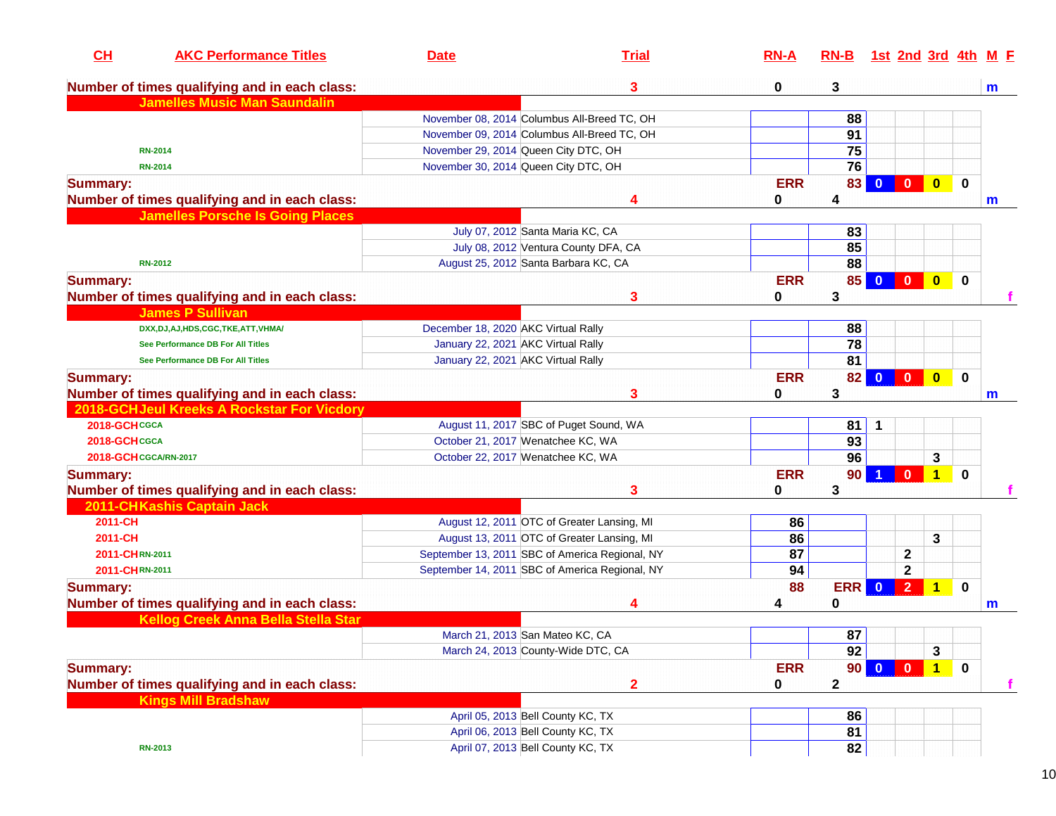| CH                    | <b>AKC Performance Titles</b>                 | <b>Date</b>                          | <b>Trial</b>                                   | $RN-A$     | $RN-B$      | 1st 2nd 3rd 4th M F                       |                         |             |             |
|-----------------------|-----------------------------------------------|--------------------------------------|------------------------------------------------|------------|-------------|-------------------------------------------|-------------------------|-------------|-------------|
|                       | Number of times qualifying and in each class: |                                      | 3                                              | 0          | 3           |                                           |                         |             | m           |
|                       | <b>Jamelles Music Man Saundalin</b>           |                                      |                                                |            |             |                                           |                         |             |             |
|                       |                                               |                                      | November 08, 2014 Columbus All-Breed TC, OH    |            | 88          |                                           |                         |             |             |
|                       |                                               |                                      | November 09, 2014 Columbus All-Breed TC, OH    |            | 91          |                                           |                         |             |             |
|                       | <b>RN-2014</b>                                | November 29, 2014 Queen City DTC, OH |                                                |            | 75          |                                           |                         |             |             |
|                       | <b>RN-2014</b>                                | November 30, 2014 Queen City DTC, OH |                                                |            | 76          |                                           |                         |             |             |
| <b>Summary:</b>       |                                               |                                      |                                                | <b>ERR</b> | 83          | $\overline{\mathbf{0}}$<br>$\mathbf{0}$   | $\overline{\mathbf{0}}$ | $\bf{0}$    |             |
|                       | Number of times qualifying and in each class: |                                      | 4                                              | 0          | 4           |                                           |                         |             | m           |
|                       | <b>Jamelles Porsche Is Going Places</b>       |                                      |                                                |            |             |                                           |                         |             |             |
|                       |                                               |                                      | July 07, 2012 Santa Maria KC, CA               |            | 83          |                                           |                         |             |             |
|                       |                                               |                                      | July 08, 2012 Ventura County DFA, CA           |            | 85          |                                           |                         |             |             |
|                       | <b>RN-2012</b>                                |                                      | August 25, 2012 Santa Barbara KC, CA           |            | 88          |                                           |                         |             |             |
| <b>Summary:</b>       |                                               |                                      |                                                | <b>ERR</b> | 85          | $\mathbf{0}$<br>$\Omega$                  | $\bullet$               | $\mathbf 0$ |             |
|                       | Number of times qualifying and in each class: |                                      | 3                                              | 0          | 3           |                                           |                         |             |             |
|                       | <b>James P Sullivan</b>                       |                                      |                                                |            |             |                                           |                         |             |             |
|                       | DXX, DJ, AJ, HDS, CGC, TKE, ATT, VHMA/        | December 18, 2020 AKC Virtual Rally  |                                                |            | 88          |                                           |                         |             |             |
|                       | See Performance DB For All Titles             | January 22, 2021 AKC Virtual Rally   |                                                |            | 78          |                                           |                         |             |             |
|                       | See Performance DB For All Titles             | January 22, 2021 AKC Virtual Rally   |                                                |            | 81          |                                           |                         |             |             |
| <b>Summary:</b>       |                                               |                                      |                                                | <b>ERR</b> | 82          | $\mathbf{0}$                              | $\bullet$               | $\bf{0}$    |             |
|                       | Number of times qualifying and in each class: |                                      | 3                                              | 0          | 3           |                                           |                         |             |             |
|                       | 2018-GCH Jeul Kreeks A Rockstar For Vicdory   |                                      |                                                |            |             |                                           |                         |             | m           |
| 2018-GCHCGCA          |                                               |                                      | August 11, 2017 SBC of Puget Sound, WA         |            | 81          | 1                                         |                         |             |             |
| 2018-GCHCGCA          |                                               | October 21, 2017 Wenatchee KC, WA    |                                                |            | 93          |                                           |                         |             |             |
| 2018-GCH CGCA/RN-2017 |                                               | October 22, 2017 Wenatchee KC, WA    |                                                |            | 96          |                                           | 3                       |             |             |
|                       |                                               |                                      |                                                |            |             |                                           |                         |             |             |
| <b>Summary:</b>       |                                               |                                      |                                                | <b>ERR</b> | 90          | $\mathbf{0}$                              | $\mathbf{1}$            | $\bf{0}$    |             |
|                       | Number of times qualifying and in each class: |                                      | 3                                              | 0          | 3           |                                           |                         |             |             |
|                       | 2011-CHKashis Captain Jack                    |                                      |                                                |            |             |                                           |                         |             |             |
| 2011-CH               |                                               |                                      | August 12, 2011 OTC of Greater Lansing, MI     | 86         |             |                                           |                         |             |             |
| 2011-CH               |                                               |                                      | August 13, 2011 OTC of Greater Lansing, MI     | 86         |             |                                           | 3                       |             |             |
| 2011-CHRN-2011        |                                               |                                      | September 13, 2011 SBC of America Regional, NY | 87         |             | $\mathbf 2$                               |                         |             |             |
| 2011-CHRN-2011        |                                               |                                      | September 14, 2011 SBC of America Regional, NY | 94         |             | $\mathbf{2}$                              |                         |             |             |
| <b>Summary:</b>       |                                               |                                      |                                                | 88         | <b>ERR</b>  | 2 <sup>1</sup><br>$\overline{\mathbf{0}}$ | $\mathbf{1}$            | $\bf{0}$    |             |
|                       | Number of times qualifying and in each class: |                                      | 4                                              | 4          | 0           |                                           |                         |             | m           |
|                       | Kellog Creek Anna Bella Stella Star           |                                      |                                                |            |             |                                           |                         |             |             |
|                       |                                               | March 21, 2013 San Mateo KC, CA      |                                                |            | 87          |                                           |                         |             |             |
|                       |                                               |                                      | March 24, 2013 County-Wide DTC, CA             |            | 92          |                                           | 3                       |             |             |
| <b>Summary:</b>       |                                               |                                      |                                                | <b>ERR</b> | 90          | $\overline{\mathbf{0}}$<br>$\mathbf{0}$   | $\overline{1}$          | $\mathbf 0$ |             |
|                       | Number of times qualifying and in each class: |                                      | $\overline{2}$                                 | 0          | $\mathbf 2$ |                                           |                         |             | $\mathbf f$ |
|                       | <b>Kings Mill Bradshaw</b>                    |                                      |                                                |            |             |                                           |                         |             |             |
|                       |                                               | April 05, 2013 Bell County KC, TX    |                                                |            | 86          |                                           |                         |             |             |
|                       |                                               | April 06, 2013 Bell County KC, TX    |                                                |            | 81          |                                           |                         |             |             |
|                       | <b>RN-2013</b>                                |                                      | April 07, 2013 Bell County KC, TX              |            | 82          |                                           |                         |             |             |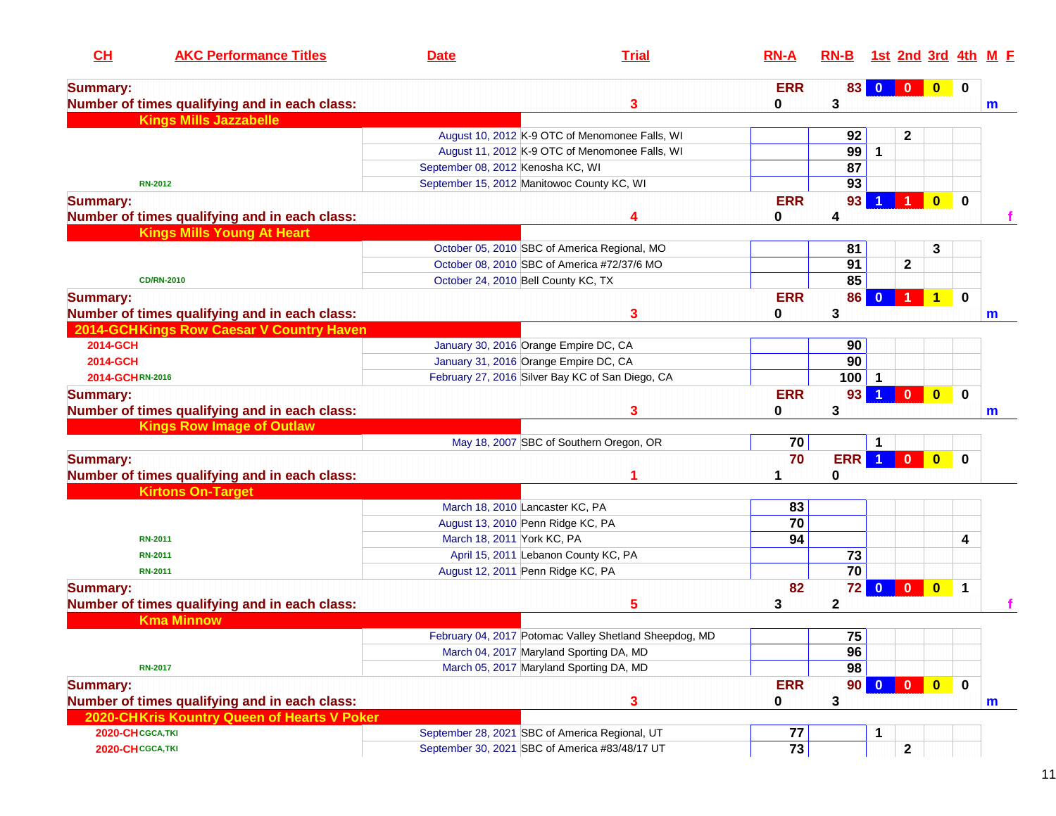| CH               | <b>AKC Performance Titles</b>                 | <b>Date</b>                       | <b>Trial</b>                                           | $RN-A$      | $RN-B$          |                         |                |                         |             | 1st 2nd 3rd 4th M E |
|------------------|-----------------------------------------------|-----------------------------------|--------------------------------------------------------|-------------|-----------------|-------------------------|----------------|-------------------------|-------------|---------------------|
| <b>Summary:</b>  |                                               |                                   |                                                        | <b>ERR</b>  | 83              | $\mathbf{0}$            | $\bf{0}$       | $\bf{0}$                | 0           |                     |
|                  | Number of times qualifying and in each class: |                                   | 3                                                      | 0           | 3               |                         |                |                         |             | $\mathbf m$         |
|                  | <b>Kings Mills Jazzabelle</b>                 |                                   |                                                        |             |                 |                         |                |                         |             |                     |
|                  |                                               |                                   | August 10, 2012 K-9 OTC of Menomonee Falls, WI         |             | 92              |                         | $\mathbf{2}$   |                         |             |                     |
|                  |                                               |                                   | August 11, 2012 K-9 OTC of Menomonee Falls, WI         |             | 99              | $\mathbf 1$             |                |                         |             |                     |
|                  |                                               | September 08, 2012 Kenosha KC, WI |                                                        |             | 87              |                         |                |                         |             |                     |
|                  | <b>RN-2012</b>                                |                                   | September 15, 2012 Manitowoc County KC, WI             |             | 93              |                         |                |                         |             |                     |
| <b>Summary:</b>  |                                               |                                   |                                                        | <b>ERR</b>  | 93              |                         |                | $\overline{\mathbf{0}}$ | $\mathbf 0$ |                     |
|                  | Number of times qualifying and in each class: |                                   | 4                                                      | 0           | 4               |                         |                |                         |             |                     |
|                  | <b>Kings Mills Young At Heart</b>             |                                   |                                                        |             |                 |                         |                |                         |             |                     |
|                  |                                               |                                   | October 05, 2010 SBC of America Regional, MO           |             | 81              |                         |                | 3                       |             |                     |
|                  |                                               |                                   | October 08, 2010 SBC of America #72/37/6 MO            |             | 91              |                         | $\mathbf 2$    |                         |             |                     |
|                  | <b>CD/RN-2010</b>                             |                                   | October 24, 2010 Bell County KC, TX                    |             | 85              |                         |                |                         |             |                     |
| <b>Summary:</b>  |                                               |                                   |                                                        | <b>ERR</b>  | 86              |                         |                | 1                       | $\mathbf 0$ |                     |
|                  | Number of times qualifying and in each class: |                                   | 3                                                      | 0           | 3               |                         |                |                         |             | $\mathbf m$         |
|                  | 2014-GCHKings Row Caesar V Country Haven      |                                   |                                                        |             |                 |                         |                |                         |             |                     |
| 2014-GCH         |                                               |                                   | January 30, 2016 Orange Empire DC, CA                  |             | 90              |                         |                |                         |             |                     |
| 2014-GCH         |                                               |                                   | January 31, 2016 Orange Empire DC, CA                  |             | 90              |                         |                |                         |             |                     |
| 2014-GCHRN-2016  |                                               |                                   | February 27, 2016 Silver Bay KC of San Diego, CA       |             | 100             |                         |                |                         |             |                     |
| <b>Summary:</b>  |                                               |                                   |                                                        | <b>ERR</b>  | 93              |                         | $\mathbf{0}$   | $\bullet$               | $\mathbf 0$ |                     |
|                  | Number of times qualifying and in each class: |                                   | 3                                                      | 0           | 3               |                         |                |                         |             | m                   |
|                  | <b>Kings Row Image of Outlaw</b>              |                                   |                                                        |             |                 |                         |                |                         |             |                     |
|                  |                                               |                                   | May 18, 2007 SBC of Southern Oregon, OR                | 70          |                 | 1                       |                |                         |             |                     |
| <b>Summary:</b>  |                                               |                                   |                                                        | 70          | <b>ERR</b>      | $\blacktriangleleft$    | $\bf{0}$       | $\mathbf{0}$            | $\bf{0}$    |                     |
|                  | Number of times qualifying and in each class: |                                   |                                                        |             | 0               |                         |                |                         |             |                     |
|                  | <b>Kirtons On-Target</b>                      |                                   |                                                        |             |                 |                         |                |                         |             |                     |
|                  |                                               |                                   | March 18, 2010 Lancaster KC, PA                        | 83          |                 |                         |                |                         |             |                     |
|                  |                                               |                                   | August 13, 2010 Penn Ridge KC, PA                      | 70          |                 |                         |                |                         |             |                     |
|                  | <b>RN-2011</b>                                | March 18, 2011 York KC, PA        |                                                        | 94          |                 |                         |                |                         | 4           |                     |
|                  | <b>RN-2011</b>                                |                                   | April 15, 2011 Lebanon County KC, PA                   |             | 73              |                         |                |                         |             |                     |
|                  | <b>RN-2011</b>                                |                                   | August 12, 2011 Penn Ridge KC, PA                      |             | 70              |                         |                |                         |             |                     |
| <b>Summary:</b>  |                                               |                                   |                                                        | 82          | 72              | $\overline{\mathbf{0}}$ | $\blacksquare$ | $\overline{\mathbf{0}}$ | 1           |                     |
|                  | Number of times qualifying and in each class: |                                   | 5                                                      | 3           | $\mathbf 2$     |                         |                |                         |             |                     |
|                  | <b>Kma Minnow</b>                             |                                   |                                                        |             |                 |                         |                |                         |             |                     |
|                  |                                               |                                   | February 04, 2017 Potomac Valley Shetland Sheepdog, MD |             | 75              |                         |                |                         |             |                     |
|                  |                                               |                                   | March 04, 2017 Maryland Sporting DA, MD                |             | 96              |                         |                |                         |             |                     |
|                  | <b>RN-2017</b>                                |                                   | March 05, 2017 Maryland Sporting DA, MD                |             | 98              |                         |                |                         |             |                     |
| <b>Summary:</b>  |                                               |                                   |                                                        | <b>ERR</b>  | 90 <sub>1</sub> | $\mathbf{0}$            | $\mathbf{0}$   | $\bullet$               | $\mathbf 0$ |                     |
|                  | Number of times qualifying and in each class: |                                   | 3                                                      | $\mathbf 0$ | 3               |                         |                |                         |             | $\mathbf{m}$        |
|                  | 2020-CHKris Kountry Queen of Hearts V Poker   |                                   |                                                        |             |                 |                         |                |                         |             |                     |
| 2020-CHCGCA, TKI |                                               |                                   | September 28, 2021 SBC of America Regional, UT         | 77          |                 | 1                       |                |                         |             |                     |
| 2020-CHCGCA, TKI |                                               |                                   | September 30, 2021 SBC of America #83/48/17 UT         | 73          |                 |                         | $\mathbf 2$    |                         |             |                     |
|                  |                                               |                                   |                                                        |             |                 |                         |                |                         |             |                     |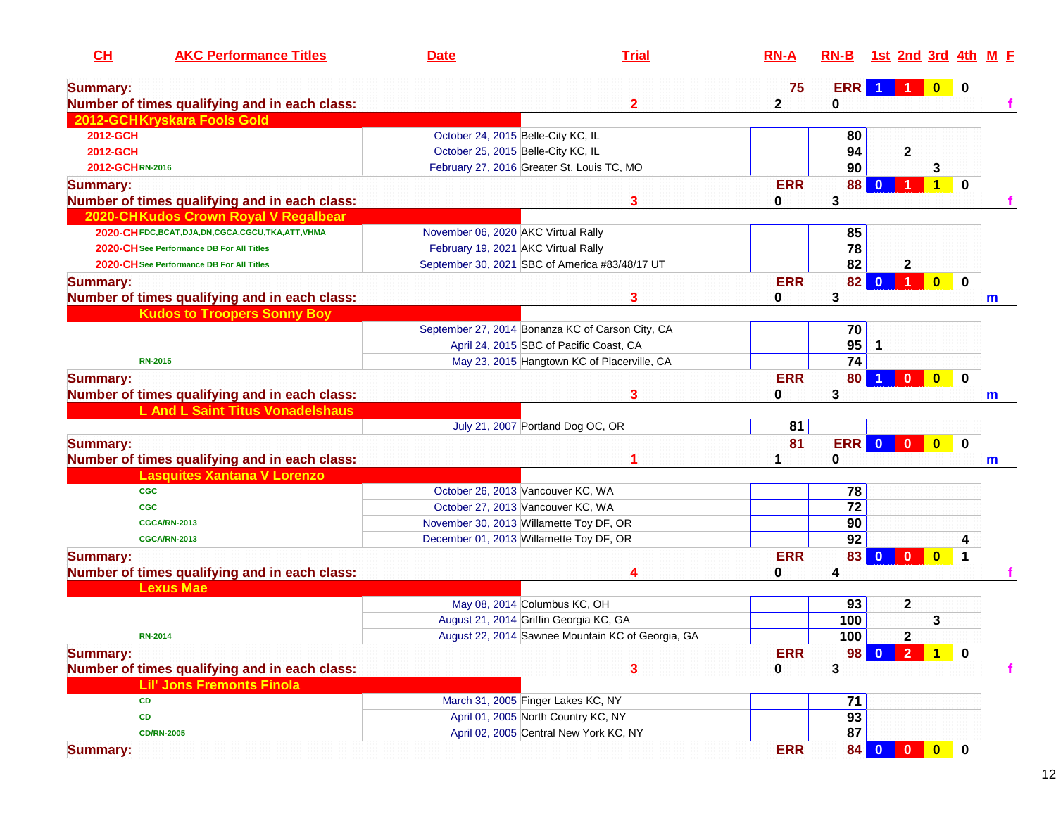| CH                                                     | <b>AKC Performance Titles</b>           | <b>Date</b>                         | <b>Trial</b>                                      | $RN-A$      | $RN-B$          | <u>1st 2nd 3rd 4th</u>                             |                         |             | <u>M E</u> |
|--------------------------------------------------------|-----------------------------------------|-------------------------------------|---------------------------------------------------|-------------|-----------------|----------------------------------------------------|-------------------------|-------------|------------|
| <b>Summary:</b>                                        |                                         |                                     |                                                   | 75          | <b>ERR</b>      |                                                    |                         |             |            |
| Number of times qualifying and in each class:          |                                         |                                     | $\mathbf{2}$                                      | $\mathbf 2$ | 0               |                                                    |                         |             |            |
| 2012-GCHKryskara Fools Gold                            |                                         |                                     |                                                   |             |                 |                                                    |                         |             |            |
| 2012-GCH                                               |                                         | October 24, 2015 Belle-City KC, IL  |                                                   |             | 80              |                                                    |                         |             |            |
| 2012-GCH                                               |                                         | October 25, 2015 Belle-City KC, IL  |                                                   |             | 94              | $\mathbf 2$                                        |                         |             |            |
| 2012-GCHRN-2016                                        |                                         |                                     | February 27, 2016 Greater St. Louis TC, MO        |             | 90              |                                                    | 3                       |             |            |
| <b>Summary:</b>                                        |                                         |                                     |                                                   | <b>ERR</b>  | 88              |                                                    | 1                       | $\bf{0}$    |            |
| Number of times qualifying and in each class:          |                                         |                                     | 3                                                 | 0           | 3               |                                                    |                         |             |            |
| 2020-CHKudos Crown Royal V Regalbear                   |                                         |                                     |                                                   |             |                 |                                                    |                         |             |            |
| 2020-CH FDC, BCAT, DJA, DN, CGCA, CGCU, TKA, ATT, VHMA |                                         | November 06, 2020 AKC Virtual Rally |                                                   |             | 85              |                                                    |                         |             |            |
| 2020-CH See Performance DB For All Titles              |                                         | February 19, 2021 AKC Virtual Rally |                                                   |             | 78              |                                                    |                         |             |            |
| 2020-CH See Performance DB For All Titles              |                                         |                                     | September 30, 2021 SBC of America #83/48/17 UT    |             | 82              | $\mathbf 2$                                        |                         |             |            |
| <b>Summary:</b>                                        |                                         |                                     |                                                   | <b>ERR</b>  | 82              | $\bf{0}$                                           | $\bullet$               | $\mathbf 0$ |            |
| Number of times qualifying and in each class:          |                                         |                                     | 3                                                 | 0           | 3               |                                                    |                         |             | m          |
|                                                        | <b>Kudos to Troopers Sonny Boy</b>      |                                     |                                                   |             |                 |                                                    |                         |             |            |
|                                                        |                                         |                                     | September 27, 2014 Bonanza KC of Carson City, CA  |             | 70              |                                                    |                         |             |            |
|                                                        |                                         |                                     | April 24, 2015 SBC of Pacific Coast, CA           |             | 95              | 1                                                  |                         |             |            |
| <b>RN-2015</b>                                         |                                         |                                     | May 23, 2015 Hangtown KC of Placerville, CA       |             | 74              |                                                    |                         |             |            |
| <b>Summary:</b>                                        |                                         |                                     |                                                   | <b>ERR</b>  | 80              | $\mathbf{0}$                                       | $\overline{\mathbf{0}}$ | $\mathbf 0$ |            |
| Number of times qualifying and in each class:          |                                         |                                     | 3                                                 | 0           | 3               |                                                    |                         |             | m          |
|                                                        | <b>L And L Saint Titus Vonadelshaus</b> |                                     |                                                   |             |                 |                                                    |                         |             |            |
|                                                        |                                         |                                     | July 21, 2007 Portland Dog OC, OR                 | 81          |                 |                                                    |                         |             |            |
| <b>Summary:</b>                                        |                                         |                                     |                                                   | 81          | ERR             | $\overline{\mathbf{0}}$<br>$\overline{\mathbf{0}}$ | $\overline{\mathbf{0}}$ | $\mathbf 0$ |            |
| Number of times qualifying and in each class:          |                                         |                                     |                                                   |             | 0               |                                                    |                         |             | m          |
|                                                        | <b>Lasquites Xantana V Lorenzo</b>      |                                     |                                                   |             |                 |                                                    |                         |             |            |
| <b>CGC</b>                                             |                                         |                                     | October 26, 2013 Vancouver KC, WA                 |             | 78              |                                                    |                         |             |            |
| <b>CGC</b>                                             |                                         |                                     | October 27, 2013 Vancouver KC, WA                 |             | $\overline{72}$ |                                                    |                         |             |            |
| <b>CGCA/RN-2013</b>                                    |                                         |                                     | November 30, 2013 Willamette Toy DF, OR           |             | 90              |                                                    |                         |             |            |
| <b>CGCA/RN-2013</b>                                    |                                         |                                     | December 01, 2013 Willamette Toy DF, OR           |             | 92              |                                                    |                         | 4           |            |
| <b>Summary:</b>                                        |                                         |                                     |                                                   | <b>ERR</b>  | 83              | $\overline{0}$<br>$\mathbf{0}$                     | $\overline{\mathbf{0}}$ | $\mathbf 1$ |            |
| Number of times qualifying and in each class:          |                                         |                                     |                                                   | 0           | 4               |                                                    |                         |             |            |
| <b>Lexus Mae</b>                                       |                                         |                                     |                                                   |             |                 |                                                    |                         |             |            |
|                                                        |                                         |                                     | May 08, 2014 Columbus KC, OH                      |             | 93              | 2                                                  |                         |             |            |
|                                                        |                                         |                                     | August 21, 2014 Griffin Georgia KC, GA            |             | 100             |                                                    | 3                       |             |            |
| <b>RN-2014</b>                                         |                                         |                                     | August 22, 2014 Sawnee Mountain KC of Georgia, GA |             | 100             | $\boldsymbol{2}$                                   |                         |             |            |
| <b>Summary:</b>                                        |                                         |                                     |                                                   | <b>ERR</b>  | 98 <sub>1</sub> | $\bullet$                                          | $\overline{1}$          | $\mathbf 0$ |            |
| Number of times qualifying and in each class:          |                                         |                                     | 3                                                 | $\mathbf 0$ | 3               |                                                    |                         |             |            |
| <b>Lil' Jons Fremonts Finola</b>                       |                                         |                                     |                                                   |             |                 |                                                    |                         |             |            |
| CD                                                     |                                         |                                     | March 31, 2005 Finger Lakes KC, NY                |             | 71              |                                                    |                         |             |            |
| CD                                                     |                                         |                                     | April 01, 2005 North Country KC, NY               |             | $\overline{93}$ |                                                    |                         |             |            |
| <b>CD/RN-2005</b>                                      |                                         |                                     | April 02, 2005 Central New York KC, NY            |             | 87              |                                                    |                         |             |            |
| <b>Summary:</b>                                        |                                         |                                     |                                                   | <b>ERR</b>  | 84              | $\bf{0}$<br>$\mathbf{0}$                           | $\bullet$               | $\mathbf 0$ |            |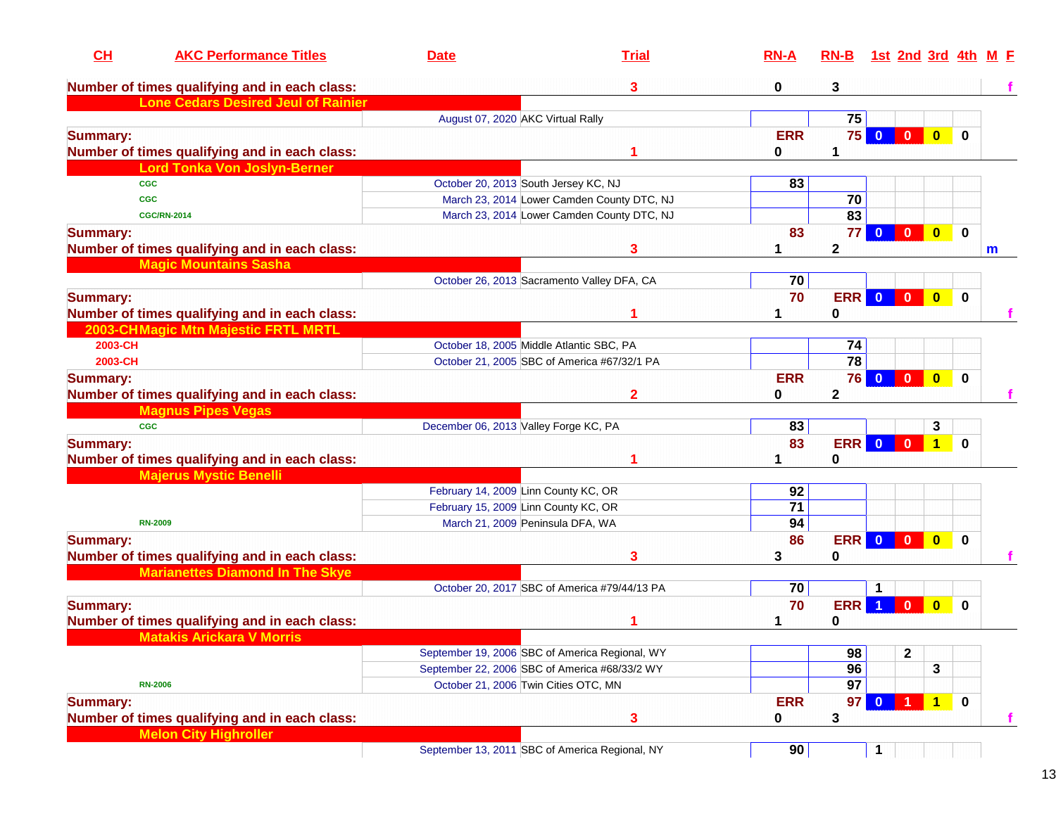| CL<br><b>AKC Performance Titles</b>           | <b>Date</b> | <b>Trial</b>                                   | $RN-A$          | $RN-B$          |                | 1st 2nd 3rd 4th         |                         |             | M F         |
|-----------------------------------------------|-------------|------------------------------------------------|-----------------|-----------------|----------------|-------------------------|-------------------------|-------------|-------------|
| Number of times qualifying and in each class: |             | 3                                              | 0               | 3               |                |                         |                         |             |             |
| <b>Lone Cedars Desired Jeul of Rainier</b>    |             |                                                |                 |                 |                |                         |                         |             |             |
|                                               |             | August 07, 2020 AKC Virtual Rally              |                 | 75              |                |                         |                         |             |             |
| <b>Summary:</b>                               |             |                                                | <b>ERR</b>      | 75              | $\bf{0}$       | $\mathbf{0}$            | $\bf{0}$                | 0           |             |
| Number of times qualifying and in each class: |             |                                                | 0               | 1               |                |                         |                         |             |             |
| <b>Lord Tonka Von Joslyn-Berner</b>           |             |                                                |                 |                 |                |                         |                         |             |             |
| <b>CGC</b>                                    |             | October 20, 2013 South Jersey KC, NJ           | 83              |                 |                |                         |                         |             |             |
| <b>CGC</b>                                    |             | March 23, 2014 Lower Camden County DTC, NJ     |                 | 70              |                |                         |                         |             |             |
| <b>CGC/RN-2014</b>                            |             | March 23, 2014 Lower Camden County DTC, NJ     |                 | $\overline{83}$ |                |                         |                         |             |             |
| <b>Summary:</b>                               |             |                                                | 83              | 77              | $\Omega$       | $\mathbf{0}$            | $\overline{\mathbf{0}}$ | $\mathbf 0$ |             |
| Number of times qualifying and in each class: |             | 3                                              |                 | 2               |                |                         |                         |             | $\mathbf m$ |
| <b>Magic Mountains Sasha</b>                  |             |                                                |                 |                 |                |                         |                         |             |             |
|                                               |             | October 26, 2013 Sacramento Valley DFA, CA     | 70              |                 |                |                         |                         |             |             |
| <b>Summary:</b>                               |             |                                                | 70              | <b>ERR</b>      | $\overline{0}$ | $\overline{\mathbf{0}}$ | $\bullet$               | $\mathbf 0$ |             |
| Number of times qualifying and in each class: |             |                                                |                 | 0               |                |                         |                         |             |             |
| 2003-CHMagic Mtn Majestic FRTL MRTL           |             |                                                |                 |                 |                |                         |                         |             |             |
| 2003-CH                                       |             | October 18, 2005 Middle Atlantic SBC, PA       |                 | 74              |                |                         |                         |             |             |
| 2003-CH                                       |             | October 21, 2005 SBC of America #67/32/1 PA    |                 | 78              |                |                         |                         |             |             |
| <b>Summary:</b>                               |             |                                                | <b>ERR</b>      | <b>76</b>       | $\mathbf{0}$   | $\mathbf{0}$            | $\bullet$               | $\mathbf 0$ |             |
| Number of times qualifying and in each class: |             | 2                                              | 0               | $\mathbf 2$     |                |                         |                         |             |             |
| <b>Magnus Pipes Vegas</b>                     |             |                                                |                 |                 |                |                         |                         |             |             |
| <b>CGC</b>                                    |             | December 06, 2013 Valley Forge KC, PA          | 83              |                 |                |                         | 3                       |             |             |
| <b>Summary:</b>                               |             |                                                | 83              | <b>ERR</b>      | $\mathbf{0}$   | $\mathbf{0}$            | $\mathbf{1}$            | 0           |             |
| Number of times qualifying and in each class: |             |                                                |                 | 0               |                |                         |                         |             |             |
| <b>Majerus Mystic Benelli</b>                 |             |                                                |                 |                 |                |                         |                         |             |             |
|                                               |             | February 14, 2009 Linn County KC, OR           | 92              |                 |                |                         |                         |             |             |
|                                               |             | February 15, 2009 Linn County KC, OR           | $\overline{71}$ |                 |                |                         |                         |             |             |
| <b>RN-2009</b>                                |             | March 21, 2009 Peninsula DFA, WA               | 94              |                 |                |                         |                         |             |             |
| <b>Summary:</b>                               |             |                                                | 86              | ERR 0           |                | $\mathbf{0}$            | $\overline{\mathbf{0}}$ | $\bf{0}$    |             |
| Number of times qualifying and in each class: |             | 3                                              | 3               | 0               |                |                         |                         |             |             |
| <b>Marianettes Diamond In The Skye</b>        |             |                                                |                 |                 |                |                         |                         |             |             |
|                                               |             | October 20, 2017 SBC of America #79/44/13 PA   | 70              |                 | 1              |                         |                         |             |             |
| <b>Summary:</b>                               |             |                                                | 70              | <b>ERR</b>      |                | $\mathbf{0}$            | $\bf{0}$                | 0           |             |
| Number of times qualifying and in each class: |             |                                                |                 | 0               |                |                         |                         |             |             |
| <b>Matakis Arickara V Morris</b>              |             |                                                |                 |                 |                |                         |                         |             |             |
|                                               |             | September 19, 2006 SBC of America Regional, WY |                 | 98              |                | $\mathbf 2$             |                         |             |             |
|                                               |             | September 22, 2006 SBC of America #68/33/2 WY  |                 | 96              |                |                         | 3                       |             |             |
| <b>RN-2006</b>                                |             | October 21, 2006 Twin Cities OTC, MN           |                 | $\overline{97}$ |                |                         |                         |             |             |
| <b>Summary:</b>                               |             |                                                | <b>ERR</b>      | 97              |                |                         | $\mathbf{1}$            | $\mathbf 0$ |             |
| Number of times qualifying and in each class: |             | 3                                              | 0               | 3               |                |                         |                         |             |             |
| <b>Melon City Highroller</b>                  |             |                                                |                 |                 |                |                         |                         |             |             |
|                                               |             | September 13, 2011 SBC of America Regional, NY | 90              |                 | 1              |                         |                         |             |             |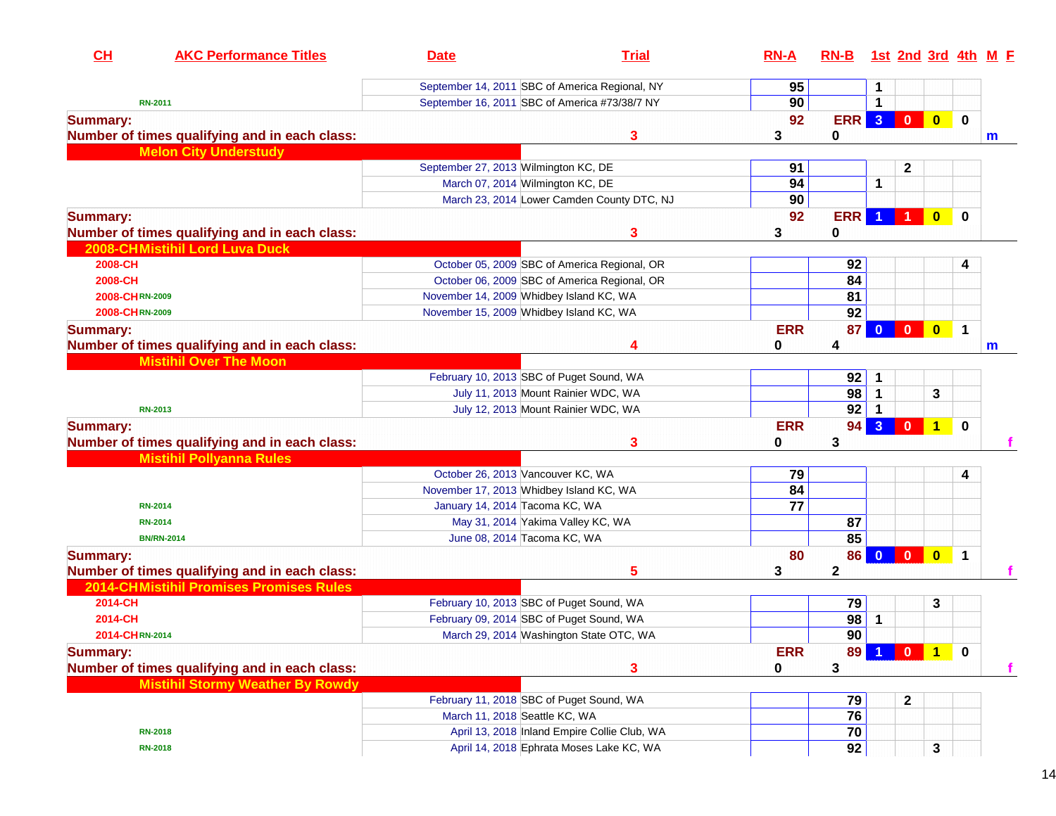| CH<br><b>AKC Performance Titles</b>                                              | <b>Date</b>                                                                        | <b>Trial</b>                                   | $RN-A$      | RN-B 1st 2nd 3rd 4th M F |                         |                  |                         |             |             |
|----------------------------------------------------------------------------------|------------------------------------------------------------------------------------|------------------------------------------------|-------------|--------------------------|-------------------------|------------------|-------------------------|-------------|-------------|
|                                                                                  |                                                                                    | September 14, 2011 SBC of America Regional, NY | 95          |                          | 1                       |                  |                         |             |             |
| <b>RN-2011</b>                                                                   |                                                                                    | September 16, 2011 SBC of America #73/38/7 NY  | 90          |                          | $\mathbf 1$             |                  |                         |             |             |
| <b>Summary:</b>                                                                  |                                                                                    |                                                | 92          | ERR <sub>3</sub>         |                         | $\blacksquare$   | $\bullet$               | $\mathbf 0$ |             |
| Number of times qualifying and in each class:                                    |                                                                                    | 3                                              | 3           | 0                        |                         |                  |                         |             | $\mathbf m$ |
| <b>Melon City Understudy</b>                                                     |                                                                                    |                                                |             |                          |                         |                  |                         |             |             |
|                                                                                  | September 27, 2013 Wilmington KC, DE                                               |                                                | 91          |                          |                         | $\mathbf{2}$     |                         |             |             |
|                                                                                  | March 07, 2014 Wilmington KC, DE                                                   |                                                | 94          |                          | 1                       |                  |                         |             |             |
|                                                                                  |                                                                                    | March 23, 2014 Lower Camden County DTC, NJ     | 90          |                          |                         |                  |                         |             |             |
| <b>Summary:</b>                                                                  |                                                                                    |                                                | 92          | <b>ERR</b>               | -1                      |                  | $\mathbf{0}$            | $\bf{0}$    |             |
| Number of times qualifying and in each class:                                    |                                                                                    | 3                                              | 3           | 0                        |                         |                  |                         |             |             |
| 2008-CHMistihil Lord Luva Duck                                                   |                                                                                    |                                                |             |                          |                         |                  |                         |             |             |
| 2008-CH                                                                          |                                                                                    | October 05, 2009 SBC of America Regional, OR   |             | 92                       |                         |                  |                         | 4           |             |
| 2008-CH                                                                          |                                                                                    | October 06, 2009 SBC of America Regional, OR   |             | 84<br>81                 |                         |                  |                         |             |             |
| 2008-CHRN-2009<br>2008-CHRN-2009                                                 | November 14, 2009 Whidbey Island KC, WA<br>November 15, 2009 Whidbey Island KC, WA |                                                |             | 92                       |                         |                  |                         |             |             |
|                                                                                  |                                                                                    |                                                |             |                          |                         |                  |                         |             |             |
| <b>Summary:</b>                                                                  |                                                                                    |                                                | <b>ERR</b>  | 87 <sup>1</sup>          |                         |                  | $\bullet$               | $\mathbf 1$ |             |
| Number of times qualifying and in each class:<br><b>Mistihil Over The Moon</b>   |                                                                                    | 4                                              | 0           | 4                        |                         |                  |                         |             | m           |
|                                                                                  |                                                                                    |                                                |             | 92                       |                         |                  |                         |             |             |
|                                                                                  | February 10, 2013 SBC of Puget Sound, WA                                           | July 11, 2013 Mount Rainier WDC, WA            |             | 98                       | 1<br>$\mathbf 1$        |                  | 3                       |             |             |
| <b>RN-2013</b>                                                                   |                                                                                    | July 12, 2013 Mount Rainier WDC, WA            |             | 92                       |                         |                  |                         |             |             |
|                                                                                  |                                                                                    |                                                | <b>ERR</b>  | 94                       | 3 <sup>2</sup>          | $\mathbf{0}$     | $\mathbf{1}$            | $\bf{0}$    |             |
| <b>Summary:</b>                                                                  |                                                                                    | 3                                              | 0           | 3                        |                         |                  |                         |             |             |
| Number of times qualifying and in each class:<br><b>Mistihil Pollyanna Rules</b> |                                                                                    |                                                |             |                          |                         |                  |                         |             |             |
|                                                                                  | October 26, 2013 Vancouver KC, WA                                                  |                                                | 79          |                          |                         |                  |                         | 4           |             |
|                                                                                  | November 17, 2013 Whidbey Island KC, WA                                            |                                                | 84          |                          |                         |                  |                         |             |             |
| <b>RN-2014</b>                                                                   | January 14, 2014 Tacoma KC, WA                                                     |                                                | 77          |                          |                         |                  |                         |             |             |
| <b>RN-2014</b>                                                                   |                                                                                    | May 31, 2014 Yakima Valley KC, WA              |             | 87                       |                         |                  |                         |             |             |
| <b>BN/RN-2014</b>                                                                | June 08, 2014 Tacoma KC, WA                                                        |                                                |             | 85                       |                         |                  |                         |             |             |
| <b>Summary:</b>                                                                  |                                                                                    |                                                | 80          | 86                       | $\overline{\mathbf{0}}$ | $\blacksquare$   | $\overline{\mathbf{0}}$ | $\mathbf 1$ |             |
| Number of times qualifying and in each class:                                    |                                                                                    | 5                                              | 3           | $\mathbf{2}$             |                         |                  |                         |             |             |
| <b>2014-CHMistihil Promises Promises Rules</b>                                   |                                                                                    |                                                |             |                          |                         |                  |                         |             |             |
| 2014-CH                                                                          | February 10, 2013 SBC of Puget Sound, WA                                           |                                                |             | 79                       |                         |                  | 3                       |             |             |
| 2014-CH                                                                          | February 09, 2014 SBC of Puget Sound, WA                                           |                                                |             | 98                       | $\mathbf 1$             |                  |                         |             |             |
| 2014-CHRN-2014                                                                   |                                                                                    | March 29, 2014 Washington State OTC, WA        |             | 90                       |                         |                  |                         |             |             |
| <b>Summary:</b>                                                                  |                                                                                    |                                                | <b>ERR</b>  | 89                       |                         | $\mathbf{0}$     | $\blacktriangleleft$    | $\mathbf 0$ |             |
| Number of times qualifying and in each class:                                    |                                                                                    | 3                                              | $\mathbf 0$ | 3                        |                         |                  |                         |             |             |
| <b>Mistihil Stormy Weather By Rowdy</b>                                          |                                                                                    |                                                |             |                          |                         |                  |                         |             |             |
|                                                                                  | February 11, 2018 SBC of Puget Sound, WA                                           |                                                |             | 79                       |                         | $\boldsymbol{2}$ |                         |             |             |
|                                                                                  | March 11, 2018 Seattle KC, WA                                                      |                                                |             | 76                       |                         |                  |                         |             |             |
| <b>RN-2018</b>                                                                   |                                                                                    | April 13, 2018 Inland Empire Collie Club, WA   |             | 70                       |                         |                  |                         |             |             |
| <b>RN-2018</b>                                                                   |                                                                                    | April 14, 2018 Ephrata Moses Lake KC, WA       |             | 92                       |                         |                  | 3                       |             |             |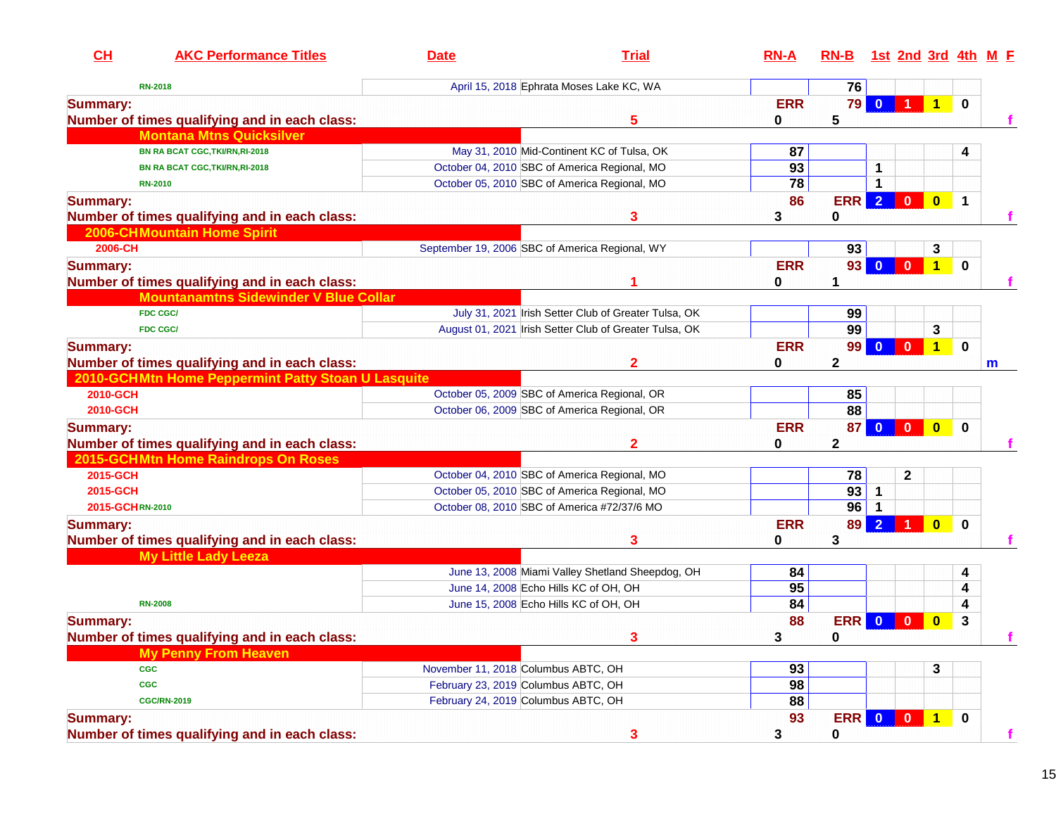| CH              | <b>AKC Performance Titles</b>                      | <b>Date</b>                         | <b>Trial</b>                                           | $RN-A$     | <b>RN-B</b>     |                         |                         |                |             | 1st 2nd 3rd 4th M F |
|-----------------|----------------------------------------------------|-------------------------------------|--------------------------------------------------------|------------|-----------------|-------------------------|-------------------------|----------------|-------------|---------------------|
|                 | <b>RN-2018</b>                                     |                                     | April 15, 2018 Ephrata Moses Lake KC, WA               |            | 76              |                         |                         |                |             |                     |
| <b>Summary:</b> |                                                    |                                     |                                                        | <b>ERR</b> | 79              | $\bf{0}$                |                         | 1 <sup>1</sup> | $\mathbf 0$ |                     |
|                 | Number of times qualifying and in each class:      |                                     | 5                                                      | 0          | 5               |                         |                         |                |             |                     |
|                 | <b>Montana Mtns Quicksilver</b>                    |                                     |                                                        |            |                 |                         |                         |                |             |                     |
|                 | BN RA BCAT CGC, TKI/RN, RI-2018                    |                                     | May 31, 2010 Mid-Continent KC of Tulsa, OK             | 87         |                 |                         |                         |                | 4           |                     |
|                 | BN RA BCAT CGC, TKI/RN, RI-2018                    |                                     | October 04, 2010 SBC of America Regional, MO           | 93         |                 | 1                       |                         |                |             |                     |
|                 | <b>RN-2010</b>                                     |                                     | October 05, 2010 SBC of America Regional, MO           | 78         |                 | 1                       |                         |                |             |                     |
| <b>Summary:</b> |                                                    |                                     |                                                        | 86         | <b>ERR</b>      | $\overline{2}$          | $\mathbf 0$             | $\bf{0}$       | $\mathbf 1$ |                     |
|                 | Number of times qualifying and in each class:      |                                     | 3                                                      | 3          | 0               |                         |                         |                |             |                     |
|                 | <b>2006-CHMountain Home Spirit</b>                 |                                     |                                                        |            |                 |                         |                         |                |             |                     |
| 2006-CH         |                                                    |                                     | September 19, 2006 SBC of America Regional, WY         |            | 93              |                         |                         | 3              |             |                     |
| <b>Summary:</b> |                                                    |                                     |                                                        | <b>ERR</b> | 93 <sub>1</sub> | $\bf{0}$                | $\mathbf{0}$            | $\overline{1}$ | $\bf{0}$    |                     |
|                 | Number of times qualifying and in each class:      |                                     |                                                        |            |                 |                         |                         |                |             |                     |
|                 | <b>Mountanamtns Sidewinder V Blue Collar</b>       |                                     |                                                        |            |                 |                         |                         |                |             |                     |
|                 | <b>FDC CGC/</b>                                    |                                     | July 31, 2021 Irish Setter Club of Greater Tulsa, OK   |            | 99              |                         |                         |                |             |                     |
|                 | <b>FDC CGC/</b>                                    |                                     | August 01, 2021 Irish Setter Club of Greater Tulsa, OK |            | 99              |                         |                         | 3              |             |                     |
| <b>Summary:</b> |                                                    |                                     |                                                        | <b>ERR</b> | 99 <sub>1</sub> | $\mathbf{0}$            | $\overline{\mathbf{0}}$ | $\mathbf{1}$   | 0           |                     |
|                 | Number of times qualifying and in each class:      |                                     | 2                                                      | 0          | 2               |                         |                         |                |             | m                   |
|                 | 2010-GCHMtn Home Peppermint Patty Stoan U Lasquite |                                     |                                                        |            |                 |                         |                         |                |             |                     |
| 2010-GCH        |                                                    |                                     | October 05, 2009 SBC of America Regional, OR           |            | 85              |                         |                         |                |             |                     |
| 2010-GCH        |                                                    |                                     | October 06, 2009 SBC of America Regional, OR           |            | 88              |                         |                         |                |             |                     |
| <b>Summary:</b> |                                                    |                                     |                                                        | <b>ERR</b> | 87 <sup>1</sup> | $\overline{\mathbf{0}}$ | $\overline{\mathbf{0}}$ | $\bf{0}$       | $\bf{0}$    |                     |
|                 | Number of times qualifying and in each class:      |                                     | $\mathbf{2}$                                           | 0          | 2               |                         |                         |                |             |                     |
|                 | 2015-GCHMtn Home Raindrops On Roses                |                                     |                                                        |            |                 |                         |                         |                |             |                     |
| 2015-GCH        |                                                    |                                     | October 04, 2010 SBC of America Regional, MO           |            | 78              |                         | $\mathbf{2}$            |                |             |                     |
| 2015-GCH        |                                                    |                                     | October 05, 2010 SBC of America Regional, MO           |            | 93              | $\mathbf{1}$            |                         |                |             |                     |
| 2015-GCHRN-2010 |                                                    |                                     | October 08, 2010 SBC of America #72/37/6 MO            |            | 96              |                         |                         |                |             |                     |
| <b>Summary:</b> |                                                    |                                     |                                                        | <b>ERR</b> | 89              | $\overline{2}$          |                         | $\bf{0}$       | $\bf{0}$    |                     |
|                 | Number of times qualifying and in each class:      |                                     | 3                                                      | 0          | 3               |                         |                         |                |             |                     |
|                 | <b>My Little Lady Leeza</b>                        |                                     |                                                        |            |                 |                         |                         |                |             |                     |
|                 |                                                    |                                     | June 13, 2008 Miami Valley Shetland Sheepdog, OH       | 84         |                 |                         |                         |                | 4           |                     |
|                 |                                                    |                                     | June 14, 2008 Echo Hills KC of OH, OH                  | 95         |                 |                         |                         |                | 4           |                     |
|                 | <b>RN-2008</b>                                     |                                     | June 15, 2008 Echo Hills KC of OH, OH                  | 84         |                 |                         |                         |                | 4           |                     |
| <b>Summary:</b> |                                                    |                                     |                                                        | 88         | ERR             | $\mathbf{0}$            | $\mathbf{0}$            | $\bf{0}$       | 3           |                     |
|                 | Number of times qualifying and in each class:      |                                     | 3                                                      | 3          | 0               |                         |                         |                |             |                     |
|                 | <b>My Penny From Heaven</b>                        |                                     |                                                        |            |                 |                         |                         |                |             |                     |
|                 | <b>CGC</b>                                         | November 11, 2018 Columbus ABTC, OH |                                                        | 93         |                 |                         |                         | 3              |             |                     |
|                 | <b>CGC</b>                                         | February 23, 2019 Columbus ABTC, OH |                                                        | 98         |                 |                         |                         |                |             |                     |
|                 | <b>CGC/RN-2019</b>                                 | February 24, 2019 Columbus ABTC, OH |                                                        | 88         |                 |                         |                         |                |             |                     |
| <b>Summary:</b> |                                                    |                                     |                                                        | 93         | ERR 0 0 1 0     |                         |                         |                |             |                     |
|                 | Number of times qualifying and in each class:      |                                     | 3                                                      | 3          | 0               |                         |                         |                |             | f                   |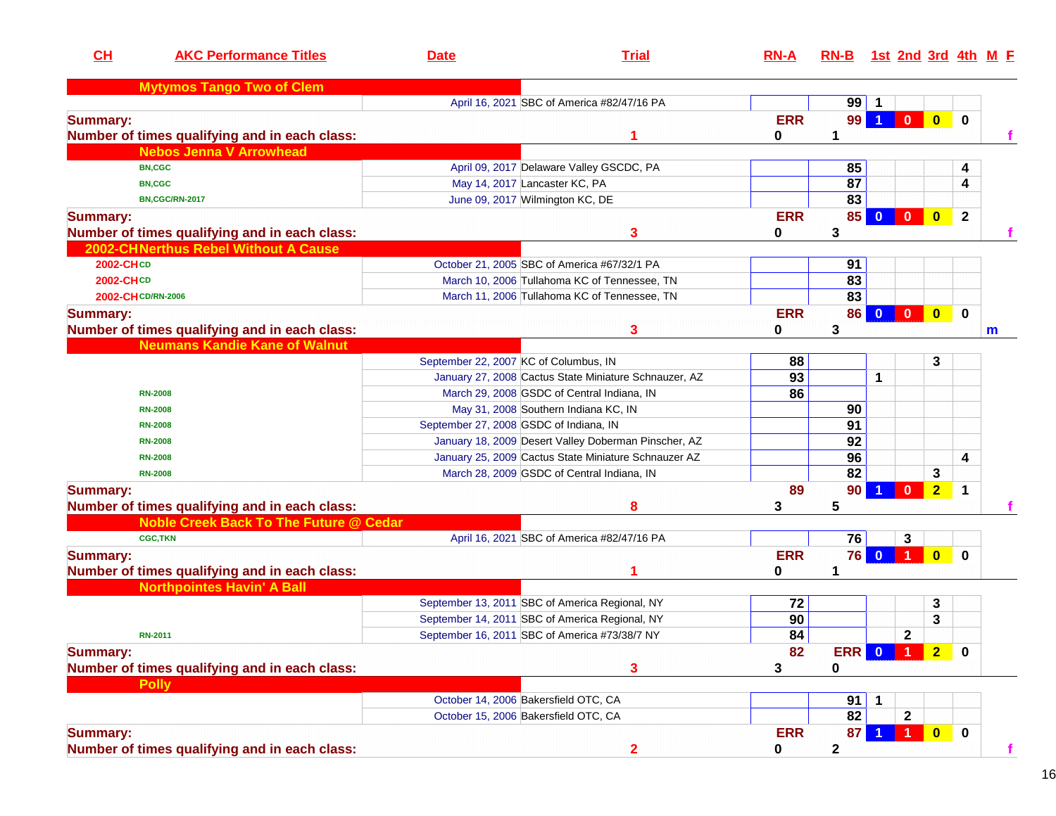| CH                    | <b>AKC Performance Titles</b>                                                           | <b>Date</b>                            | <b>Trial</b>                                          | $RN-A$          | RN-B 1st 2nd 3rd 4th M E |              |                         |                         |              |   |
|-----------------------|-----------------------------------------------------------------------------------------|----------------------------------------|-------------------------------------------------------|-----------------|--------------------------|--------------|-------------------------|-------------------------|--------------|---|
|                       | <b>Mytymos Tango Two of Clem</b>                                                        |                                        |                                                       |                 |                          |              |                         |                         |              |   |
|                       |                                                                                         |                                        | April 16, 2021 SBC of America #82/47/16 PA            |                 | 99                       | -1           |                         |                         |              |   |
| <b>Summary:</b>       | Number of times qualifying and in each class:                                           |                                        |                                                       | <b>ERR</b><br>0 | 99<br>1                  | -1           | $\mathbf{0}$            | $\mathbf{0}$            | $\mathbf 0$  |   |
|                       | <b>Nebos Jenna V Arrowhead</b>                                                          |                                        |                                                       |                 |                          |              |                         |                         |              |   |
| <b>BN,CGC</b>         |                                                                                         |                                        | April 09, 2017 Delaware Valley GSCDC, PA              |                 | 85                       |              |                         |                         | 4            |   |
| <b>BN,CGC</b>         |                                                                                         |                                        | May 14, 2017 Lancaster KC, PA                         |                 | 87                       |              |                         |                         | 4            |   |
| <b>BN,CGC/RN-2017</b> |                                                                                         |                                        | June 09, 2017 Wilmington KC, DE                       |                 | $\overline{83}$          |              |                         |                         |              |   |
| <b>Summary:</b>       | Number of times qualifying and in each class:                                           |                                        | 3                                                     | <b>ERR</b><br>0 | 85<br>3                  | $\mathbf{0}$ | $\overline{\mathbf{0}}$ | $\bullet$               | $\mathbf{2}$ |   |
|                       | 2002-CHNerthus Rebel Without A Cause                                                    |                                        |                                                       |                 |                          |              |                         |                         |              |   |
| 2002-CHCD             |                                                                                         |                                        | October 21, 2005 SBC of America #67/32/1 PA           |                 | 91                       |              |                         |                         |              |   |
| 2002-CHCD             |                                                                                         |                                        | March 10, 2006 Tullahoma KC of Tennessee, TN          |                 | 83                       |              |                         |                         |              |   |
| 2002-CH CD/RN-2006    |                                                                                         |                                        | March 11, 2006 Tullahoma KC of Tennessee, TN          |                 | 83                       |              |                         |                         |              |   |
|                       |                                                                                         |                                        |                                                       | <b>ERR</b>      | 86                       | $\mathbf{0}$ | $\mathbf{0}$            | $\bf{0}$                | $\mathbf 0$  |   |
| <b>Summary:</b>       |                                                                                         |                                        | 3                                                     | 0               | 3                        |              |                         |                         |              |   |
|                       | Number of times qualifying and in each class:<br><b>Neumans Kandie Kane of Walnut</b>   |                                        |                                                       |                 |                          |              |                         |                         |              | m |
|                       |                                                                                         | September 22, 2007 KC of Columbus, IN  |                                                       | 88              |                          |              |                         | 3                       |              |   |
|                       |                                                                                         |                                        | January 27, 2008 Cactus State Miniature Schnauzer, AZ | 93              |                          | $\mathbf{1}$ |                         |                         |              |   |
| <b>RN-2008</b>        |                                                                                         |                                        | March 29, 2008 GSDC of Central Indiana, IN            | 86              |                          |              |                         |                         |              |   |
| <b>RN-2008</b>        |                                                                                         |                                        | May 31, 2008 Southern Indiana KC, IN                  |                 | 90                       |              |                         |                         |              |   |
| <b>RN-2008</b>        |                                                                                         | September 27, 2008 GSDC of Indiana, IN |                                                       |                 | 91                       |              |                         |                         |              |   |
| <b>RN-2008</b>        |                                                                                         |                                        | January 18, 2009 Desert Valley Doberman Pinscher, AZ  |                 | 92                       |              |                         |                         |              |   |
| <b>RN-2008</b>        |                                                                                         |                                        | January 25, 2009 Cactus State Miniature Schnauzer AZ  |                 | 96                       |              |                         |                         | 4            |   |
| <b>RN-2008</b>        |                                                                                         |                                        | March 28, 2009 GSDC of Central Indiana, IN            |                 | 82                       |              |                         | 3                       |              |   |
|                       |                                                                                         |                                        |                                                       | 89              |                          |              | $\mathbf{0}$            |                         | 1            |   |
| <b>Summary:</b>       |                                                                                         |                                        |                                                       |                 | 90                       |              |                         | $\overline{2}$          |              |   |
|                       | Number of times qualifying and in each class:<br>Noble Creek Back To The Future @ Cedar |                                        | 8                                                     | 3               | 5                        |              |                         |                         |              |   |
| <b>CGC,TKN</b>        |                                                                                         |                                        | April 16, 2021 SBC of America #82/47/16 PA            |                 | 76                       |              |                         |                         |              |   |
|                       |                                                                                         |                                        |                                                       |                 | 76                       | $\mathbf{0}$ | 3                       |                         |              |   |
| <b>Summary:</b>       |                                                                                         |                                        |                                                       | <b>ERR</b>      | 1                        |              |                         | $\bf{0}$                | $\bf{0}$     |   |
|                       | Number of times qualifying and in each class:                                           |                                        |                                                       | 0               |                          |              |                         |                         |              |   |
|                       | <b>Northpointes Havin' A Ball</b>                                                       |                                        |                                                       |                 |                          |              |                         |                         |              |   |
|                       |                                                                                         |                                        | September 13, 2011 SBC of America Regional, NY        | 72              |                          |              |                         | 3                       |              |   |
|                       |                                                                                         |                                        | September 14, 2011 SBC of America Regional, NY        | 90              |                          |              | $\overline{2}$          | 3                       |              |   |
| <b>RN-2011</b>        |                                                                                         |                                        | September 16, 2011 SBC of America #73/38/7 NY         | 84              |                          |              |                         |                         |              |   |
| <b>Summary:</b>       | Number of times qualifying and in each class:                                           |                                        | 3                                                     | 82<br>3         | <b>ERR</b><br>0          | $\mathbf{0}$ |                         | 2 <sup>1</sup>          | $\mathbf 0$  |   |
| <b>Polly</b>          |                                                                                         |                                        |                                                       |                 |                          |              |                         |                         |              |   |
|                       |                                                                                         |                                        | October 14, 2006 Bakersfield OTC, CA                  |                 | 91                       |              |                         |                         |              |   |
|                       |                                                                                         |                                        | October 15, 2006 Bakersfield OTC, CA                  |                 | 82                       |              | $\mathbf 2$             |                         |              |   |
| <b>Summary:</b>       |                                                                                         |                                        |                                                       | <b>ERR</b>      | 87                       |              |                         | $\overline{\mathbf{0}}$ | $\mathbf 0$  |   |
|                       | Number of times qualifying and in each class:                                           |                                        | $\overline{\mathbf{2}}$                               | 0               | $\mathbf 2$              |              |                         |                         |              | f |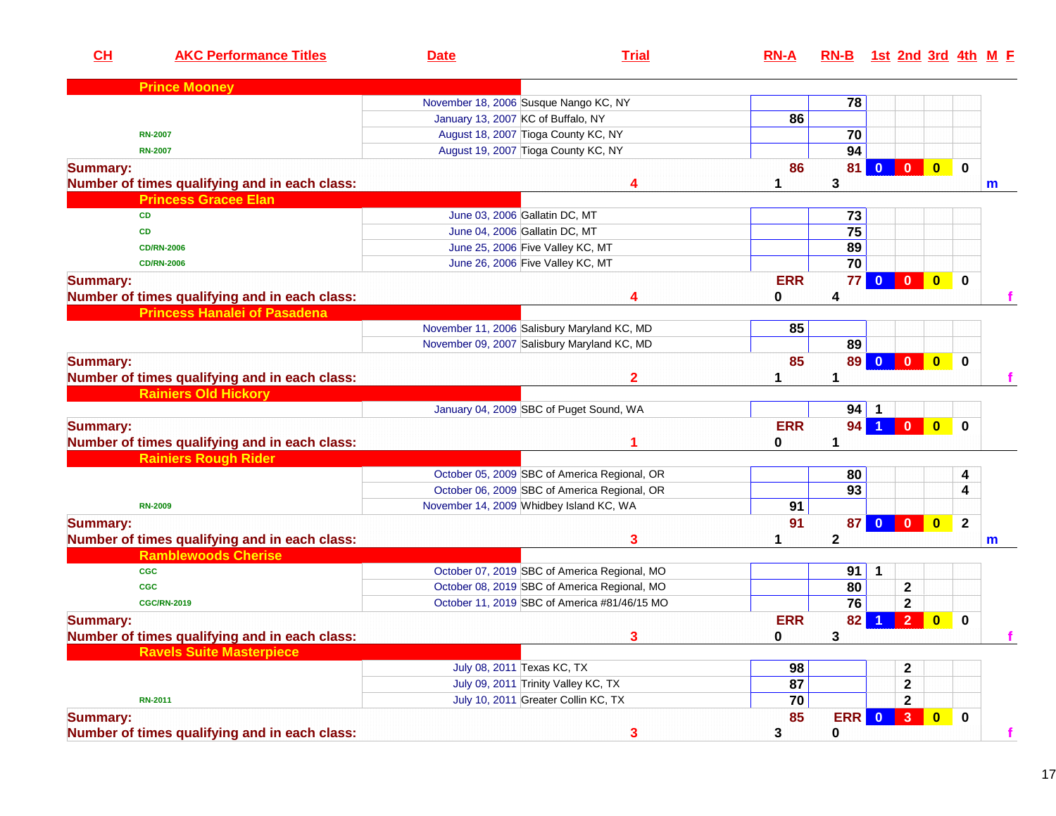| CH              | <b>AKC Performance Titles</b>                 | <b>Date</b>                        | <b>Trial</b>                                 | $RN-A$     | RN-B 1st 2nd 3rd 4th M E |                         |                         |                         |                         |              |
|-----------------|-----------------------------------------------|------------------------------------|----------------------------------------------|------------|--------------------------|-------------------------|-------------------------|-------------------------|-------------------------|--------------|
|                 | <b>Prince Mooney</b>                          |                                    |                                              |            |                          |                         |                         |                         |                         |              |
|                 |                                               |                                    | November 18, 2006 Susque Nango KC, NY        |            | 78                       |                         |                         |                         |                         |              |
|                 |                                               | January 13, 2007 KC of Buffalo, NY |                                              | 86         |                          |                         |                         |                         |                         |              |
|                 | <b>RN-2007</b>                                |                                    | August 18, 2007 Tioga County KC, NY          |            | 70                       |                         |                         |                         |                         |              |
|                 | <b>RN-2007</b>                                |                                    | August 19, 2007 Tioga County KC, NY          |            | 94                       |                         |                         |                         |                         |              |
| <b>Summary:</b> | Number of times qualifying and in each class: |                                    | Δ                                            | 86         | 81<br>3                  |                         | $\overline{0}$          | $\overline{\mathbf{0}}$ | $\mathbf 0$             | $\mathsf{m}$ |
|                 | <b>Princess Gracee Elan</b>                   |                                    |                                              |            |                          |                         |                         |                         |                         |              |
|                 | <b>CD</b>                                     |                                    | June 03, 2006 Gallatin DC, MT                |            | 73                       |                         |                         |                         |                         |              |
|                 | <b>CD</b>                                     |                                    | June 04, 2006 Gallatin DC, MT                |            | 75                       |                         |                         |                         |                         |              |
|                 | <b>CD/RN-2006</b>                             |                                    | June 25, 2006 Five Valley KC, MT             |            | 89                       |                         |                         |                         |                         |              |
|                 | <b>CD/RN-2006</b>                             |                                    | June 26, 2006 Five Valley KC, MT             |            | $\overline{70}$          |                         |                         |                         |                         |              |
| <b>Summary:</b> |                                               |                                    |                                              | <b>ERR</b> | 77                       | $\mathbf{0}$            | $\overline{\mathbf{0}}$ | $\bullet$               | $\mathbf 0$             |              |
|                 | Number of times qualifying and in each class: |                                    | Δ                                            | 0          | 4                        |                         |                         |                         |                         |              |
|                 | <b>Princess Hanalei of Pasadena</b>           |                                    |                                              |            |                          |                         |                         |                         |                         |              |
|                 |                                               |                                    | November 11, 2006 Salisbury Maryland KC, MD  | 85         |                          |                         |                         |                         |                         |              |
|                 |                                               |                                    | November 09, 2007 Salisbury Maryland KC, MD  |            | 89                       |                         |                         |                         |                         |              |
| <b>Summary:</b> |                                               |                                    |                                              | 85         | 89                       | $\mathbf{0}$            | $\mathbf{0}$            | $\bullet$               | $\mathbf 0$             |              |
|                 | Number of times qualifying and in each class: |                                    | $\mathbf{2}$                                 |            | 1                        |                         |                         |                         |                         |              |
|                 | <b>Rainiers Old Hickory</b>                   |                                    |                                              |            |                          |                         |                         |                         |                         |              |
|                 |                                               |                                    | January 04, 2009 SBC of Puget Sound, WA      |            | 94                       |                         |                         |                         |                         |              |
| <b>Summary:</b> |                                               |                                    |                                              | <b>ERR</b> | 94                       | $\blacktriangleleft$    | $\overline{0}$          | $\overline{\mathbf{0}}$ | $\mathbf 0$             |              |
|                 | Number of times qualifying and in each class: |                                    |                                              | 0          | 1                        |                         |                         |                         |                         |              |
|                 | <b>Rainiers Rough Rider</b>                   |                                    |                                              |            |                          |                         |                         |                         |                         |              |
|                 |                                               |                                    | October 05, 2009 SBC of America Regional, OR |            | 80                       |                         |                         |                         | 4                       |              |
|                 |                                               |                                    | October 06, 2009 SBC of America Regional, OR |            | $\overline{93}$          |                         |                         |                         | 4                       |              |
|                 | <b>RN-2009</b>                                |                                    | November 14, 2009 Whidbey Island KC, WA      | 91         |                          |                         |                         |                         |                         |              |
| <b>Summary:</b> |                                               |                                    |                                              | 91         | 87                       | $\overline{\mathbf{0}}$ | $\overline{0}$          | $\overline{\mathbf{0}}$ | $\overline{\mathbf{2}}$ |              |
|                 | Number of times qualifying and in each class: |                                    | 3                                            |            | $\mathbf{2}$             |                         |                         |                         |                         | m            |
|                 | <b>Ramblewoods Cherise</b>                    |                                    |                                              |            |                          |                         |                         |                         |                         |              |
|                 | <b>CGC</b>                                    |                                    | October 07, 2019 SBC of America Regional, MO |            | 91                       | $\mathbf 1$             |                         |                         |                         |              |
|                 | <b>CGC</b>                                    |                                    | October 08, 2019 SBC of America Regional, MO |            | 80                       |                         | $\mathbf 2$             |                         |                         |              |
|                 | <b>CGC/RN-2019</b>                            |                                    | October 11, 2019 SBC of America #81/46/15 MO |            | 76                       |                         | $\mathbf 2$             |                         |                         |              |
| <b>Summary:</b> |                                               |                                    |                                              | <b>ERR</b> | 82                       |                         | 2 <sup>1</sup>          | $\mathbf{0}$            | $\mathbf 0$             |              |
|                 | Number of times qualifying and in each class: |                                    |                                              | $\bf{0}$   | 3                        |                         |                         |                         |                         |              |
|                 | <b>Ravels Suite Masterpiece</b>               |                                    |                                              |            |                          |                         |                         |                         |                         |              |
|                 |                                               |                                    | July 08, 2011 Texas KC, TX                   | 98         |                          |                         | 2                       |                         |                         |              |
|                 |                                               |                                    | July 09, 2011 Trinity Valley KC, TX          | 87         |                          |                         | $\mathbf 2$             |                         |                         |              |
|                 | <b>RN-2011</b>                                |                                    | July 10, 2011 Greater Collin KC, TX          | 70         |                          |                         | $\mathbf{2}$            |                         |                         |              |
| <b>Summary:</b> |                                               |                                    |                                              | 85         | ERR 0                    |                         | 3 <sup>2</sup>          | $\bullet$               | $\mathbf 0$             |              |
|                 | Number of times qualifying and in each class: |                                    | 3                                            | 3          | $\mathbf 0$              |                         |                         |                         |                         | f            |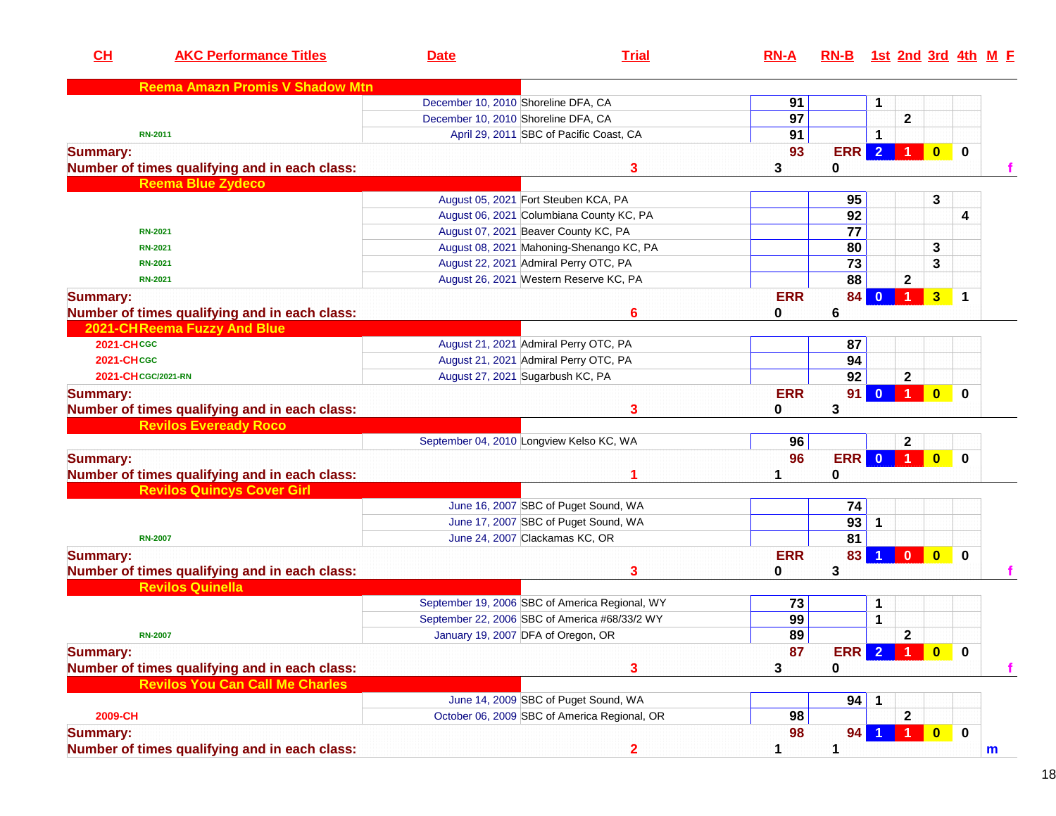| CL                | <b>AKC Performance Titles</b>                 | <b>Date</b>                              | <b>Trial</b>                                   | $RN-A$          | RN-B 1st 2nd 3rd 4th M F |                         |                      |                |             |   |
|-------------------|-----------------------------------------------|------------------------------------------|------------------------------------------------|-----------------|--------------------------|-------------------------|----------------------|----------------|-------------|---|
|                   | <b>Reema Amazn Promis V Shadow Mtn</b>        |                                          |                                                |                 |                          |                         |                      |                |             |   |
|                   |                                               | December 10, 2010 Shoreline DFA, CA      |                                                | 91              |                          | 1                       |                      |                |             |   |
|                   |                                               | December 10, 2010 Shoreline DFA, CA      |                                                | $\overline{97}$ |                          |                         | $\mathbf{2}$         |                |             |   |
|                   | <b>RN-2011</b>                                |                                          | April 29, 2011 SBC of Pacific Coast, CA        | 91              |                          | 1                       |                      |                |             |   |
| <b>Summary:</b>   |                                               |                                          |                                                | 93              | <b>ERR</b>               | $\overline{2}$          |                      | $\bullet$      | $\mathbf 0$ |   |
|                   | Number of times qualifying and in each class: |                                          | 3                                              | 3               | 0                        |                         |                      |                |             |   |
|                   | <b>Reema Blue Zydeco</b>                      |                                          |                                                |                 |                          |                         |                      |                |             |   |
|                   |                                               | August 05, 2021 Fort Steuben KCA, PA     |                                                |                 | 95                       |                         |                      | 3              |             |   |
|                   |                                               |                                          | August 06, 2021 Columbiana County KC, PA       |                 | 92                       |                         |                      |                | 4           |   |
|                   | <b>RN-2021</b>                                | August 07, 2021 Beaver County KC, PA     |                                                |                 | 77                       |                         |                      |                |             |   |
|                   | <b>RN-2021</b>                                |                                          | August 08, 2021 Mahoning-Shenango KC, PA       |                 | 80                       |                         |                      | 3              |             |   |
|                   | <b>RN-2021</b>                                | August 22, 2021 Admiral Perry OTC, PA    |                                                |                 | $\overline{73}$          |                         |                      | 3              |             |   |
|                   | <b>RN-2021</b>                                |                                          | August 26, 2021 Western Reserve KC, PA         |                 | $\overline{88}$          |                         | $\mathbf{2}$         |                |             |   |
| <b>Summary:</b>   |                                               |                                          |                                                | <b>ERR</b>      | 84                       | $\mathbf{0}$            | $\overline{1}$       | 3 <sup>2</sup> | $\mathbf 1$ |   |
|                   | Number of times qualifying and in each class: |                                          | 6                                              | 0               | 6                        |                         |                      |                |             |   |
|                   | 2021-CHReema Fuzzy And Blue                   |                                          |                                                |                 |                          |                         |                      |                |             |   |
| <b>2021-CHCGC</b> |                                               | August 21, 2021 Admiral Perry OTC, PA    |                                                |                 | 87                       |                         |                      |                |             |   |
| <b>2021-CHCGC</b> |                                               | August 21, 2021 Admiral Perry OTC, PA    |                                                |                 | 94                       |                         |                      |                |             |   |
|                   | 2021-CH CGC/2021-RN                           | August 27, 2021 Sugarbush KC, PA         |                                                |                 | 92                       |                         | $\mathbf 2$          |                |             |   |
| <b>Summary:</b>   |                                               |                                          |                                                | <b>ERR</b>      | 91                       | $\mathbf{0}$            | $\vert$ 1            | $\mathbf{0}$   | $\bf{0}$    |   |
|                   | Number of times qualifying and in each class: |                                          | 3                                              | 0               | 3                        |                         |                      |                |             |   |
|                   | <b>Revilos Eveready Roco</b>                  |                                          |                                                |                 |                          |                         |                      |                |             |   |
|                   |                                               | September 04, 2010 Longview Kelso KC, WA |                                                | 96              |                          |                         | $\mathbf{2}$         |                |             |   |
| <b>Summary:</b>   |                                               |                                          |                                                | 96              | <b>ERR</b>               | $\overline{\mathbf{0}}$ |                      | $\mathbf{0}$   | $\bf{0}$    |   |
|                   | Number of times qualifying and in each class: |                                          | 1                                              |                 | 0                        |                         |                      |                |             |   |
|                   | <b>Revilos Quincys Cover Girl</b>             |                                          |                                                |                 |                          |                         |                      |                |             |   |
|                   |                                               |                                          | June 16, 2007 SBC of Puget Sound, WA           |                 | 74                       |                         |                      |                |             |   |
|                   |                                               |                                          | June 17, 2007 SBC of Puget Sound, WA           |                 | 93                       | $\mathbf 1$             |                      |                |             |   |
|                   | <b>RN-2007</b>                                | June 24, 2007 Clackamas KC, OR           |                                                |                 | 81                       |                         |                      |                |             |   |
| <b>Summary:</b>   |                                               |                                          |                                                | <b>ERR</b>      | 83                       |                         | $\mathbf{0}$         | $\mathbf{0}$   | $\mathbf 0$ |   |
|                   | Number of times qualifying and in each class: |                                          | 3                                              | 0               | 3                        |                         |                      |                |             |   |
|                   | <b>Revilos Quinella</b>                       |                                          |                                                |                 |                          |                         |                      |                |             |   |
|                   |                                               |                                          | September 19, 2006 SBC of America Regional, WY | 73              |                          | $\mathbf 1$             |                      |                |             |   |
|                   |                                               |                                          | September 22, 2006 SBC of America #68/33/2 WY  | 99              |                          | 1                       |                      |                |             |   |
|                   | <b>RN-2007</b>                                | January 19, 2007 DFA of Oregon, OR       |                                                | 89              |                          |                         | $\mathbf{2}$         |                |             |   |
| <b>Summary:</b>   |                                               |                                          |                                                | 87              | <b>ERR</b>               | $\overline{2}$          |                      | $\bullet$      | $\mathbf 0$ |   |
|                   | Number of times qualifying and in each class: |                                          | 3                                              | 3               | 0                        |                         |                      |                |             | f |
|                   | <b>Revilos You Can Call Me Charles</b>        |                                          |                                                |                 |                          |                         |                      |                |             |   |
|                   |                                               |                                          | June 14, 2009 SBC of Puget Sound, WA           |                 | 94                       | $\mathbf{1}$            |                      |                |             |   |
| 2009-CH           |                                               |                                          | October 06, 2009 SBC of America Regional, OR   | 98              |                          |                         | $\mathbf 2$          |                |             |   |
| <b>Summary:</b>   |                                               |                                          |                                                | 98              | 94 <sub>1</sub>          |                         | $\blacktriangleleft$ | $\bullet$      | $\mathbf 0$ |   |
|                   | Number of times qualifying and in each class: |                                          | $\overline{2}$                                 | 1               | 1                        |                         |                      |                |             | m |
|                   |                                               |                                          |                                                |                 |                          |                         |                      |                |             |   |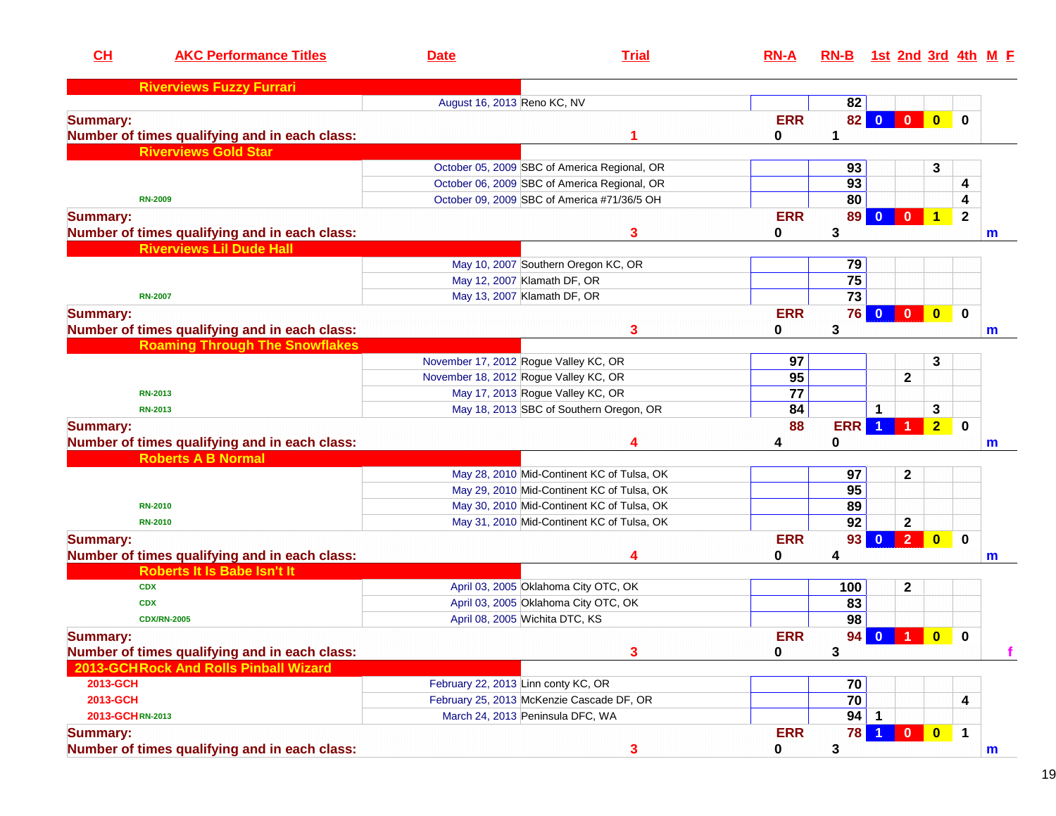| CH                                    | <b>AKC Performance Titles</b>                 | <b>Date</b>                           | <b>Trial</b>                                 | $RN-A$          | RN-B 1st 2nd 3rd 4th M E |              |                |                         |                |             |
|---------------------------------------|-----------------------------------------------|---------------------------------------|----------------------------------------------|-----------------|--------------------------|--------------|----------------|-------------------------|----------------|-------------|
|                                       | <b>Riverviews Fuzzy Furrari</b>               |                                       |                                              |                 |                          |              |                |                         |                |             |
|                                       |                                               | August 16, 2013 Reno KC, NV           |                                              |                 | 82                       |              |                |                         |                |             |
| <b>Summary:</b>                       |                                               |                                       |                                              | <b>ERR</b>      | 82 <sub>1</sub>          | $\bf{0}$     | $\mathbf{0}$   | $\overline{\mathbf{0}}$ | $\mathbf 0$    |             |
|                                       | Number of times qualifying and in each class: |                                       |                                              | 0               | 1                        |              |                |                         |                |             |
| <b>Riverviews Gold Star</b>           |                                               |                                       |                                              |                 |                          |              |                |                         |                |             |
|                                       |                                               |                                       | October 05, 2009 SBC of America Regional, OR |                 | 93                       |              |                | 3                       |                |             |
|                                       |                                               |                                       | October 06, 2009 SBC of America Regional, OR |                 | 93                       |              |                |                         | 4              |             |
| <b>RN-2009</b>                        |                                               |                                       | October 09, 2009 SBC of America #71/36/5 OH  |                 | 80                       |              |                |                         | 4              |             |
| <b>Summary:</b>                       |                                               |                                       |                                              | <b>ERR</b>      | 89                       | $\bf{0}$     | $\mathbf{0}$   | $\mathbf{1}$            | $\overline{2}$ |             |
|                                       | Number of times qualifying and in each class: |                                       | 3                                            | 0               | 3                        |              |                |                         |                | $\mathbf m$ |
|                                       | <b>Riverviews Lil Dude Hall</b>               |                                       |                                              |                 |                          |              |                |                         |                |             |
|                                       |                                               |                                       | May 10, 2007 Southern Oregon KC, OR          |                 | 79                       |              |                |                         |                |             |
|                                       |                                               | May 12, 2007 Klamath DF, OR           |                                              |                 | $\overline{75}$          |              |                |                         |                |             |
| <b>RN-2007</b>                        |                                               | May 13, 2007 Klamath DF, OR           |                                              |                 | $\overline{73}$          |              |                |                         |                |             |
| <b>Summary:</b>                       |                                               |                                       |                                              | <b>ERR</b>      | <b>76</b>                | $\mathbf{0}$ | $\bullet$      | $\bullet$               | $\mathbf 0$    |             |
|                                       | Number of times qualifying and in each class: |                                       | 3                                            | 0               | 3                        |              |                |                         |                | m           |
|                                       | <b>Roaming Through The Snowflakes</b>         |                                       |                                              |                 |                          |              |                |                         |                |             |
|                                       |                                               | November 17, 2012 Rogue Valley KC, OR |                                              | 97              |                          |              |                | 3                       |                |             |
|                                       |                                               | November 18, 2012 Rogue Valley KC, OR |                                              | 95              |                          |              | $\mathbf{2}$   |                         |                |             |
| <b>RN-2013</b>                        |                                               | May 17, 2013 Rogue Valley KC, OR      |                                              | $\overline{77}$ |                          |              |                |                         |                |             |
| <b>RN-2013</b>                        |                                               |                                       | May 18, 2013 SBC of Southern Oregon, OR      | 84              |                          | 1            |                | 3                       |                |             |
| <b>Summary:</b>                       |                                               |                                       |                                              | 88              | <b>ERR</b>               | -1           |                | 2 <sub>2</sub>          | $\mathbf 0$    |             |
|                                       | Number of times qualifying and in each class: |                                       | 4                                            | 4               | 0                        |              |                |                         |                | m           |
| <b>Roberts A B Normal</b>             |                                               |                                       |                                              |                 |                          |              |                |                         |                |             |
|                                       |                                               |                                       | May 28, 2010 Mid-Continent KC of Tulsa, OK   |                 | 97                       |              | $\mathbf 2$    |                         |                |             |
|                                       |                                               |                                       | May 29, 2010 Mid-Continent KC of Tulsa, OK   |                 | $\overline{95}$          |              |                |                         |                |             |
| <b>RN-2010</b>                        |                                               |                                       | May 30, 2010 Mid-Continent KC of Tulsa, OK   |                 | 89                       |              |                |                         |                |             |
| <b>RN-2010</b>                        |                                               |                                       | May 31, 2010 Mid-Continent KC of Tulsa, OK   |                 | $\overline{92}$          |              | $\mathbf 2$    |                         |                |             |
| <b>Summary:</b>                       |                                               |                                       |                                              | <b>ERR</b>      | 93                       | $\mathbf{0}$ | 2 <sup>7</sup> | $\overline{\mathbf{0}}$ | $\mathbf 0$    |             |
|                                       | Number of times qualifying and in each class: |                                       | 4                                            | 0               | 4                        |              |                |                         |                | m           |
|                                       | <b>Roberts It Is Babe Isn't It</b>            |                                       |                                              |                 |                          |              |                |                         |                |             |
| <b>CDX</b>                            |                                               |                                       | April 03, 2005 Oklahoma City OTC, OK         |                 | 100                      |              | $\mathbf 2$    |                         |                |             |
| <b>CDX</b>                            |                                               |                                       | April 03, 2005 Oklahoma City OTC, OK         |                 | 83                       |              |                |                         |                |             |
| <b>CDX/RN-2005</b>                    |                                               | April 08, 2005 Wichita DTC, KS        |                                              |                 | 98                       |              |                |                         |                |             |
| <b>Summary:</b>                       |                                               |                                       |                                              | <b>ERR</b>      |                          | 94 0 1       |                | $\bullet$               | $\bf{0}$       |             |
|                                       | Number of times qualifying and in each class: |                                       | 3                                            | 0               | 3                        |              |                |                         |                |             |
| 2013-GCHRock And Rolls Pinball Wizard |                                               |                                       |                                              |                 |                          |              |                |                         |                |             |
| 2013-GCH                              |                                               | February 22, 2013 Linn conty KC, OR   |                                              |                 | 70                       |              |                |                         |                |             |
| 2013-GCH                              |                                               |                                       | February 25, 2013 McKenzie Cascade DF, OR    |                 | 70                       |              |                |                         | 4              |             |
| 2013-GCHRN-2013                       |                                               | March 24, 2013 Peninsula DFC, WA      |                                              |                 | 94                       | $\mathbf{1}$ |                |                         |                |             |
| <b>Summary:</b>                       |                                               |                                       |                                              | <b>ERR</b>      | <b>78</b>                |              | $\mathbf{0}$   | $\bullet$               | $\mathbf{1}$   |             |
|                                       | Number of times qualifying and in each class: |                                       | 3                                            | $\mathbf 0$     | 3                        |              |                |                         |                | $\mathbf m$ |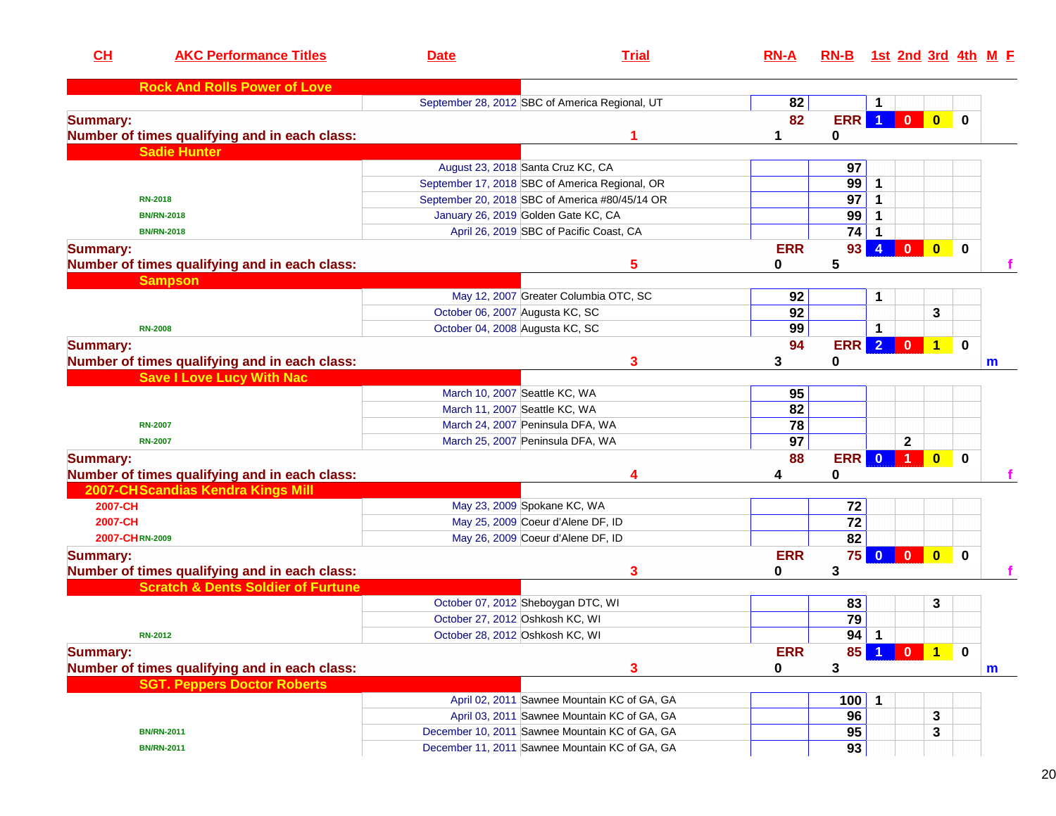| CL              | <b>AKC Performance Titles</b>                 | <b>Date</b>                         | <b>Trial</b>                                   | $RN-A$          | $RN-B$            |                |                         |                         |              | 1st 2nd 3rd 4th M F |
|-----------------|-----------------------------------------------|-------------------------------------|------------------------------------------------|-----------------|-------------------|----------------|-------------------------|-------------------------|--------------|---------------------|
|                 | <b>Rock And Rolls Power of Love</b>           |                                     |                                                |                 |                   |                |                         |                         |              |                     |
|                 |                                               |                                     | September 28, 2012 SBC of America Regional, UT | 82              |                   |                |                         |                         |              |                     |
| <b>Summary:</b> |                                               |                                     |                                                | 82              | <b>ERR</b>        | $\overline{1}$ | $\mathbf{0}$            | $\mathbf{0}$            | 0            |                     |
|                 | Number of times qualifying and in each class: |                                     |                                                | 1               | 0                 |                |                         |                         |              |                     |
|                 | <b>Sadie Hunter</b>                           |                                     |                                                |                 |                   |                |                         |                         |              |                     |
|                 |                                               | August 23, 2018 Santa Cruz KC, CA   |                                                |                 | 97                |                |                         |                         |              |                     |
|                 |                                               |                                     | September 17, 2018 SBC of America Regional, OR |                 | 99                | 1              |                         |                         |              |                     |
|                 | <b>RN-2018</b>                                |                                     | September 20, 2018 SBC of America #80/45/14 OR |                 | 97                |                |                         |                         |              |                     |
|                 | <b>BN/RN-2018</b>                             | January 26, 2019 Golden Gate KC, CA |                                                |                 | 99                |                |                         |                         |              |                     |
|                 | <b>BN/RN-2018</b>                             |                                     | April 26, 2019 SBC of Pacific Coast, CA        |                 | 74                |                |                         |                         |              |                     |
| <b>Summary:</b> |                                               |                                     |                                                | <b>ERR</b>      | 93                | $\overline{4}$ | $\overline{\mathbf{0}}$ | $\overline{\mathbf{0}}$ | $\mathbf{0}$ |                     |
|                 | Number of times qualifying and in each class: |                                     | 5                                              | 0               | 5                 |                |                         |                         |              | f                   |
|                 | <b>Sampson</b>                                |                                     |                                                |                 |                   |                |                         |                         |              |                     |
|                 |                                               |                                     | May 12, 2007 Greater Columbia OTC, SC          | 92              |                   | 1              |                         |                         |              |                     |
|                 |                                               | October 06, 2007 Augusta KC, SC     |                                                | 92              |                   |                |                         | 3                       |              |                     |
|                 | <b>RN-2008</b>                                | October 04, 2008 Augusta KC, SC     |                                                | 99              |                   | -1             |                         |                         |              |                     |
| <b>Summary:</b> |                                               |                                     |                                                | 94              | ERR               | $\overline{2}$ | $\mathbf{0}$            | ▌ 1                     | $\bf{0}$     |                     |
|                 | Number of times qualifying and in each class: |                                     | 3                                              | 3               | 0                 |                |                         |                         |              | m                   |
|                 | <b>Save I Love Lucy With Nac</b>              |                                     |                                                |                 |                   |                |                         |                         |              |                     |
|                 |                                               | March 10, 2007 Seattle KC, WA       |                                                | 95              |                   |                |                         |                         |              |                     |
|                 |                                               | March 11, 2007 Seattle KC, WA       |                                                | 82              |                   |                |                         |                         |              |                     |
|                 | <b>RN-2007</b>                                | March 24, 2007 Peninsula DFA, WA    |                                                | $\overline{78}$ |                   |                |                         |                         |              |                     |
|                 | <b>RN-2007</b>                                | March 25, 2007 Peninsula DFA, WA    |                                                | $\overline{97}$ |                   |                | $\mathbf 2$             |                         |              |                     |
| <b>Summary:</b> |                                               |                                     |                                                | 88              | <b>ERR</b>        | $\mathbf{0}$   | 1 <sub>1</sub>          | $\mathbf{0}$            | $\bf{0}$     |                     |
|                 | Number of times qualifying and in each class: |                                     |                                                | 4               | 0                 |                |                         |                         |              |                     |
|                 | 2007-CHScandias Kendra Kings Mill             |                                     |                                                |                 |                   |                |                         |                         |              |                     |
| 2007-CH         |                                               | May 23, 2009 Spokane KC, WA         |                                                |                 | 72                |                |                         |                         |              |                     |
| 2007-CH         |                                               |                                     | May 25, 2009 Coeur d'Alene DF, ID              |                 | $\overline{72}$   |                |                         |                         |              |                     |
| 2007-CHRN-2009  |                                               |                                     | May 26, 2009 Coeur d'Alene DF, ID              |                 | 82                |                |                         |                         |              |                     |
| <b>Summary:</b> |                                               |                                     |                                                | <b>ERR</b>      | 75                | $\mathbf{0}$   | $\overline{\mathbf{0}}$ | $\overline{\mathbf{0}}$ | $\mathbf{0}$ |                     |
|                 | Number of times qualifying and in each class: |                                     | 3                                              | 0               | 3                 |                |                         |                         |              | f                   |
|                 | <b>Scratch &amp; Dents Soldier of Furtune</b> |                                     |                                                |                 |                   |                |                         |                         |              |                     |
|                 |                                               | October 07, 2012 Sheboygan DTC, WI  |                                                |                 | 83                |                |                         | 3                       |              |                     |
|                 |                                               | October 27, 2012 Oshkosh KC, WI     |                                                |                 | $\overline{79}$   |                |                         |                         |              |                     |
|                 | <b>RN-2012</b>                                | October 28, 2012 Oshkosh KC, WI     |                                                |                 | $\overline{94}$ 1 |                |                         |                         |              |                     |
| <b>Summary:</b> |                                               |                                     |                                                | <b>ERR</b>      | 85                |                | $\mathbf{0}$            | $\overline{1}$          | $\bf{0}$     |                     |
|                 |                                               |                                     |                                                |                 |                   |                |                         |                         |              |                     |
|                 | Number of times qualifying and in each class: |                                     | 3                                              | 0               | 3                 |                |                         |                         |              | m                   |
|                 | <b>SGT. Peppers Doctor Roberts</b>            |                                     |                                                |                 |                   |                |                         |                         |              |                     |
|                 |                                               |                                     | April 02, 2011 Sawnee Mountain KC of GA, GA    |                 | 100<br>96         | -1             |                         |                         |              |                     |
|                 |                                               |                                     | April 03, 2011 Sawnee Mountain KC of GA, GA    |                 |                   |                |                         | 3                       |              |                     |
|                 | <b>BN/RN-2011</b>                             |                                     | December 10, 2011 Sawnee Mountain KC of GA, GA |                 | 95                |                |                         | 3                       |              |                     |
|                 | <b>BN/RN-2011</b>                             |                                     | December 11, 2011 Sawnee Mountain KC of GA, GA |                 | 93                |                |                         |                         |              |                     |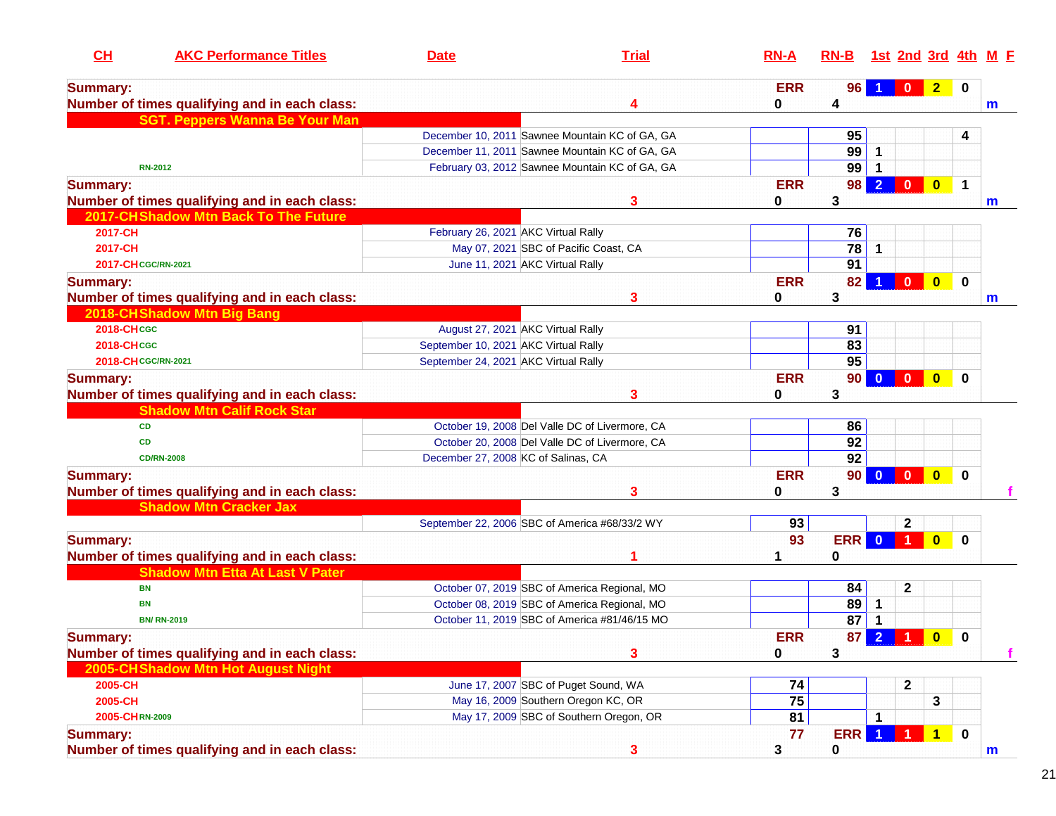| CH                  | <b>AKC Performance Titles</b>                 | <b>Date</b>                          | <b>Trial</b>                                   | $RN-A$     | $RN-B$          |                         | 1st 2nd 3rd 4th      |                         |             | M F |
|---------------------|-----------------------------------------------|--------------------------------------|------------------------------------------------|------------|-----------------|-------------------------|----------------------|-------------------------|-------------|-----|
| <b>Summary:</b>     |                                               |                                      |                                                | <b>ERR</b> | 96              |                         | $\mathbf{0}$         | 2 0                     |             |     |
|                     | Number of times qualifying and in each class: |                                      | 4                                              | 0          | 4               |                         |                      |                         |             | m   |
|                     | <b>SGT. Peppers Wanna Be Your Man</b>         |                                      |                                                |            |                 |                         |                      |                         |             |     |
|                     |                                               |                                      | December 10, 2011 Sawnee Mountain KC of GA, GA |            | 95              |                         |                      |                         | 4           |     |
|                     |                                               |                                      | December 11, 2011 Sawnee Mountain KC of GA, GA |            | 99              | 1                       |                      |                         |             |     |
|                     | <b>RN-2012</b>                                |                                      | February 03, 2012 Sawnee Mountain KC of GA, GA |            | 99              |                         |                      |                         |             |     |
| <b>Summary:</b>     |                                               |                                      |                                                | <b>ERR</b> | 98              | $\overline{2}$          | $\mathbf{0}$         | $\bullet$               | $\mathbf 1$ |     |
|                     | Number of times qualifying and in each class: |                                      | 3                                              | 0          | 3               |                         |                      |                         |             | m   |
|                     | 2017-CH Shadow Mtn Back To The Future         |                                      |                                                |            |                 |                         |                      |                         |             |     |
| 2017-CH             |                                               | February 26, 2021 AKC Virtual Rally  |                                                |            | 76              |                         |                      |                         |             |     |
| 2017-CH             |                                               |                                      | May 07, 2021 SBC of Pacific Coast, CA          |            | 78              | 1                       |                      |                         |             |     |
| 2017-CH CGC/RN-2021 |                                               | June 11, 2021 AKC Virtual Rally      |                                                |            | 91              |                         |                      |                         |             |     |
| <b>Summary:</b>     |                                               |                                      |                                                | <b>ERR</b> | 82              |                         | $\bf{0}$             | $\mathbf{0}$            | 0           |     |
|                     | Number of times qualifying and in each class: |                                      | 3                                              | 0          | 3               |                         |                      |                         |             | m   |
|                     | 2018-CHShadow Mtn Big Bang                    |                                      |                                                |            |                 |                         |                      |                         |             |     |
| <b>2018-CHCGC</b>   |                                               | August 27, 2021 AKC Virtual Rally    |                                                |            | 91              |                         |                      |                         |             |     |
| <b>2018-CHCGC</b>   |                                               | September 10, 2021 AKC Virtual Rally |                                                |            | 83              |                         |                      |                         |             |     |
| 2018-CH CGC/RN-2021 |                                               | September 24, 2021 AKC Virtual Rally |                                                |            | 95              |                         |                      |                         |             |     |
| <b>Summary:</b>     |                                               |                                      |                                                | <b>ERR</b> | 90 <sub>1</sub> | $\overline{\mathbf{0}}$ | $\blacksquare$       | $\mathbf{0}$            | $\bf{0}$    |     |
|                     | Number of times qualifying and in each class: |                                      | 3                                              | 0          | 3               |                         |                      |                         |             |     |
|                     | <b>Shadow Mtn Calif Rock Star</b>             |                                      |                                                |            |                 |                         |                      |                         |             |     |
| <b>CD</b>           |                                               |                                      | October 19, 2008 Del Valle DC of Livermore, CA |            | 86              |                         |                      |                         |             |     |
| <b>CD</b>           |                                               |                                      | October 20, 2008 Del Valle DC of Livermore, CA |            | 92              |                         |                      |                         |             |     |
|                     | <b>CD/RN-2008</b>                             | December 27, 2008 KC of Salinas, CA  |                                                |            | 92              |                         |                      |                         |             |     |
| <b>Summary:</b>     |                                               |                                      |                                                | <b>ERR</b> | 90 <sub>1</sub> | $\mathbf{0}$            | $\mathbf{0}$         | $\mathbf{0}$            | $\Omega$    |     |
|                     | Number of times qualifying and in each class: |                                      | 3                                              | 0          | 3               |                         |                      |                         |             |     |
|                     | <b>Shadow Mtn Cracker Jax</b>                 |                                      |                                                |            |                 |                         |                      |                         |             |     |
|                     |                                               |                                      | September 22, 2006 SBC of America #68/33/2 WY  | 93         |                 |                         | $\mathbf 2$          |                         |             |     |
| <b>Summary:</b>     |                                               |                                      |                                                | 93         | <b>ERR</b>      | $\Omega$                | $\blacktriangleleft$ | $\overline{\mathbf{0}}$ | $\mathbf 0$ |     |
|                     | Number of times qualifying and in each class: |                                      |                                                |            | $\bf{0}$        |                         |                      |                         |             |     |
|                     | <b>Shadow Mtn Etta At Last V Pater</b>        |                                      |                                                |            |                 |                         |                      |                         |             |     |
| <b>BN</b>           |                                               |                                      | October 07, 2019 SBC of America Regional, MO   |            | 84              |                         | $\mathbf{2}$         |                         |             |     |
| BN                  |                                               |                                      | October 08, 2019 SBC of America Regional, MO   |            | 89              | $\mathbf{1}$            |                      |                         |             |     |
|                     | <b>BN/ RN-2019</b>                            |                                      | October 11, 2019 SBC of America #81/46/15 MO   |            | 87              | $\overline{1}$          |                      |                         |             |     |
| Summary:            |                                               |                                      |                                                | <b>ERR</b> |                 |                         | 87 2 1 0 0           |                         |             |     |
|                     | Number of times qualifying and in each class: |                                      | 3                                              | 0          | 3               |                         |                      |                         |             |     |
|                     | 2005-CHShadow Mtn Hot August Night            |                                      |                                                |            |                 |                         |                      |                         |             |     |
| 2005-CH             |                                               |                                      | June 17, 2007 SBC of Puget Sound, WA           | 74         |                 |                         | 2                    |                         |             |     |
| 2005-CH             |                                               |                                      | May 16, 2009 Southern Oregon KC, OR            | 75         |                 |                         |                      | 3                       |             |     |
| 2005-CHRN-2009      |                                               |                                      | May 17, 2009 SBC of Southern Oregon, OR        | 81         |                 | 1                       |                      |                         |             |     |
| <b>Summary:</b>     |                                               |                                      |                                                | 77         | <b>ERR</b>      | $\overline{1}$          |                      | $\overline{1}$          | $\bf{0}$    |     |
|                     | Number of times qualifying and in each class: |                                      | 3                                              | 3          | 0               |                         |                      |                         |             | m   |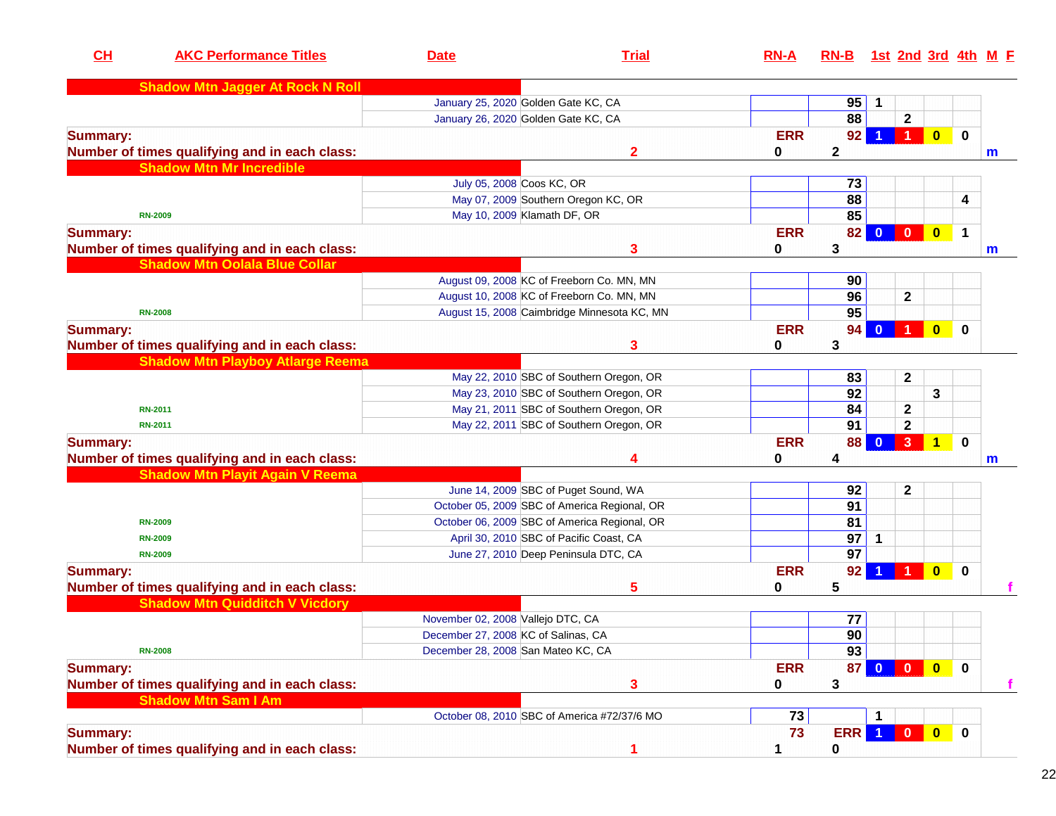| CL              | <b>AKC Performance Titles</b>                 | <b>Date</b>                         | <b>Trial</b>                                 | $RN-A$     | $RN-B$          |                         |                      |              |              | 1st 2nd 3rd 4th M E |
|-----------------|-----------------------------------------------|-------------------------------------|----------------------------------------------|------------|-----------------|-------------------------|----------------------|--------------|--------------|---------------------|
|                 | <b>Shadow Mtn Jagger At Rock N Roll</b>       |                                     |                                              |            |                 |                         |                      |              |              |                     |
|                 |                                               |                                     | January 25, 2020 Golden Gate KC, CA          |            | 95              | 1                       |                      |              |              |                     |
|                 |                                               |                                     | January 26, 2020 Golden Gate KC, CA          |            | 88              |                         | $\mathbf{2}$         |              |              |                     |
| <b>Summary:</b> |                                               |                                     |                                              | <b>ERR</b> | 92              |                         | $\blacktriangleleft$ | $\mathbf{0}$ | $\mathbf 0$  |                     |
|                 | Number of times qualifying and in each class: |                                     | $\mathbf{2}$                                 | 0          | $\mathbf{2}$    |                         |                      |              |              | m                   |
|                 | <b>Shadow Mtn Mr Incredible</b>               |                                     |                                              |            |                 |                         |                      |              |              |                     |
|                 |                                               | July 05, 2008 Coos KC, OR           |                                              |            | 73              |                         |                      |              |              |                     |
|                 |                                               |                                     | May 07, 2009 Southern Oregon KC, OR          |            | $\overline{88}$ |                         |                      |              | 4            |                     |
|                 | <b>RN-2009</b>                                |                                     | May 10, 2009 Klamath DF, OR                  |            | 85              |                         |                      |              |              |                     |
| <b>Summary:</b> |                                               |                                     |                                              | <b>ERR</b> | 82              | $\mathbf{0}$            |                      |              | $\mathbf 1$  |                     |
|                 | Number of times qualifying and in each class: |                                     | 3                                            | 0          | 3               |                         |                      |              |              | m                   |
|                 | <b>Shadow Mtn Oolala Blue Collar</b>          |                                     |                                              |            |                 |                         |                      |              |              |                     |
|                 |                                               |                                     | August 09, 2008 KC of Freeborn Co. MN, MN    |            | 90              |                         |                      |              |              |                     |
|                 |                                               |                                     | August 10, 2008 KC of Freeborn Co. MN, MN    |            | 96              |                         | $\mathbf 2$          |              |              |                     |
|                 | <b>RN-2008</b>                                |                                     | August 15, 2008 Caimbridge Minnesota KC, MN  |            | 95              |                         |                      |              |              |                     |
| <b>Summary:</b> |                                               |                                     |                                              | <b>ERR</b> | 94              | $\bf{0}$                |                      | $\bf{0}$     | $\bf{0}$     |                     |
|                 | Number of times qualifying and in each class: |                                     | 3                                            | 0          | 3               |                         |                      |              |              |                     |
|                 | <b>Shadow Mtn Playboy Atlarge Reema</b>       |                                     |                                              |            |                 |                         |                      |              |              |                     |
|                 |                                               |                                     | May 22, 2010 SBC of Southern Oregon, OR      |            | 83              |                         | $\mathbf{2}$         |              |              |                     |
|                 |                                               |                                     | May 23, 2010 SBC of Southern Oregon, OR      |            | 92              |                         |                      | 3            |              |                     |
|                 | <b>RN-2011</b>                                |                                     | May 21, 2011 SBC of Southern Oregon, OR      |            | 84              |                         | $\mathbf 2$          |              |              |                     |
|                 | <b>RN-2011</b>                                |                                     | May 22, 2011 SBC of Southern Oregon, OR      |            | 91              |                         | $\mathbf{2}$         |              |              |                     |
| <b>Summary:</b> |                                               |                                     |                                              | <b>ERR</b> | 88              | $\overline{\mathbf{0}}$ | 3 <sup>2</sup>       | $\mathbf{1}$ | $\mathbf 0$  |                     |
|                 | Number of times qualifying and in each class: |                                     | 4                                            | 0          | 4               |                         |                      |              |              | $\mathsf{m}$        |
|                 | <b>Shadow Mtn Playit Again V Reema</b>        |                                     |                                              |            |                 |                         |                      |              |              |                     |
|                 |                                               |                                     | June 14, 2009 SBC of Puget Sound, WA         |            | 92              |                         | $\mathbf 2$          |              |              |                     |
|                 |                                               |                                     | October 05, 2009 SBC of America Regional, OR |            | 91              |                         |                      |              |              |                     |
|                 | <b>RN-2009</b>                                |                                     | October 06, 2009 SBC of America Regional, OR |            | 81              |                         |                      |              |              |                     |
|                 | <b>RN-2009</b>                                |                                     | April 30, 2010 SBC of Pacific Coast, CA      |            | 97              | 1                       |                      |              |              |                     |
|                 | <b>RN-2009</b>                                |                                     | June 27, 2010 Deep Peninsula DTC, CA         |            | 97              |                         |                      |              |              |                     |
| <b>Summary:</b> |                                               |                                     |                                              | <b>ERR</b> | 92              |                         |                      | $\bf{0}$     | $\bf{0}$     |                     |
|                 | Number of times qualifying and in each class: |                                     | 5                                            | 0          | 5               |                         |                      |              |              |                     |
|                 | <b>Shadow Mtn Quidditch V Vicdory</b>         |                                     |                                              |            |                 |                         |                      |              |              |                     |
|                 |                                               | November 02, 2008 Vallejo DTC, CA   |                                              |            | 77              |                         |                      |              |              |                     |
|                 |                                               | December 27, 2008 KC of Salinas, CA |                                              |            | 90              |                         |                      |              |              |                     |
|                 | <b>RN-2008</b>                                | December 28, 2008 San Mateo KC, CA  |                                              |            | 93              |                         |                      |              |              |                     |
| <b>Summary:</b> |                                               |                                     |                                              | <b>ERR</b> | 87              | $\mathbf{0}$            | $\mathbf{0}$         | $\bullet$    | $\mathbf{0}$ |                     |
|                 | Number of times qualifying and in each class: |                                     | 3                                            | 0          | 3               |                         |                      |              |              | f                   |
|                 | <b>Shadow Mtn Sam I Am</b>                    |                                     |                                              |            |                 |                         |                      |              |              |                     |
|                 |                                               |                                     | October 08, 2010 SBC of America #72/37/6 MO  | 73         |                 |                         |                      |              |              |                     |
| <b>Summary:</b> |                                               |                                     |                                              | 73         | <b>ERR</b>      | $\blacksquare$          |                      |              | $\bf{0}$     |                     |
|                 | Number of times qualifying and in each class: |                                     | 1                                            | 1          | 0               |                         |                      |              |              |                     |
|                 |                                               |                                     |                                              |            |                 |                         |                      |              |              |                     |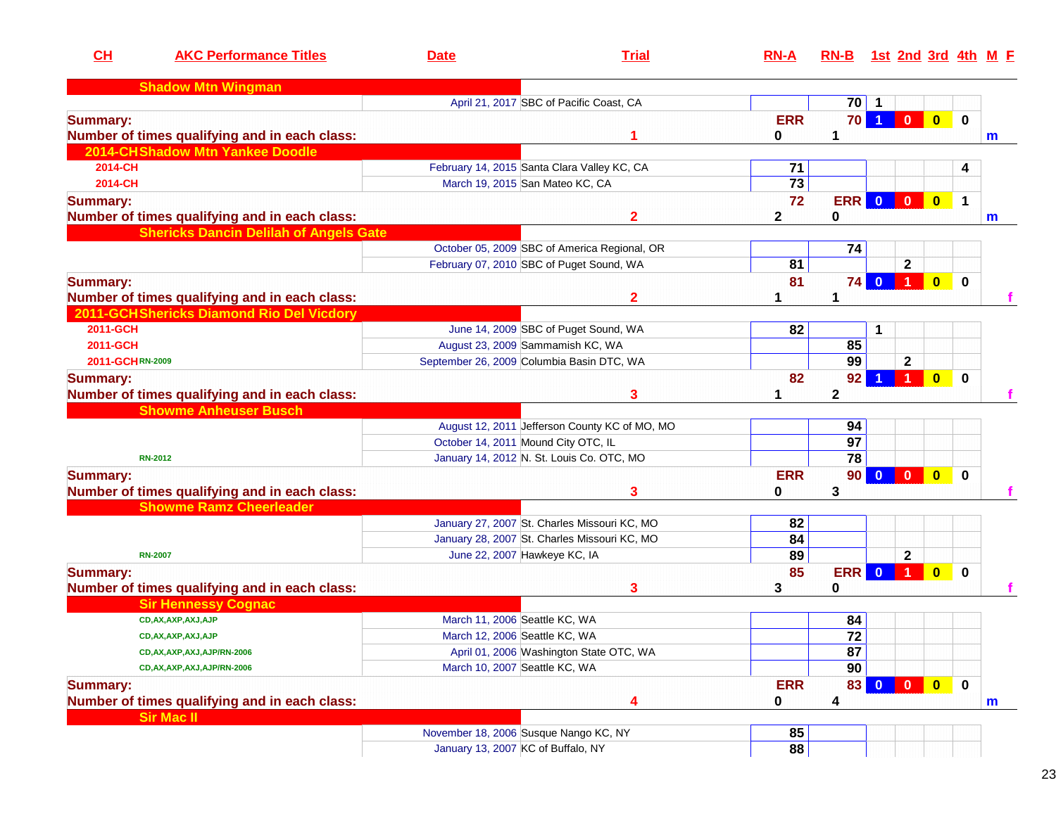| CL<br><b>AKC Performance Titles</b>           | <b>Date</b>                                 | <b>Trial</b>                                  | $RN-A$          | RN-B 1st 2nd 3rd 4th M F |                         |                |                         |             |   |
|-----------------------------------------------|---------------------------------------------|-----------------------------------------------|-----------------|--------------------------|-------------------------|----------------|-------------------------|-------------|---|
| <b>Shadow Mtn Wingman</b>                     |                                             |                                               |                 |                          |                         |                |                         |             |   |
|                                               |                                             | April 21, 2017 SBC of Pacific Coast, CA       |                 | $70$   1                 |                         |                |                         |             |   |
| <b>Summary:</b>                               |                                             |                                               | <b>ERR</b>      | 70                       | $\blacktriangleleft$    | $\overline{0}$ | $\bullet$               | $\mathbf 0$ |   |
| Number of times qualifying and in each class: |                                             |                                               | 0               | 1                        |                         |                |                         |             | m |
| 2014-CHShadow Mtn Yankee Doodle               |                                             |                                               |                 |                          |                         |                |                         |             |   |
| 2014-CH                                       | February 14, 2015 Santa Clara Valley KC, CA |                                               | 71              |                          |                         |                |                         | 4           |   |
| 2014-CH                                       | March 19, 2015 San Mateo KC, CA             |                                               | $\overline{73}$ |                          |                         |                |                         |             |   |
| <b>Summary:</b>                               |                                             |                                               | 72              | <b>ERR</b>               | $\overline{\mathbf{0}}$ | $\bullet$      | $\bullet$               | $\mathbf 1$ |   |
| Number of times qualifying and in each class: |                                             | $\mathbf{2}$                                  | 2               | 0                        |                         |                |                         |             | m |
| <b>Shericks Dancin Delilah of Angels Gate</b> |                                             |                                               |                 |                          |                         |                |                         |             |   |
|                                               |                                             | October 05, 2009 SBC of America Regional, OR  |                 | 74                       |                         |                |                         |             |   |
|                                               | February 07, 2010 SBC of Puget Sound, WA    |                                               | 81              |                          |                         | $\mathbf 2$    |                         |             |   |
| <b>Summary:</b>                               |                                             |                                               | 81              | 74                       |                         | $0$ 1          | $\bullet$               | $\mathbf 0$ |   |
| Number of times qualifying and in each class: |                                             | 2                                             |                 | 1                        |                         |                |                         |             |   |
| 2011-GCH Shericks Diamond Rio Del Vicdory     |                                             |                                               |                 |                          |                         |                |                         |             |   |
| 2011-GCH                                      |                                             | June 14, 2009 SBC of Puget Sound, WA          | 82              |                          | 1                       |                |                         |             |   |
| 2011-GCH                                      | August 23, 2009 Sammamish KC, WA            |                                               |                 | 85                       |                         |                |                         |             |   |
| 2011-GCHRN-2009                               | September 26, 2009 Columbia Basin DTC, WA   |                                               |                 | 99                       |                         | $\mathbf{2}$   |                         |             |   |
| <b>Summary:</b>                               |                                             |                                               | 82              | 92                       |                         |                | $\bf{0}$                | $\bf{0}$    |   |
| Number of times qualifying and in each class: |                                             | 3                                             |                 | 2                        |                         |                |                         |             |   |
| <b>Showme Anheuser Busch</b>                  |                                             |                                               |                 |                          |                         |                |                         |             |   |
|                                               |                                             | August 12, 2011 Jefferson County KC of MO, MO |                 | 94                       |                         |                |                         |             |   |
|                                               | October 14, 2011 Mound City OTC, IL         |                                               |                 | 97                       |                         |                |                         |             |   |
| <b>RN-2012</b>                                |                                             | January 14, 2012 N. St. Louis Co. OTC, MO     |                 | 78                       |                         |                |                         |             |   |
|                                               |                                             |                                               | <b>ERR</b>      |                          |                         |                |                         |             |   |
| <b>Summary:</b>                               |                                             |                                               |                 | 90 <sub>1</sub>          | $\mathbf{0}$            | $\blacksquare$ | $\mathbf{0}$            | $\mathbf 0$ |   |
| Number of times qualifying and in each class: |                                             | 3                                             | 0               | 3                        |                         |                |                         |             |   |
| <b>Showme Ramz Cheerleader</b>                |                                             |                                               |                 |                          |                         |                |                         |             |   |
|                                               |                                             | January 27, 2007 St. Charles Missouri KC, MO  | 82              |                          |                         |                |                         |             |   |
|                                               |                                             | January 28, 2007 St. Charles Missouri KC, MO  | 84              |                          |                         |                |                         |             |   |
| <b>RN-2007</b>                                | June 22, 2007 Hawkeye KC, IA                |                                               | 89              |                          |                         | $\mathbf{2}$   |                         |             |   |
| <b>Summary:</b>                               |                                             |                                               | 85              | <b>ERR</b>               | $\Omega$                |                | $\overline{\mathbf{0}}$ | $\bf{0}$    |   |
| Number of times qualifying and in each class: |                                             | 3                                             | 3               | 0                        |                         |                |                         |             |   |
| <b>Sir Hennessy Cognac</b>                    |                                             |                                               |                 |                          |                         |                |                         |             |   |
| CD, AX, AXP, AXJ, AJP                         | March 11, 2006 Seattle KC, WA               |                                               |                 | 84                       |                         |                |                         |             |   |
| CD, AX, AXP, AXJ, AJP                         | March 12, 2006 Seattle KC, WA               |                                               |                 | $\overline{72}$          |                         |                |                         |             |   |
| CD, AX, AXP, AXJ, AJP/RN-2006                 |                                             | April 01, 2006 Washington State OTC, WA       |                 | 87                       |                         |                |                         |             |   |
| CD, AX, AXP, AXJ, AJP/RN-2006                 | March 10, 2007 Seattle KC, WA               |                                               |                 | 90                       |                         |                |                         |             |   |
| <b>Summary:</b>                               |                                             |                                               | <b>ERR</b>      | 83                       | $\mathbf{0}$            | $\mathbf{0}$   | $\bullet$               | $\mathbf 0$ |   |
| Number of times qualifying and in each class: |                                             | 4                                             | 0               | 4                        |                         |                |                         |             | m |
| <b>Sir Mac II</b>                             |                                             |                                               |                 |                          |                         |                |                         |             |   |
|                                               | November 18, 2006 Susque Nango KC, NY       |                                               | 85              |                          |                         |                |                         |             |   |
|                                               | January 13, 2007 KC of Buffalo, NY          |                                               | 88              |                          |                         |                |                         |             |   |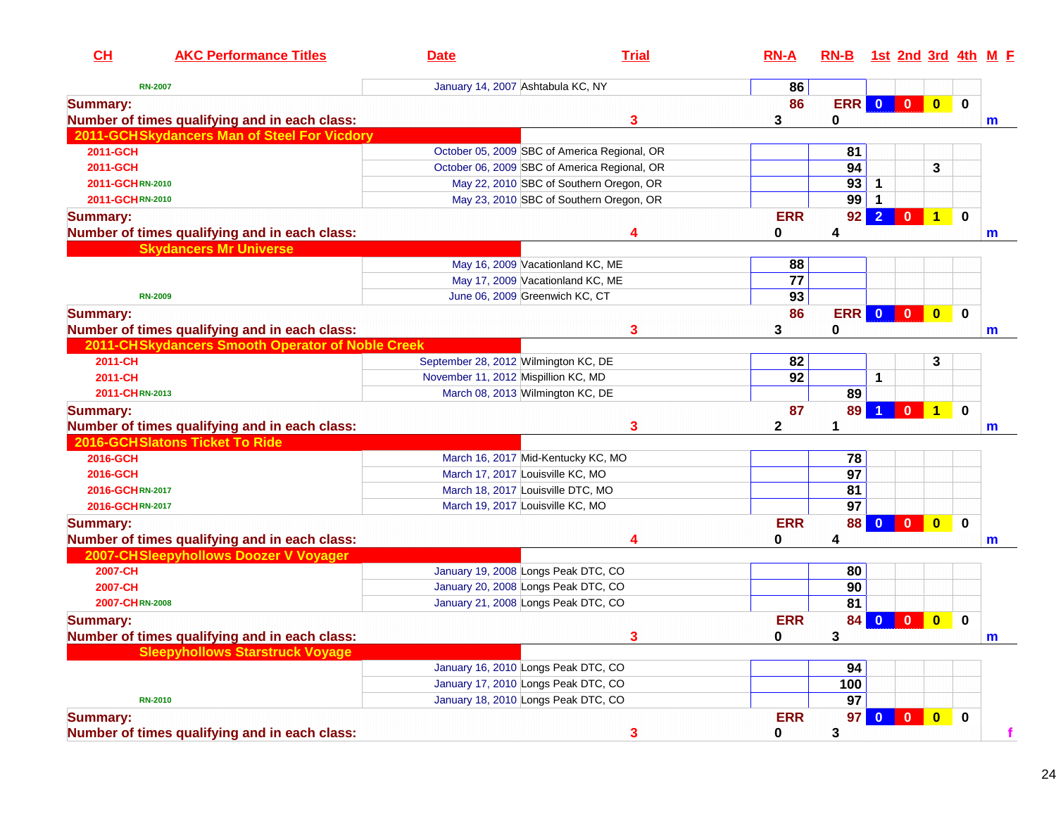| 86<br>January 14, 2007 Ashtabula KC, NY<br><b>RN-2007</b><br>ERR 0<br>86<br>$\bullet$<br><b>Summary:</b><br>Number of times qualifying and in each class:<br>3<br>3<br>0<br>2011-GCHSkydancers Man of Steel For Vicdory<br>2011-GCH<br>October 05, 2009 SBC of America Regional, OR<br>81<br>94<br>3<br>2011-GCH<br>October 06, 2009 SBC of America Regional, OR<br>93<br>May 22, 2010 SBC of Southern Oregon, OR<br>2011-GCHRN-2010<br>1<br>99<br>May 23, 2010 SBC of Southern Oregon, OR<br>2011-GCHRN-2010<br><b>ERR</b><br>$\overline{2}$<br>92<br>$\mathbf{0}$<br>$\blacktriangleleft$<br><b>Summary:</b><br>Number of times qualifying and in each class:<br>0<br>4<br>4<br><b>Skydancers Mr Universe</b><br>May 16, 2009 Vacationland KC, ME<br>88<br>$\overline{77}$<br>May 17, 2009 Vacationland KC, ME<br>93<br>June 06, 2009 Greenwich KC, CT<br><b>RN-2009</b><br>86<br>ERR 0 0<br>$\bullet$<br><b>Summary:</b><br>Number of times qualifying and in each class:<br>3<br>3<br>0<br>2011-CHSkydancers Smooth Operator of Noble Creek<br>2011-CH<br>82<br>3<br>September 28, 2012 Wilmington KC, DE<br>92<br>2011-CH<br>November 11, 2012 Mispillion KC, MD<br>1<br>89<br>2011-CHRN-2013<br>March 08, 2013 Wilmington KC, DE<br>87<br>89<br>$\mathbf{0}$<br>$\blacktriangleleft$<br><b>Summary:</b><br>Number of times qualifying and in each class:<br>3<br>2<br>2016-GCH Slatons Ticket To Ride<br>2016-GCH<br>March 16, 2017 Mid-Kentucky KC, MO<br>78<br>$\overline{97}$<br>2016-GCH<br>March 17, 2017 Louisville KC, MO<br>81<br>2016-GCHRN-2017<br>March 18, 2017 Louisville DTC, MO<br>97<br>2016-GCHRN-2017<br>March 19, 2017 Louisville KC, MO<br><b>ERR</b><br>88<br>$\overline{\mathbf{0}}$<br>$\blacksquare$<br>$\mathbf{0}$<br><b>Summary:</b><br>Number of times qualifying and in each class:<br>0<br>4<br>4<br>2007-CHSleepyhollows Doozer V Voyager<br>2007-CH<br>January 19, 2008 Longs Peak DTC, CO<br>80<br>2007-CH<br>90<br>January 20, 2008 Longs Peak DTC, CO<br>81<br>2007-CHRN-2008<br>January 21, 2008 Longs Peak DTC, CO<br><b>ERR</b><br>$\bf{0}$<br>$\bf{0}$<br>84<br>$\mathbf{0}$<br><b>Summary:</b><br>Number of times qualifying and in each class:<br>3<br>0<br><b>Sleepyhollows Starstruck Voyage</b><br>January 16, 2010 Longs Peak DTC, CO<br>94<br>January 17, 2010 Longs Peak DTC, CO<br>100<br>January 18, 2010 Longs Peak DTC, CO<br>97<br><b>RN-2010</b><br><b>ERR</b><br>$\overline{\mathbf{0}}$<br>$\bullet$<br><b>Summary:</b><br>97 <sup>°</sup><br>$\mathbf{0}$<br>Number of times qualifying and in each class: | CL | <b>AKC Performance Titles</b> | <b>Date</b> | <b>Trial</b> | $RN-A$ | RN-B 1st 2nd 3rd 4th M F |  |              |              |
|--------------------------------------------------------------------------------------------------------------------------------------------------------------------------------------------------------------------------------------------------------------------------------------------------------------------------------------------------------------------------------------------------------------------------------------------------------------------------------------------------------------------------------------------------------------------------------------------------------------------------------------------------------------------------------------------------------------------------------------------------------------------------------------------------------------------------------------------------------------------------------------------------------------------------------------------------------------------------------------------------------------------------------------------------------------------------------------------------------------------------------------------------------------------------------------------------------------------------------------------------------------------------------------------------------------------------------------------------------------------------------------------------------------------------------------------------------------------------------------------------------------------------------------------------------------------------------------------------------------------------------------------------------------------------------------------------------------------------------------------------------------------------------------------------------------------------------------------------------------------------------------------------------------------------------------------------------------------------------------------------------------------------------------------------------------------------------------------------------------------------------------------------------------------------------------------------------------------------------------------------------------------------------------------------------------------------------------------------------------------------------------------------------------------------------------------------------------------------------------------------------------------------------------------------------------------------|----|-------------------------------|-------------|--------------|--------|--------------------------|--|--------------|--------------|
|                                                                                                                                                                                                                                                                                                                                                                                                                                                                                                                                                                                                                                                                                                                                                                                                                                                                                                                                                                                                                                                                                                                                                                                                                                                                                                                                                                                                                                                                                                                                                                                                                                                                                                                                                                                                                                                                                                                                                                                                                                                                                                                                                                                                                                                                                                                                                                                                                                                                                                                                                                          |    |                               |             |              |        |                          |  |              |              |
|                                                                                                                                                                                                                                                                                                                                                                                                                                                                                                                                                                                                                                                                                                                                                                                                                                                                                                                                                                                                                                                                                                                                                                                                                                                                                                                                                                                                                                                                                                                                                                                                                                                                                                                                                                                                                                                                                                                                                                                                                                                                                                                                                                                                                                                                                                                                                                                                                                                                                                                                                                          |    |                               |             |              |        |                          |  | $\mathbf 0$  |              |
|                                                                                                                                                                                                                                                                                                                                                                                                                                                                                                                                                                                                                                                                                                                                                                                                                                                                                                                                                                                                                                                                                                                                                                                                                                                                                                                                                                                                                                                                                                                                                                                                                                                                                                                                                                                                                                                                                                                                                                                                                                                                                                                                                                                                                                                                                                                                                                                                                                                                                                                                                                          |    |                               |             |              |        |                          |  |              | m            |
|                                                                                                                                                                                                                                                                                                                                                                                                                                                                                                                                                                                                                                                                                                                                                                                                                                                                                                                                                                                                                                                                                                                                                                                                                                                                                                                                                                                                                                                                                                                                                                                                                                                                                                                                                                                                                                                                                                                                                                                                                                                                                                                                                                                                                                                                                                                                                                                                                                                                                                                                                                          |    |                               |             |              |        |                          |  |              |              |
|                                                                                                                                                                                                                                                                                                                                                                                                                                                                                                                                                                                                                                                                                                                                                                                                                                                                                                                                                                                                                                                                                                                                                                                                                                                                                                                                                                                                                                                                                                                                                                                                                                                                                                                                                                                                                                                                                                                                                                                                                                                                                                                                                                                                                                                                                                                                                                                                                                                                                                                                                                          |    |                               |             |              |        |                          |  |              |              |
|                                                                                                                                                                                                                                                                                                                                                                                                                                                                                                                                                                                                                                                                                                                                                                                                                                                                                                                                                                                                                                                                                                                                                                                                                                                                                                                                                                                                                                                                                                                                                                                                                                                                                                                                                                                                                                                                                                                                                                                                                                                                                                                                                                                                                                                                                                                                                                                                                                                                                                                                                                          |    |                               |             |              |        |                          |  |              |              |
|                                                                                                                                                                                                                                                                                                                                                                                                                                                                                                                                                                                                                                                                                                                                                                                                                                                                                                                                                                                                                                                                                                                                                                                                                                                                                                                                                                                                                                                                                                                                                                                                                                                                                                                                                                                                                                                                                                                                                                                                                                                                                                                                                                                                                                                                                                                                                                                                                                                                                                                                                                          |    |                               |             |              |        |                          |  |              |              |
|                                                                                                                                                                                                                                                                                                                                                                                                                                                                                                                                                                                                                                                                                                                                                                                                                                                                                                                                                                                                                                                                                                                                                                                                                                                                                                                                                                                                                                                                                                                                                                                                                                                                                                                                                                                                                                                                                                                                                                                                                                                                                                                                                                                                                                                                                                                                                                                                                                                                                                                                                                          |    |                               |             |              |        |                          |  |              |              |
|                                                                                                                                                                                                                                                                                                                                                                                                                                                                                                                                                                                                                                                                                                                                                                                                                                                                                                                                                                                                                                                                                                                                                                                                                                                                                                                                                                                                                                                                                                                                                                                                                                                                                                                                                                                                                                                                                                                                                                                                                                                                                                                                                                                                                                                                                                                                                                                                                                                                                                                                                                          |    |                               |             |              |        |                          |  | $\mathbf 0$  |              |
|                                                                                                                                                                                                                                                                                                                                                                                                                                                                                                                                                                                                                                                                                                                                                                                                                                                                                                                                                                                                                                                                                                                                                                                                                                                                                                                                                                                                                                                                                                                                                                                                                                                                                                                                                                                                                                                                                                                                                                                                                                                                                                                                                                                                                                                                                                                                                                                                                                                                                                                                                                          |    |                               |             |              |        |                          |  |              | $\mathbf m$  |
|                                                                                                                                                                                                                                                                                                                                                                                                                                                                                                                                                                                                                                                                                                                                                                                                                                                                                                                                                                                                                                                                                                                                                                                                                                                                                                                                                                                                                                                                                                                                                                                                                                                                                                                                                                                                                                                                                                                                                                                                                                                                                                                                                                                                                                                                                                                                                                                                                                                                                                                                                                          |    |                               |             |              |        |                          |  |              |              |
|                                                                                                                                                                                                                                                                                                                                                                                                                                                                                                                                                                                                                                                                                                                                                                                                                                                                                                                                                                                                                                                                                                                                                                                                                                                                                                                                                                                                                                                                                                                                                                                                                                                                                                                                                                                                                                                                                                                                                                                                                                                                                                                                                                                                                                                                                                                                                                                                                                                                                                                                                                          |    |                               |             |              |        |                          |  |              |              |
|                                                                                                                                                                                                                                                                                                                                                                                                                                                                                                                                                                                                                                                                                                                                                                                                                                                                                                                                                                                                                                                                                                                                                                                                                                                                                                                                                                                                                                                                                                                                                                                                                                                                                                                                                                                                                                                                                                                                                                                                                                                                                                                                                                                                                                                                                                                                                                                                                                                                                                                                                                          |    |                               |             |              |        |                          |  |              |              |
|                                                                                                                                                                                                                                                                                                                                                                                                                                                                                                                                                                                                                                                                                                                                                                                                                                                                                                                                                                                                                                                                                                                                                                                                                                                                                                                                                                                                                                                                                                                                                                                                                                                                                                                                                                                                                                                                                                                                                                                                                                                                                                                                                                                                                                                                                                                                                                                                                                                                                                                                                                          |    |                               |             |              |        |                          |  |              |              |
|                                                                                                                                                                                                                                                                                                                                                                                                                                                                                                                                                                                                                                                                                                                                                                                                                                                                                                                                                                                                                                                                                                                                                                                                                                                                                                                                                                                                                                                                                                                                                                                                                                                                                                                                                                                                                                                                                                                                                                                                                                                                                                                                                                                                                                                                                                                                                                                                                                                                                                                                                                          |    |                               |             |              |        |                          |  | $\mathbf{0}$ |              |
|                                                                                                                                                                                                                                                                                                                                                                                                                                                                                                                                                                                                                                                                                                                                                                                                                                                                                                                                                                                                                                                                                                                                                                                                                                                                                                                                                                                                                                                                                                                                                                                                                                                                                                                                                                                                                                                                                                                                                                                                                                                                                                                                                                                                                                                                                                                                                                                                                                                                                                                                                                          |    |                               |             |              |        |                          |  |              | m            |
|                                                                                                                                                                                                                                                                                                                                                                                                                                                                                                                                                                                                                                                                                                                                                                                                                                                                                                                                                                                                                                                                                                                                                                                                                                                                                                                                                                                                                                                                                                                                                                                                                                                                                                                                                                                                                                                                                                                                                                                                                                                                                                                                                                                                                                                                                                                                                                                                                                                                                                                                                                          |    |                               |             |              |        |                          |  |              |              |
|                                                                                                                                                                                                                                                                                                                                                                                                                                                                                                                                                                                                                                                                                                                                                                                                                                                                                                                                                                                                                                                                                                                                                                                                                                                                                                                                                                                                                                                                                                                                                                                                                                                                                                                                                                                                                                                                                                                                                                                                                                                                                                                                                                                                                                                                                                                                                                                                                                                                                                                                                                          |    |                               |             |              |        |                          |  |              |              |
|                                                                                                                                                                                                                                                                                                                                                                                                                                                                                                                                                                                                                                                                                                                                                                                                                                                                                                                                                                                                                                                                                                                                                                                                                                                                                                                                                                                                                                                                                                                                                                                                                                                                                                                                                                                                                                                                                                                                                                                                                                                                                                                                                                                                                                                                                                                                                                                                                                                                                                                                                                          |    |                               |             |              |        |                          |  |              |              |
|                                                                                                                                                                                                                                                                                                                                                                                                                                                                                                                                                                                                                                                                                                                                                                                                                                                                                                                                                                                                                                                                                                                                                                                                                                                                                                                                                                                                                                                                                                                                                                                                                                                                                                                                                                                                                                                                                                                                                                                                                                                                                                                                                                                                                                                                                                                                                                                                                                                                                                                                                                          |    |                               |             |              |        |                          |  |              |              |
|                                                                                                                                                                                                                                                                                                                                                                                                                                                                                                                                                                                                                                                                                                                                                                                                                                                                                                                                                                                                                                                                                                                                                                                                                                                                                                                                                                                                                                                                                                                                                                                                                                                                                                                                                                                                                                                                                                                                                                                                                                                                                                                                                                                                                                                                                                                                                                                                                                                                                                                                                                          |    |                               |             |              |        |                          |  | $\mathbf 0$  |              |
|                                                                                                                                                                                                                                                                                                                                                                                                                                                                                                                                                                                                                                                                                                                                                                                                                                                                                                                                                                                                                                                                                                                                                                                                                                                                                                                                                                                                                                                                                                                                                                                                                                                                                                                                                                                                                                                                                                                                                                                                                                                                                                                                                                                                                                                                                                                                                                                                                                                                                                                                                                          |    |                               |             |              |        |                          |  |              | m            |
|                                                                                                                                                                                                                                                                                                                                                                                                                                                                                                                                                                                                                                                                                                                                                                                                                                                                                                                                                                                                                                                                                                                                                                                                                                                                                                                                                                                                                                                                                                                                                                                                                                                                                                                                                                                                                                                                                                                                                                                                                                                                                                                                                                                                                                                                                                                                                                                                                                                                                                                                                                          |    |                               |             |              |        |                          |  |              |              |
|                                                                                                                                                                                                                                                                                                                                                                                                                                                                                                                                                                                                                                                                                                                                                                                                                                                                                                                                                                                                                                                                                                                                                                                                                                                                                                                                                                                                                                                                                                                                                                                                                                                                                                                                                                                                                                                                                                                                                                                                                                                                                                                                                                                                                                                                                                                                                                                                                                                                                                                                                                          |    |                               |             |              |        |                          |  |              |              |
|                                                                                                                                                                                                                                                                                                                                                                                                                                                                                                                                                                                                                                                                                                                                                                                                                                                                                                                                                                                                                                                                                                                                                                                                                                                                                                                                                                                                                                                                                                                                                                                                                                                                                                                                                                                                                                                                                                                                                                                                                                                                                                                                                                                                                                                                                                                                                                                                                                                                                                                                                                          |    |                               |             |              |        |                          |  |              |              |
|                                                                                                                                                                                                                                                                                                                                                                                                                                                                                                                                                                                                                                                                                                                                                                                                                                                                                                                                                                                                                                                                                                                                                                                                                                                                                                                                                                                                                                                                                                                                                                                                                                                                                                                                                                                                                                                                                                                                                                                                                                                                                                                                                                                                                                                                                                                                                                                                                                                                                                                                                                          |    |                               |             |              |        |                          |  |              |              |
|                                                                                                                                                                                                                                                                                                                                                                                                                                                                                                                                                                                                                                                                                                                                                                                                                                                                                                                                                                                                                                                                                                                                                                                                                                                                                                                                                                                                                                                                                                                                                                                                                                                                                                                                                                                                                                                                                                                                                                                                                                                                                                                                                                                                                                                                                                                                                                                                                                                                                                                                                                          |    |                               |             |              |        |                          |  |              |              |
|                                                                                                                                                                                                                                                                                                                                                                                                                                                                                                                                                                                                                                                                                                                                                                                                                                                                                                                                                                                                                                                                                                                                                                                                                                                                                                                                                                                                                                                                                                                                                                                                                                                                                                                                                                                                                                                                                                                                                                                                                                                                                                                                                                                                                                                                                                                                                                                                                                                                                                                                                                          |    |                               |             |              |        |                          |  | $\mathbf 0$  |              |
|                                                                                                                                                                                                                                                                                                                                                                                                                                                                                                                                                                                                                                                                                                                                                                                                                                                                                                                                                                                                                                                                                                                                                                                                                                                                                                                                                                                                                                                                                                                                                                                                                                                                                                                                                                                                                                                                                                                                                                                                                                                                                                                                                                                                                                                                                                                                                                                                                                                                                                                                                                          |    |                               |             |              |        |                          |  |              | $\mathbf{m}$ |
|                                                                                                                                                                                                                                                                                                                                                                                                                                                                                                                                                                                                                                                                                                                                                                                                                                                                                                                                                                                                                                                                                                                                                                                                                                                                                                                                                                                                                                                                                                                                                                                                                                                                                                                                                                                                                                                                                                                                                                                                                                                                                                                                                                                                                                                                                                                                                                                                                                                                                                                                                                          |    |                               |             |              |        |                          |  |              |              |
|                                                                                                                                                                                                                                                                                                                                                                                                                                                                                                                                                                                                                                                                                                                                                                                                                                                                                                                                                                                                                                                                                                                                                                                                                                                                                                                                                                                                                                                                                                                                                                                                                                                                                                                                                                                                                                                                                                                                                                                                                                                                                                                                                                                                                                                                                                                                                                                                                                                                                                                                                                          |    |                               |             |              |        |                          |  |              |              |
|                                                                                                                                                                                                                                                                                                                                                                                                                                                                                                                                                                                                                                                                                                                                                                                                                                                                                                                                                                                                                                                                                                                                                                                                                                                                                                                                                                                                                                                                                                                                                                                                                                                                                                                                                                                                                                                                                                                                                                                                                                                                                                                                                                                                                                                                                                                                                                                                                                                                                                                                                                          |    |                               |             |              |        |                          |  |              |              |
|                                                                                                                                                                                                                                                                                                                                                                                                                                                                                                                                                                                                                                                                                                                                                                                                                                                                                                                                                                                                                                                                                                                                                                                                                                                                                                                                                                                                                                                                                                                                                                                                                                                                                                                                                                                                                                                                                                                                                                                                                                                                                                                                                                                                                                                                                                                                                                                                                                                                                                                                                                          |    |                               |             |              |        |                          |  |              |              |
|                                                                                                                                                                                                                                                                                                                                                                                                                                                                                                                                                                                                                                                                                                                                                                                                                                                                                                                                                                                                                                                                                                                                                                                                                                                                                                                                                                                                                                                                                                                                                                                                                                                                                                                                                                                                                                                                                                                                                                                                                                                                                                                                                                                                                                                                                                                                                                                                                                                                                                                                                                          |    |                               |             |              |        |                          |  | 0            |              |
|                                                                                                                                                                                                                                                                                                                                                                                                                                                                                                                                                                                                                                                                                                                                                                                                                                                                                                                                                                                                                                                                                                                                                                                                                                                                                                                                                                                                                                                                                                                                                                                                                                                                                                                                                                                                                                                                                                                                                                                                                                                                                                                                                                                                                                                                                                                                                                                                                                                                                                                                                                          |    |                               |             |              |        |                          |  |              | $\mathbf{m}$ |
|                                                                                                                                                                                                                                                                                                                                                                                                                                                                                                                                                                                                                                                                                                                                                                                                                                                                                                                                                                                                                                                                                                                                                                                                                                                                                                                                                                                                                                                                                                                                                                                                                                                                                                                                                                                                                                                                                                                                                                                                                                                                                                                                                                                                                                                                                                                                                                                                                                                                                                                                                                          |    |                               |             |              |        |                          |  |              |              |
|                                                                                                                                                                                                                                                                                                                                                                                                                                                                                                                                                                                                                                                                                                                                                                                                                                                                                                                                                                                                                                                                                                                                                                                                                                                                                                                                                                                                                                                                                                                                                                                                                                                                                                                                                                                                                                                                                                                                                                                                                                                                                                                                                                                                                                                                                                                                                                                                                                                                                                                                                                          |    |                               |             |              |        |                          |  |              |              |
|                                                                                                                                                                                                                                                                                                                                                                                                                                                                                                                                                                                                                                                                                                                                                                                                                                                                                                                                                                                                                                                                                                                                                                                                                                                                                                                                                                                                                                                                                                                                                                                                                                                                                                                                                                                                                                                                                                                                                                                                                                                                                                                                                                                                                                                                                                                                                                                                                                                                                                                                                                          |    |                               |             |              |        |                          |  |              |              |
|                                                                                                                                                                                                                                                                                                                                                                                                                                                                                                                                                                                                                                                                                                                                                                                                                                                                                                                                                                                                                                                                                                                                                                                                                                                                                                                                                                                                                                                                                                                                                                                                                                                                                                                                                                                                                                                                                                                                                                                                                                                                                                                                                                                                                                                                                                                                                                                                                                                                                                                                                                          |    |                               |             |              |        |                          |  |              |              |
|                                                                                                                                                                                                                                                                                                                                                                                                                                                                                                                                                                                                                                                                                                                                                                                                                                                                                                                                                                                                                                                                                                                                                                                                                                                                                                                                                                                                                                                                                                                                                                                                                                                                                                                                                                                                                                                                                                                                                                                                                                                                                                                                                                                                                                                                                                                                                                                                                                                                                                                                                                          |    |                               |             |              |        |                          |  | $\mathbf 0$  |              |
|                                                                                                                                                                                                                                                                                                                                                                                                                                                                                                                                                                                                                                                                                                                                                                                                                                                                                                                                                                                                                                                                                                                                                                                                                                                                                                                                                                                                                                                                                                                                                                                                                                                                                                                                                                                                                                                                                                                                                                                                                                                                                                                                                                                                                                                                                                                                                                                                                                                                                                                                                                          |    |                               |             | $\mathbf{3}$ | 0      | 3                        |  |              | $\mathbf{f}$ |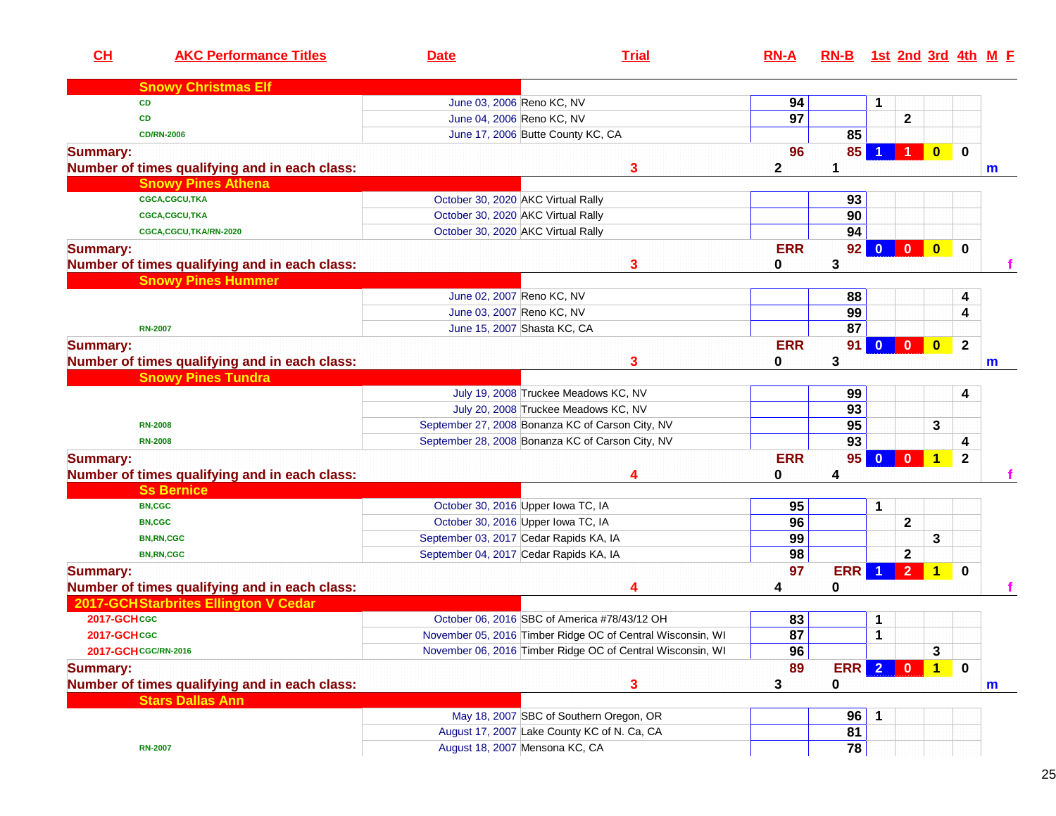| CH                   | <b>AKC Performance Titles</b>                 | <b>Date</b>               | <b>Trial</b>                                               | $RN-A$          | $RN-B$      |                   |                |                         |              | <u>1st 2nd 3rd 4th M F</u> |
|----------------------|-----------------------------------------------|---------------------------|------------------------------------------------------------|-----------------|-------------|-------------------|----------------|-------------------------|--------------|----------------------------|
|                      | <b>Snowy Christmas Elf</b>                    |                           |                                                            |                 |             |                   |                |                         |              |                            |
|                      | <b>CD</b>                                     | June 03, 2006 Reno KC, NV |                                                            | 94              |             | 1                 |                |                         |              |                            |
|                      | CD                                            | June 04, 2006 Reno KC, NV |                                                            | $\overline{97}$ |             |                   | $\mathbf 2$    |                         |              |                            |
|                      | <b>CD/RN-2006</b>                             |                           | June 17, 2006 Butte County KC, CA                          |                 | 85          |                   |                |                         |              |                            |
| <b>Summary:</b>      |                                               |                           |                                                            | 96              | 85          |                   |                | $\bf{0}$                | $\mathbf 0$  |                            |
|                      | Number of times qualifying and in each class: |                           | 3                                                          | $\mathbf{2}$    | $\mathbf 1$ |                   |                |                         |              | $\mathbf m$                |
|                      | <b>Snowy Pines Athena</b>                     |                           |                                                            |                 |             |                   |                |                         |              |                            |
|                      | CGCA,CGCU,TKA                                 |                           | October 30, 2020 AKC Virtual Rally                         |                 | 93          |                   |                |                         |              |                            |
|                      | <b>CGCA,CGCU,TKA</b>                          |                           | October 30, 2020 AKC Virtual Rally                         |                 | 90          |                   |                |                         |              |                            |
|                      | CGCA,CGCU,TKA/RN-2020                         |                           | October 30, 2020 AKC Virtual Rally                         |                 | 94          |                   |                |                         |              |                            |
| <b>Summary:</b>      |                                               |                           |                                                            | <b>ERR</b>      | 92          |                   |                |                         | $\bf{0}$     |                            |
|                      | Number of times qualifying and in each class: |                           | 3                                                          | 0               | 3           |                   |                |                         |              |                            |
|                      | <b>Snowy Pines Hummer</b>                     |                           |                                                            |                 |             |                   |                |                         |              |                            |
|                      |                                               | June 02, 2007 Reno KC, NV |                                                            |                 | 88          |                   |                |                         | 4            |                            |
|                      |                                               | June 03, 2007 Reno KC, NV |                                                            |                 | 99          |                   |                |                         | 4            |                            |
|                      | <b>RN-2007</b>                                |                           | June 15, 2007 Shasta KC, CA                                |                 | 87          |                   |                |                         |              |                            |
| <b>Summary:</b>      |                                               |                           |                                                            | <b>ERR</b>      | 91          |                   | $0$ 0          | $\overline{\mathbf{0}}$ | $\mathbf{2}$ |                            |
|                      | Number of times qualifying and in each class: |                           | 3                                                          | 0               | 3           |                   |                |                         |              | $\mathbf m$                |
|                      | <b>Snowy Pines Tundra</b>                     |                           |                                                            |                 |             |                   |                |                         |              |                            |
|                      |                                               |                           | July 19, 2008 Truckee Meadows KC, NV                       |                 | 99          |                   |                |                         | 4            |                            |
|                      |                                               |                           | July 20, 2008 Truckee Meadows KC, NV                       |                 | 93          |                   |                |                         |              |                            |
|                      | <b>RN-2008</b>                                |                           | September 27, 2008 Bonanza KC of Carson City, NV           |                 | 95          |                   |                | 3                       |              |                            |
|                      | <b>RN-2008</b>                                |                           | September 28, 2008 Bonanza KC of Carson City, NV           |                 | 93          |                   |                |                         | 4            |                            |
| <b>Summary:</b>      |                                               |                           |                                                            | <b>ERR</b>      | 95          |                   | 0 0 1          |                         | $\mathbf{2}$ |                            |
|                      | Number of times qualifying and in each class: |                           | Δ                                                          | 0               | 4           |                   |                |                         |              |                            |
|                      | <b>Ss Bernice</b>                             |                           |                                                            |                 |             |                   |                |                         |              |                            |
|                      | <b>BN,CGC</b>                                 |                           | October 30, 2016 Upper Iowa TC, IA                         | 95              |             | $\mathbf{1}$      |                |                         |              |                            |
|                      | <b>BN,CGC</b>                                 |                           | October 30, 2016 Upper Iowa TC, IA                         | 96              |             |                   | $\mathbf{2}$   |                         |              |                            |
|                      | <b>BN,RN,CGC</b>                              |                           | September 03, 2017 Cedar Rapids KA, IA                     | 99              |             |                   |                | 3                       |              |                            |
|                      | <b>BN,RN,CGC</b>                              |                           | September 04, 2017 Cedar Rapids KA, IA                     | 98              |             |                   | $\mathbf{2}$   |                         |              |                            |
|                      |                                               |                           |                                                            | 97              | <b>ERR</b>  |                   | 2 <sup>1</sup> | $\blacktriangleleft$    | $\mathbf{0}$ |                            |
| <b>Summary:</b>      | Number of times qualifying and in each class: |                           |                                                            |                 | $\bf{0}$    |                   |                |                         |              |                            |
|                      | 2017-GCHStarbrites Ellington V Cedar          |                           |                                                            | 4               |             |                   |                |                         |              |                            |
| 2017-GCHcGC          |                                               |                           | October 06, 2016 SBC of America #78/43/12 OH               |                 |             |                   |                |                         |              |                            |
| <b>2017-GCH CGC</b>  |                                               |                           |                                                            | 83              |             | 1<br>$\mathbf{1}$ |                |                         |              |                            |
|                      |                                               |                           | November 05, 2016 Timber Ridge OC of Central Wisconsin, WI | $\overline{87}$ |             |                   |                |                         |              |                            |
| 2017-GCH CGC/RN-2016 |                                               |                           | November 06, 2016 Timber Ridge OC of Central Wisconsin, WI | 96              |             |                   |                | 3                       |              |                            |
| <b>Summary:</b>      |                                               |                           |                                                            | 89              | <b>ERR</b>  | $\overline{2}$    | $\blacksquare$ | $\vert$ 1 $\vert$       | $\mathbf 0$  |                            |
|                      | Number of times qualifying and in each class: |                           | 3                                                          | 3               | 0           |                   |                |                         |              | m                          |
|                      | <b>Stars Dallas Ann</b>                       |                           |                                                            |                 |             |                   |                |                         |              |                            |
|                      |                                               |                           | May 18, 2007 SBC of Southern Oregon, OR                    |                 | 96          | -1                |                |                         |              |                            |
|                      |                                               |                           | August 17, 2007 Lake County KC of N. Ca, CA                |                 | 81          |                   |                |                         |              |                            |
|                      | <b>RN-2007</b>                                |                           | August 18, 2007 Mensona KC, CA                             |                 | 78          |                   |                |                         |              |                            |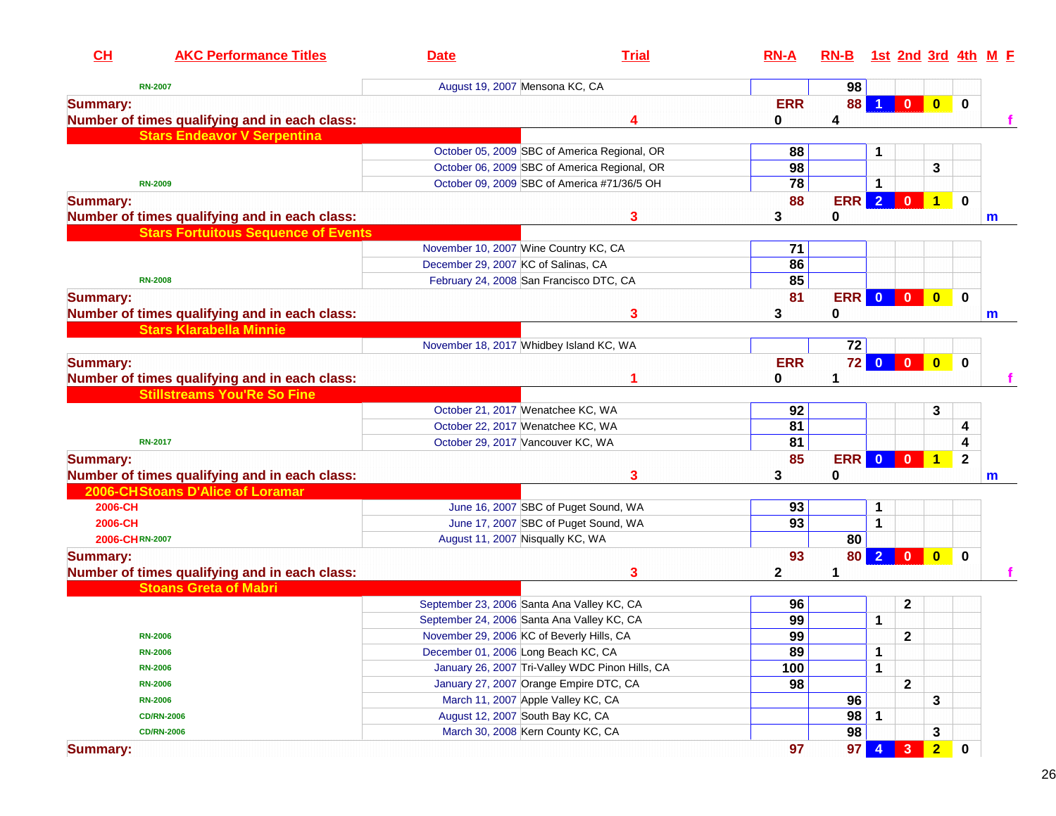| CH                                            | <b>AKC Performance Titles</b>              | <b>Date</b>                                | <b>Trial</b>                                    | $RN-A$     | $RN-B$     |                |                         |                         |              | 1st 2nd 3rd 4th M E |
|-----------------------------------------------|--------------------------------------------|--------------------------------------------|-------------------------------------------------|------------|------------|----------------|-------------------------|-------------------------|--------------|---------------------|
| <b>RN-2007</b>                                |                                            | August 19, 2007 Mensona KC, CA             |                                                 |            | 98         |                |                         |                         |              |                     |
| <b>Summary:</b>                               |                                            |                                            |                                                 | <b>ERR</b> | 88         |                | $\mathbf{0}$            | $\overline{\mathbf{0}}$ | $\mathbf 0$  |                     |
| Number of times qualifying and in each class: |                                            |                                            | 4                                               | 0          | 4          |                |                         |                         |              |                     |
|                                               | <b>Stars Endeavor V Serpentina</b>         |                                            |                                                 |            |            |                |                         |                         |              |                     |
|                                               |                                            |                                            | October 05, 2009 SBC of America Regional, OR    | 88         |            | 1              |                         |                         |              |                     |
|                                               |                                            |                                            | October 06, 2009 SBC of America Regional, OR    | 98         |            |                |                         | 3                       |              |                     |
| <b>RN-2009</b>                                |                                            |                                            | October 09, 2009 SBC of America #71/36/5 OH     | 78         |            | 1              |                         |                         |              |                     |
| <b>Summary:</b>                               |                                            |                                            |                                                 | 88         | <b>ERR</b> | $\overline{2}$ | $\mathbf{0}$            | $\overline{1}$          | $\mathbf 0$  |                     |
| Number of times qualifying and in each class: |                                            |                                            | 3                                               | 3          | 0          |                |                         |                         |              | m                   |
|                                               | <b>Stars Fortuitous Sequence of Events</b> |                                            |                                                 |            |            |                |                         |                         |              |                     |
|                                               |                                            | November 10, 2007 Wine Country KC, CA      |                                                 | 71         |            |                |                         |                         |              |                     |
|                                               |                                            | December 29, 2007 KC of Salinas, CA        |                                                 | 86         |            |                |                         |                         |              |                     |
| <b>RN-2008</b>                                |                                            | February 24, 2008 San Francisco DTC, CA    |                                                 | 85         |            |                |                         |                         |              |                     |
| <b>Summary:</b>                               |                                            |                                            |                                                 | 81         | <b>ERR</b> | $\bullet$      | $\overline{\mathbf{0}}$ | $\bullet$               | $\mathbf 0$  |                     |
| Number of times qualifying and in each class: |                                            |                                            | 3                                               | 3          | 0          |                |                         |                         |              | m                   |
| <b>Stars Klarabella Minnie</b>                |                                            |                                            |                                                 |            |            |                |                         |                         |              |                     |
|                                               |                                            | November 18, 2017 Whidbey Island KC, WA    |                                                 |            | 72         |                |                         |                         |              |                     |
| <b>Summary:</b>                               |                                            |                                            |                                                 | <b>ERR</b> | 72         | $\bullet$      | $\overline{\mathbf{0}}$ | $\bullet$               | $\mathbf 0$  |                     |
| Number of times qualifying and in each class: |                                            |                                            |                                                 | 0          | 1          |                |                         |                         |              |                     |
|                                               | <b>Stillstreams You'Re So Fine</b>         |                                            |                                                 |            |            |                |                         |                         |              |                     |
|                                               |                                            | October 21, 2017 Wenatchee KC, WA          |                                                 | 92         |            |                |                         | 3                       |              |                     |
|                                               |                                            | October 22, 2017 Wenatchee KC, WA          |                                                 | 81         |            |                |                         |                         | 4            |                     |
| <b>RN-2017</b>                                |                                            | October 29, 2017 Vancouver KC, WA          |                                                 | 81         |            |                |                         |                         | 4            |                     |
| <b>Summary:</b>                               |                                            |                                            |                                                 | 85         | <b>ERR</b> | $\mathbf{0}$   | $\mathbf{0}$            | 1                       | $\mathbf{2}$ |                     |
| Number of times qualifying and in each class: |                                            |                                            | 3                                               | 3          | 0          |                |                         |                         |              | m                   |
| 2006-CH Stoans D'Alice of Loramar             |                                            |                                            |                                                 |            |            |                |                         |                         |              |                     |
| 2006-CH                                       |                                            |                                            | June 16, 2007 SBC of Puget Sound, WA            | 93         |            | 1              |                         |                         |              |                     |
| 2006-CH                                       |                                            |                                            | June 17, 2007 SBC of Puget Sound, WA            | 93         |            | 1              |                         |                         |              |                     |
| 2006-CHRN-2007                                |                                            | August 11, 2007 Nisqually KC, WA           |                                                 |            | 80         |                |                         |                         |              |                     |
| <b>Summary:</b>                               |                                            |                                            |                                                 | 93         | <b>80</b>  | 2 <sup>2</sup> | $\overline{0}$          | $\mathbf{0}$            | $\bf{0}$     |                     |
| Number of times qualifying and in each class: |                                            |                                            | 3                                               | 2          | 1          |                |                         |                         |              |                     |
| <b>Stoans Greta of Mabri</b>                  |                                            |                                            |                                                 |            |            |                |                         |                         |              |                     |
|                                               |                                            | September 23, 2006 Santa Ana Valley KC, CA |                                                 | 96         |            |                | $\mathbf 2$             |                         |              |                     |
|                                               |                                            | September 24, 2006 Santa Ana Valley KC, CA |                                                 | 99         |            | 1              |                         |                         |              |                     |
| <b>RN-2006</b>                                |                                            | November 29, 2006 KC of Beverly Hills, CA  |                                                 | 99         |            |                | $\mathbf{2}$            |                         |              |                     |
| <b>RN-2006</b>                                |                                            | December 01, 2006 Long Beach KC, CA        |                                                 | 89         |            | 1              |                         |                         |              |                     |
| <b>RN-2006</b>                                |                                            |                                            | January 26, 2007 Tri-Valley WDC Pinon Hills, CA | 100        |            | 1              |                         |                         |              |                     |
| <b>RN-2006</b>                                |                                            | January 27, 2007 Orange Empire DTC, CA     |                                                 | 98         |            |                | $\mathbf{2}$            |                         |              |                     |
| <b>RN-2006</b>                                |                                            | March 11, 2007 Apple Valley KC, CA         |                                                 |            | 96         |                |                         | 3                       |              |                     |
| <b>CD/RN-2006</b>                             |                                            | August 12, 2007 South Bay KC, CA           |                                                 |            | 98         | 1              |                         |                         |              |                     |
| <b>CD/RN-2006</b>                             |                                            | March 30, 2008 Kern County KC, CA          |                                                 |            | 98         |                |                         | 3                       |              |                     |
| <b>Summary:</b>                               |                                            |                                            |                                                 | 97         | 97         |                | 3                       | $\overline{2}$          | 0            |                     |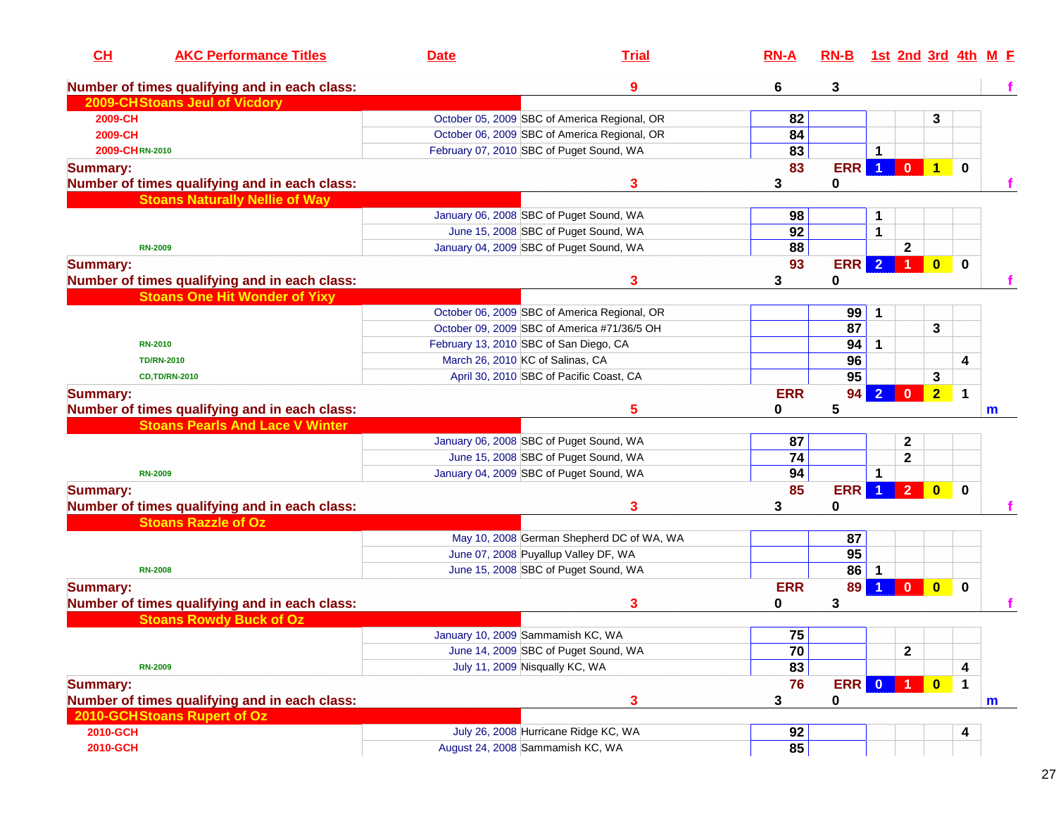| CH              | <b>AKC Performance Titles</b>                                                           | <b>Date</b>                            | <b>Trial</b>                                                                    | <b>RN-A</b>           | $RN-B$          |                         |                |                         |             | 1st 2nd 3rd 4th M E |
|-----------------|-----------------------------------------------------------------------------------------|----------------------------------------|---------------------------------------------------------------------------------|-----------------------|-----------------|-------------------------|----------------|-------------------------|-------------|---------------------|
|                 | Number of times qualifying and in each class:                                           |                                        | 9                                                                               | 6                     | 3               |                         |                |                         |             |                     |
|                 | 2009-CH Stoans Jeul of Vicdory                                                          |                                        |                                                                                 |                       |                 |                         |                |                         |             |                     |
| 2009-CH         |                                                                                         |                                        | October 05, 2009 SBC of America Regional, OR                                    | 82                    |                 |                         |                | 3                       |             |                     |
| 2009-CH         |                                                                                         |                                        | October 06, 2009 SBC of America Regional, OR                                    | 84                    |                 |                         |                |                         |             |                     |
| 2009-CHRN-2010  |                                                                                         |                                        | February 07, 2010 SBC of Puget Sound, WA                                        | 83                    |                 | 1                       |                |                         |             |                     |
| <b>Summary:</b> |                                                                                         |                                        |                                                                                 | 83                    | <b>ERR</b>      | $\vert$ 1               | $\mathbf{0}$   | $\overline{1}$          | $\mathbf 0$ |                     |
|                 | Number of times qualifying and in each class:                                           |                                        | 3                                                                               | 3                     | 0               |                         |                |                         |             |                     |
|                 | <b>Stoans Naturally Nellie of Way</b>                                                   |                                        |                                                                                 |                       |                 |                         |                |                         |             |                     |
|                 |                                                                                         |                                        | January 06, 2008 SBC of Puget Sound, WA                                         | 98                    |                 | 1                       |                |                         |             |                     |
|                 |                                                                                         |                                        | June 15, 2008 SBC of Puget Sound, WA                                            | 92                    |                 | 1                       |                |                         |             |                     |
|                 | <b>RN-2009</b>                                                                          |                                        | January 04, 2009 SBC of Puget Sound, WA                                         | 88                    |                 |                         | $\mathbf{2}$   |                         |             |                     |
| <b>Summary:</b> |                                                                                         |                                        |                                                                                 | 93                    | <b>ERR</b>      | $\overline{2}$          |                | $\overline{\mathbf{0}}$ | $\mathbf 0$ |                     |
|                 | Number of times qualifying and in each class:                                           |                                        | 3                                                                               | 3                     | 0               |                         |                |                         |             |                     |
|                 | <b>Stoans One Hit Wonder of Yixy</b>                                                    |                                        |                                                                                 |                       |                 |                         |                |                         |             |                     |
|                 |                                                                                         |                                        | October 06, 2009 SBC of America Regional, OR                                    |                       | 99              | $\mathbf 1$             |                |                         |             |                     |
|                 |                                                                                         |                                        | October 09, 2009 SBC of America #71/36/5 OH                                     |                       | 87              |                         |                | $\mathbf{3}$            |             |                     |
|                 | <b>RN-2010</b>                                                                          | February 13, 2010 SBC of San Diego, CA |                                                                                 |                       | 94              | 1                       |                |                         |             |                     |
|                 | <b>TD/RN-2010</b>                                                                       | March 26, 2010 KC of Salinas, CA       |                                                                                 |                       | 96              |                         |                |                         | 4           |                     |
|                 | <b>CD,TD/RN-2010</b>                                                                    |                                        | April 30, 2010 SBC of Pacific Coast, CA                                         |                       | $\overline{95}$ |                         |                | 3                       |             |                     |
|                 |                                                                                         |                                        |                                                                                 | <b>ERR</b>            | 94              |                         | $\bf{0}$       | $2 \nightharpoonup$     | $\mathbf 1$ |                     |
| <b>Summary:</b> |                                                                                         |                                        | 5                                                                               |                       | 5               |                         |                |                         |             |                     |
|                 | Number of times qualifying and in each class:<br><b>Stoans Pearls And Lace V Winter</b> |                                        |                                                                                 | 0                     |                 |                         |                |                         |             | m                   |
|                 |                                                                                         |                                        |                                                                                 |                       |                 |                         |                |                         |             |                     |
|                 |                                                                                         |                                        | January 06, 2008 SBC of Puget Sound, WA<br>June 15, 2008 SBC of Puget Sound, WA | 87<br>$\overline{74}$ |                 |                         | $\mathbf 2$    |                         |             |                     |
|                 |                                                                                         |                                        |                                                                                 |                       |                 |                         | $\mathbf{2}$   |                         |             |                     |
|                 | <b>RN-2009</b>                                                                          |                                        | January 04, 2009 SBC of Puget Sound, WA                                         | 94                    |                 | 1                       |                |                         |             |                     |
| <b>Summary:</b> |                                                                                         |                                        |                                                                                 | 85                    | <b>ERR</b>      | -1                      | 2 <sup>1</sup> | $\bullet$               | $\mathbf 0$ |                     |
|                 | Number of times qualifying and in each class:                                           |                                        | 3                                                                               | 3                     | 0               |                         |                |                         |             |                     |
|                 | <b>Stoans Razzle of Oz</b>                                                              |                                        |                                                                                 |                       |                 |                         |                |                         |             |                     |
|                 |                                                                                         |                                        | May 10, 2008 German Shepherd DC of WA, WA                                       |                       | 87              |                         |                |                         |             |                     |
|                 |                                                                                         |                                        | June 07, 2008 Puyallup Valley DF, WA                                            |                       | $\overline{95}$ |                         |                |                         |             |                     |
|                 | <b>RN-2008</b>                                                                          |                                        | June 15, 2008 SBC of Puget Sound, WA                                            |                       | 86              |                         |                |                         |             |                     |
| <b>Summary:</b> |                                                                                         |                                        |                                                                                 | <b>ERR</b>            | 89              |                         | $\mathbf{0}$   | $\bullet$               | $\mathbf 0$ |                     |
|                 | Number of times qualifying and in each class:                                           |                                        | 3                                                                               | 0                     | 3               |                         |                |                         |             |                     |
|                 | <b>Stoans Rowdy Buck of Oz</b>                                                          |                                        |                                                                                 |                       |                 |                         |                |                         |             |                     |
|                 |                                                                                         | January 10, 2009 Sammamish KC, WA      |                                                                                 | 75                    |                 |                         |                |                         |             |                     |
|                 |                                                                                         |                                        | June 14, 2009 SBC of Puget Sound, WA                                            | 70                    |                 |                         | $\mathbf 2$    |                         |             |                     |
|                 | <b>RN-2009</b>                                                                          | July 11, 2009 Nisqually KC, WA         |                                                                                 | 83                    |                 |                         |                |                         | 4           |                     |
| <b>Summary:</b> |                                                                                         |                                        |                                                                                 | 76                    | <b>ERR</b>      | $\overline{\mathbf{0}}$ |                | $\overline{\mathbf{0}}$ | $\mathbf 1$ |                     |
|                 | Number of times qualifying and in each class:                                           |                                        | 3                                                                               | 3                     | 0               |                         |                |                         |             | m                   |
|                 | 2010-GCH Stoans Rupert of Oz                                                            |                                        |                                                                                 |                       |                 |                         |                |                         |             |                     |
| 2010-GCH        |                                                                                         |                                        | July 26, 2008 Hurricane Ridge KC, WA                                            | 92                    |                 |                         |                |                         | 4           |                     |
| 2010-GCH        |                                                                                         | August 24, 2008 Sammamish KC, WA       |                                                                                 | 85                    |                 |                         |                |                         |             |                     |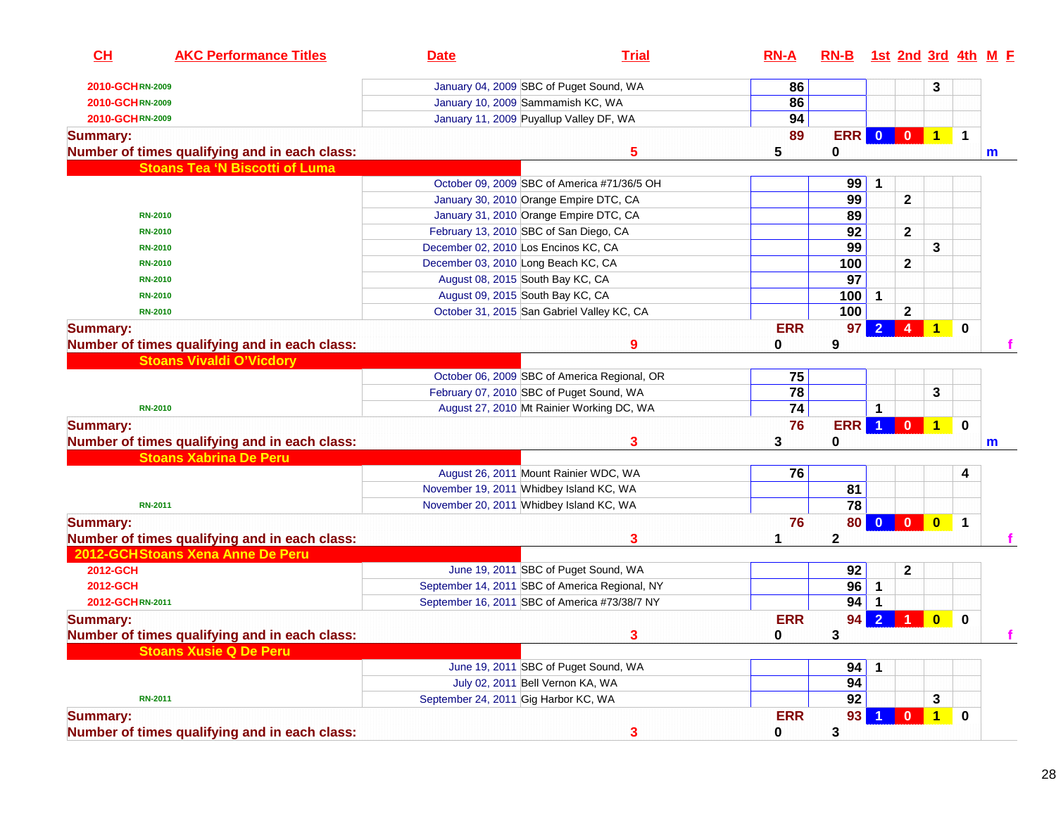| CH<br><b>AKC Performance Titles</b>           | <b>Date</b>                                   | <b>Trial</b>                                   | $RN-A$          | RN-B 1st 2nd 3rd 4th M F |                         |                         |                |             |              |
|-----------------------------------------------|-----------------------------------------------|------------------------------------------------|-----------------|--------------------------|-------------------------|-------------------------|----------------|-------------|--------------|
| 2010-GCHRN-2009                               | January 04, 2009 SBC of Puget Sound, WA       |                                                | 86              |                          |                         |                         | 3              |             |              |
| 2010-GCHRN-2009                               | January 10, 2009 Sammamish KC, WA             |                                                | 86              |                          |                         |                         |                |             |              |
| 2010-GCHRN-2009                               | January 11, 2009 Puyallup Valley DF, WA       |                                                | 94              |                          |                         |                         |                |             |              |
| <b>Summary:</b>                               |                                               |                                                | 89              | ERR                      | $\overline{\mathbf{0}}$ | $\overline{0}$          | $\overline{1}$ | $\mathbf 1$ |              |
| Number of times qualifying and in each class: |                                               | 5                                              | 5               | 0                        |                         |                         |                |             | m            |
| <b>Stoans Tea 'N Biscotti of Luma</b>         |                                               |                                                |                 |                          |                         |                         |                |             |              |
|                                               |                                               | October 09, 2009 SBC of America #71/36/5 OH    |                 | 99                       | $\mathbf{1}$            |                         |                |             |              |
|                                               | January 30, 2010 Orange Empire DTC, CA        |                                                |                 | 99                       |                         | $\mathbf{2}$            |                |             |              |
| <b>RN-2010</b>                                | January 31, 2010 Orange Empire DTC, CA        |                                                |                 | 89                       |                         |                         |                |             |              |
| <b>RN-2010</b>                                | February 13, 2010 SBC of San Diego, CA        |                                                |                 | 92                       |                         | $\mathbf{2}$            |                |             |              |
| <b>RN-2010</b>                                | December 02, 2010 Los Encinos KC, CA          |                                                |                 | 99                       |                         |                         | 3              |             |              |
| <b>RN-2010</b>                                | December 03, 2010 Long Beach KC, CA           |                                                |                 | 100                      |                         | $\mathbf{2}$            |                |             |              |
| <b>RN-2010</b>                                | August 08, 2015 South Bay KC, CA              |                                                |                 | $\overline{97}$          |                         |                         |                |             |              |
| <b>RN-2010</b>                                | August 09, 2015 South Bay KC, CA              |                                                |                 | 100                      | $\mathbf{1}$            |                         |                |             |              |
| <b>RN-2010</b>                                |                                               | October 31, 2015 San Gabriel Valley KC, CA     |                 | 100                      |                         | $\mathbf{2}$            |                |             |              |
| <b>Summary:</b>                               |                                               |                                                | <b>ERR</b>      | 97                       |                         | $\overline{4}$          | $\mathbf{1}$   | $\mathbf 0$ |              |
| Number of times qualifying and in each class: |                                               | 9                                              | 0               | 9                        |                         |                         |                |             |              |
| <b>Stoans Vivaldi O'Vicdory</b>               |                                               |                                                |                 |                          |                         |                         |                |             |              |
|                                               |                                               | October 06, 2009 SBC of America Regional, OR   | 75              |                          |                         |                         |                |             |              |
|                                               | February 07, 2010 SBC of Puget Sound, WA      |                                                | $\overline{78}$ |                          |                         |                         | 3              |             |              |
| <b>RN-2010</b>                                |                                               | August 27, 2010 Mt Rainier Working DC, WA      | 74              |                          | 1                       |                         |                |             |              |
| <b>Summary:</b>                               |                                               |                                                | 76              | <b>ERR</b>               | $\blacktriangleleft$    | $\mathbf{0}$            | $\overline{1}$ | $\mathbf 0$ |              |
| Number of times qualifying and in each class: |                                               | 3                                              | 3               | 0                        |                         |                         |                |             | $\mathsf{m}$ |
| <b>Stoans Xabrina De Peru</b>                 |                                               |                                                |                 |                          |                         |                         |                |             |              |
|                                               | August 26, 2011 Mount Rainier WDC, WA         |                                                | 76              |                          |                         |                         |                | 4           |              |
|                                               | November 19, 2011 Whidbey Island KC, WA       |                                                |                 | 81                       |                         |                         |                |             |              |
| <b>RN-2011</b>                                | November 20, 2011 Whidbey Island KC, WA       |                                                |                 | 78                       |                         |                         |                |             |              |
| <b>Summary:</b>                               |                                               |                                                | 76              | <b>80</b>                | $\bullet$               |                         | $\bullet$      | $\mathbf 1$ |              |
| Number of times qualifying and in each class: |                                               | 3                                              |                 | $\mathbf 2$              |                         |                         |                |             |              |
| 2012-GCHStoans Xena Anne De Peru              |                                               |                                                |                 |                          |                         |                         |                |             |              |
| 2012-GCH                                      |                                               | June 19, 2011 SBC of Puget Sound, WA           |                 | 92                       |                         | 2                       |                |             |              |
| 2012-GCH                                      |                                               | September 14, 2011 SBC of America Regional, NY |                 | 96                       | $\mathbf 1$             |                         |                |             |              |
| 2012-GCHRN-2011                               | September 16, 2011 SBC of America #73/38/7 NY |                                                |                 | 94                       | -1                      |                         |                |             |              |
| <b>Summary:</b>                               |                                               |                                                | <b>ERR</b>      | 94                       |                         |                         | $\bf{0}$       | $\bf{0}$    |              |
| Number of times qualifying and in each class: |                                               | 3                                              | 0               | 3                        |                         |                         |                |             |              |
| <b>Stoans Xusie Q De Peru</b>                 |                                               |                                                |                 |                          |                         |                         |                |             |              |
|                                               |                                               | June 19, 2011 SBC of Puget Sound, WA           |                 | 94                       | 1                       |                         |                |             |              |
|                                               | July 02, 2011 Bell Vernon KA, WA              |                                                |                 | 94                       |                         |                         |                |             |              |
| <b>RN-2011</b>                                | September 24, 2011 Gig Harbor KC, WA          |                                                |                 | $\overline{92}$          |                         |                         | 3              |             |              |
| <b>Summary:</b>                               |                                               |                                                | <b>ERR</b>      | 93                       | $\blacktriangleleft$    | $\overline{\mathbf{0}}$ | $\mathbf{1}$   | $\bf{0}$    |              |
| Number of times qualifying and in each class: |                                               | 3                                              | 0               | 3                        |                         |                         |                |             |              |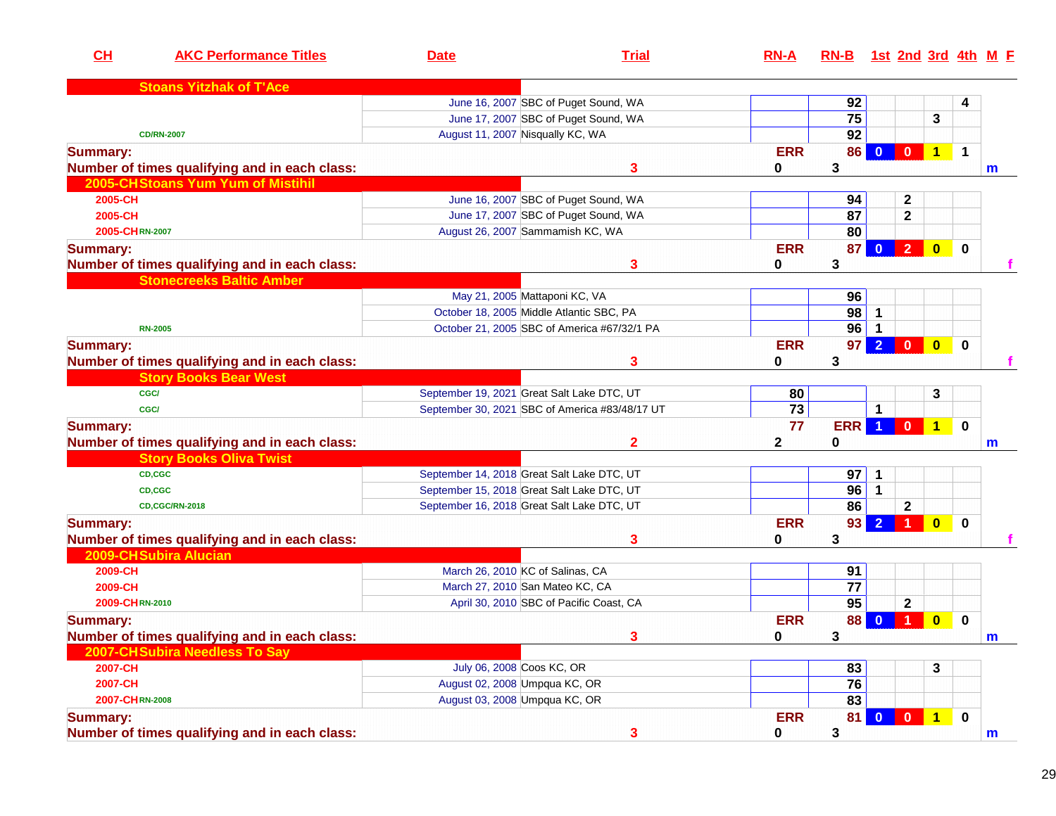| CH              | <b>AKC Performance Titles</b>                 | <b>Date</b>                   | <b>Trial</b>                                   | $RN-A$     | RN-B 1st 2nd 3rd 4th M F |                |                         |                         |             |   |
|-----------------|-----------------------------------------------|-------------------------------|------------------------------------------------|------------|--------------------------|----------------|-------------------------|-------------------------|-------------|---|
|                 | <b>Stoans Yitzhak of T'Ace</b>                |                               |                                                |            |                          |                |                         |                         |             |   |
|                 |                                               |                               | June 16, 2007 SBC of Puget Sound, WA           |            | 92                       |                |                         |                         | 4           |   |
|                 |                                               |                               | June 17, 2007 SBC of Puget Sound, WA           |            | 75                       |                |                         | 3                       |             |   |
|                 | <b>CD/RN-2007</b>                             |                               | August 11, 2007 Nisqually KC, WA               |            | $\overline{92}$          |                |                         |                         |             |   |
| <b>Summary:</b> |                                               |                               |                                                | <b>ERR</b> | 86                       | $\bf{0}$       | $\mathbf{0}$            | $\mathbf{1}$            | $\mathbf 1$ |   |
|                 | Number of times qualifying and in each class: |                               | 3                                              | 0          | 3                        |                |                         |                         |             | m |
|                 | 2005-CHStoans Yum Yum of Mistihil             |                               |                                                |            |                          |                |                         |                         |             |   |
| 2005-CH         |                                               |                               | June 16, 2007 SBC of Puget Sound, WA           |            | 94                       |                | 2                       |                         |             |   |
| 2005-CH         |                                               |                               | June 17, 2007 SBC of Puget Sound, WA           |            | 87                       |                | $\mathbf{2}$            |                         |             |   |
| 2005-CHRN-2007  |                                               |                               | August 26, 2007 Sammamish KC, WA               |            | 80                       |                |                         |                         |             |   |
| <b>Summary:</b> |                                               |                               |                                                | <b>ERR</b> | 87                       |                | $\overline{2}$          | $\mathbf{0}$            | $\mathbf 0$ |   |
|                 | Number of times qualifying and in each class: |                               | 3                                              | 0          | 3                        |                |                         |                         |             |   |
|                 | <b>Stonecreeks Baltic Amber</b>               |                               |                                                |            |                          |                |                         |                         |             |   |
|                 |                                               |                               | May 21, 2005 Mattaponi KC, VA                  |            | 96                       |                |                         |                         |             |   |
|                 |                                               |                               | October 18, 2005 Middle Atlantic SBC, PA       |            | 98                       |                |                         |                         |             |   |
|                 | <b>RN-2005</b>                                |                               | October 21, 2005 SBC of America #67/32/1 PA    |            | 96                       |                |                         |                         |             |   |
| <b>Summary:</b> |                                               |                               |                                                | <b>ERR</b> | 97                       | $2 \ 0$        |                         | $\overline{\mathbf{0}}$ | $\bf{0}$    |   |
|                 | Number of times qualifying and in each class: |                               | 3                                              | 0          | 3                        |                |                         |                         |             |   |
|                 | <b>Story Books Bear West</b>                  |                               |                                                |            |                          |                |                         |                         |             |   |
|                 | <b>CGC/</b>                                   |                               | September 19, 2021 Great Salt Lake DTC, UT     | 80         |                          |                |                         | 3                       |             |   |
|                 | <b>CGC/</b>                                   |                               | September 30, 2021 SBC of America #83/48/17 UT | 73         |                          | 1              |                         |                         |             |   |
| <b>Summary:</b> |                                               |                               |                                                | 77         | <b>ERR</b>               |                | $\mathbf{0}$            | $\mathbf{1}$            | $\bf{0}$    |   |
|                 | Number of times qualifying and in each class: |                               | $\mathbf{2}$                                   | 2          | 0                        |                |                         |                         |             | m |
|                 | <b>Story Books Oliva Twist</b>                |                               |                                                |            |                          |                |                         |                         |             |   |
|                 | CD,CGC                                        |                               | September 14, 2018 Great Salt Lake DTC, UT     |            | 97                       | 1              |                         |                         |             |   |
|                 | CD,CGC                                        |                               | September 15, 2018 Great Salt Lake DTC, UT     |            | 96                       | $\mathbf 1$    |                         |                         |             |   |
|                 | <b>CD,CGC/RN-2018</b>                         |                               | September 16, 2018 Great Salt Lake DTC, UT     |            | 86                       |                | $\mathbf{2}$            |                         |             |   |
| <b>Summary:</b> |                                               |                               |                                                | <b>ERR</b> | 93                       | $\overline{2}$ | -1                      | $\mathbf{0}$            | $\bf{0}$    |   |
|                 | Number of times qualifying and in each class: |                               | 3                                              | 0          | 3                        |                |                         |                         |             |   |
|                 | 2009-CH Subira Alucian                        |                               |                                                |            |                          |                |                         |                         |             |   |
| 2009-CH         |                                               |                               | March 26, 2010 KC of Salinas, CA               |            | 91                       |                |                         |                         |             |   |
| 2009-CH         |                                               |                               | March 27, 2010 San Mateo KC, CA                |            | 77                       |                |                         |                         |             |   |
| 2009-CHRN-2010  |                                               |                               | April 30, 2010 SBC of Pacific Coast, CA        |            | 95                       |                | $\overline{\mathbf{2}}$ |                         |             |   |
| <b>Summary:</b> |                                               |                               |                                                | <b>ERR</b> | 88                       | $\bf{0}$       | 1                       | $\mathbf{0}$            | $\bf{0}$    |   |
|                 | Number of times qualifying and in each class: |                               |                                                | $\bf{0}$   | 3                        |                |                         |                         |             | m |
|                 | 2007-CH Subira Needless To Say                |                               |                                                |            |                          |                |                         |                         |             |   |
| 2007-CH         |                                               | July 06, 2008 Coos KC, OR     |                                                |            | 83                       |                |                         | 3                       |             |   |
| 2007-CH         |                                               |                               | August 02, 2008 Umpqua KC, OR                  |            | 76                       |                |                         |                         |             |   |
| 2007-CHRN-2008  |                                               | August 03, 2008 Umpqua KC, OR |                                                |            | 83                       |                |                         |                         |             |   |
| <b>Summary:</b> |                                               |                               |                                                | <b>ERR</b> | 81                       | $\mathbf{0}$   |                         |                         | $\mathbf 0$ |   |
|                 | Number of times qualifying and in each class: |                               | 3                                              | 0          | 3                        |                |                         |                         |             | m |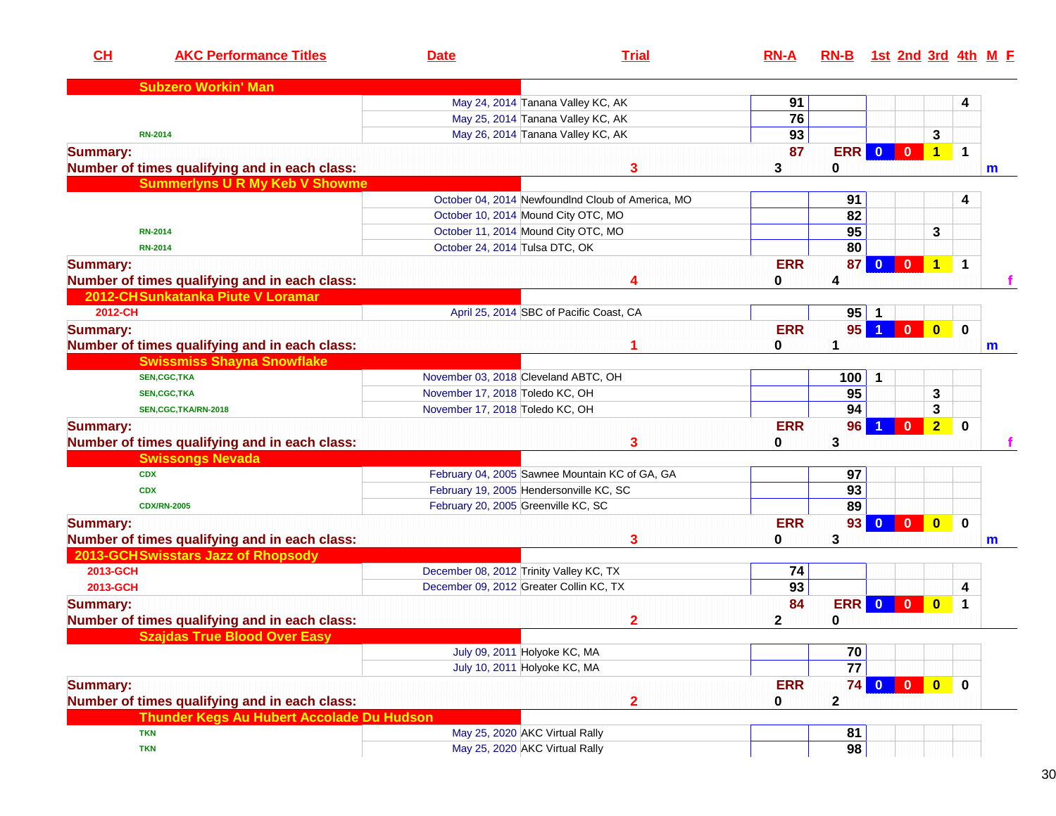| CH              | <b>AKC Performance Titles</b>                 | <b>Date</b>                                    | <b>Trial</b>                                      | $RN-A$     | RN-B 1st 2nd 3rd 4th M E |                         |                |                         |             |              |
|-----------------|-----------------------------------------------|------------------------------------------------|---------------------------------------------------|------------|--------------------------|-------------------------|----------------|-------------------------|-------------|--------------|
|                 | <b>Subzero Workin' Man</b>                    |                                                |                                                   |            |                          |                         |                |                         |             |              |
|                 |                                               | May 24, 2014 Tanana Valley KC, AK              |                                                   | 91         |                          |                         |                |                         | 4           |              |
|                 |                                               | May 25, 2014 Tanana Valley KC, AK              |                                                   | 76         |                          |                         |                |                         |             |              |
|                 | <b>RN-2014</b>                                | May 26, 2014 Tanana Valley KC, AK              |                                                   | 93         |                          |                         |                | 3                       |             |              |
| <b>Summary:</b> |                                               |                                                |                                                   | 87         | <b>ERR</b>               | $\overline{\mathbf{0}}$ | $\mathbf{0}$   | $\blacktriangleleft$    | $\mathbf 1$ |              |
|                 | Number of times qualifying and in each class: |                                                | 3                                                 | 3          | 0                        |                         |                |                         |             | $\mathbf m$  |
|                 | <b>Summerlyns U R My Keb V Showme</b>         |                                                |                                                   |            |                          |                         |                |                         |             |              |
|                 |                                               |                                                | October 04, 2014 NewfoundInd Cloub of America, MO |            | 91                       |                         |                |                         | 4           |              |
|                 |                                               | October 10, 2014 Mound City OTC, MO            |                                                   |            | 82                       |                         |                |                         |             |              |
|                 | <b>RN-2014</b>                                | October 11, 2014 Mound City OTC, MO            |                                                   |            | 95                       |                         |                | 3                       |             |              |
|                 | <b>RN-2014</b>                                | October 24, 2014 Tulsa DTC, OK                 |                                                   |            | 80                       |                         |                |                         |             |              |
| <b>Summary:</b> |                                               |                                                |                                                   | <b>ERR</b> | 87                       | $\mathbf{0}$            | $\mathbf{0}$   | $\mathbf{1}$            | $\mathbf 1$ |              |
|                 | Number of times qualifying and in each class: |                                                | 4                                                 | 0          | 4                        |                         |                |                         |             |              |
|                 | 2012-CH Sunkatanka Piute V Loramar            |                                                |                                                   |            |                          |                         |                |                         |             |              |
| 2012-CH         |                                               | April 25, 2014 SBC of Pacific Coast, CA        |                                                   |            | 95                       |                         |                |                         |             |              |
| <b>Summary:</b> |                                               |                                                |                                                   | <b>ERR</b> | 95                       | $\blacktriangleleft$    | $\mathbf{0}$   | $\bullet$               | $\mathbf 0$ |              |
|                 | Number of times qualifying and in each class: |                                                |                                                   | 0          |                          |                         |                |                         |             | m            |
|                 | <b>Swissmiss Shayna Snowflake</b>             |                                                |                                                   |            |                          |                         |                |                         |             |              |
|                 | <b>SEN,CGC,TKA</b>                            | November 03, 2018 Cleveland ABTC, OH           |                                                   |            | 100                      | 1                       |                |                         |             |              |
|                 | <b>SEN,CGC,TKA</b>                            | November 17, 2018 Toledo KC, OH                |                                                   |            | 95                       |                         |                | 3                       |             |              |
|                 | SEN,CGC,TKA/RN-2018                           | November 17, 2018 Toledo KC, OH                |                                                   |            | 94                       |                         |                | 3                       |             |              |
| <b>Summary:</b> |                                               |                                                |                                                   | <b>ERR</b> | 96                       |                         | $\mathbf{0}$   | $\overline{2}$          | $\mathbf 0$ |              |
|                 | Number of times qualifying and in each class: |                                                | 3                                                 | 0          | 3                        |                         |                |                         |             |              |
|                 | <b>Swissongs Nevada</b>                       |                                                |                                                   |            |                          |                         |                |                         |             |              |
|                 | <b>CDX</b>                                    | February 04, 2005 Sawnee Mountain KC of GA, GA |                                                   |            | 97                       |                         |                |                         |             |              |
|                 | <b>CDX</b>                                    | February 19, 2005 Hendersonville KC, SC        |                                                   |            | 93                       |                         |                |                         |             |              |
|                 | <b>CDX/RN-2005</b>                            | February 20, 2005 Greenville KC, SC            |                                                   |            | 89                       |                         |                |                         |             |              |
| <b>Summary:</b> |                                               |                                                |                                                   | <b>ERR</b> | 93                       | $\mathbf{0}$            | $\overline{0}$ | $\overline{\mathbf{0}}$ | $\mathbf 0$ |              |
|                 | Number of times qualifying and in each class: |                                                | 3                                                 | 0          | 3                        |                         |                |                         |             | $\mathbf{m}$ |
|                 | 2013-GCH Swisstars Jazz of Rhopsody           |                                                |                                                   |            |                          |                         |                |                         |             |              |
| 2013-GCH        |                                               | December 08, 2012 Trinity Valley KC, TX        |                                                   | 74         |                          |                         |                |                         |             |              |
| 2013-GCH        |                                               | December 09, 2012 Greater Collin KC, TX        |                                                   | 93         |                          |                         |                |                         | 4           |              |
| <b>Summary:</b> |                                               |                                                |                                                   | 84         | <b>ERR</b>               | $\mathbf{0}$            | $\mathbf{0}$   | $\overline{\mathbf{0}}$ | 1           |              |
|                 | Number of times qualifying and in each class: |                                                | 2                                                 | 2          | 0                        |                         |                |                         |             |              |
|                 | Szaidas True Blood Over Fasv                  |                                                |                                                   |            |                          |                         |                |                         |             |              |
|                 |                                               | July 09, 2011 Holyoke KC, MA                   |                                                   |            | 70                       |                         |                |                         |             |              |
|                 |                                               | July 10, 2011 Holyoke KC, MA                   |                                                   |            | $\overline{77}$          |                         |                |                         |             |              |
| <b>Summary:</b> |                                               |                                                |                                                   | <b>ERR</b> | 74                       | $\overline{0}$          | $\mathbf{0}$   | $\bullet$               | $\mathbf 0$ |              |
|                 | Number of times qualifying and in each class: |                                                | $\overline{2}$                                    | 0          | $\mathbf{2}$             |                         |                |                         |             |              |
|                 | Thunder Kegs Au Hubert Accolade Du Hudson     |                                                |                                                   |            |                          |                         |                |                         |             |              |
|                 | <b>TKN</b>                                    | May 25, 2020 AKC Virtual Rally                 |                                                   |            | 81                       |                         |                |                         |             |              |
|                 | <b>TKN</b>                                    | May 25, 2020 AKC Virtual Rally                 |                                                   |            | 98                       |                         |                |                         |             |              |
|                 |                                               |                                                |                                                   |            |                          |                         |                |                         |             |              |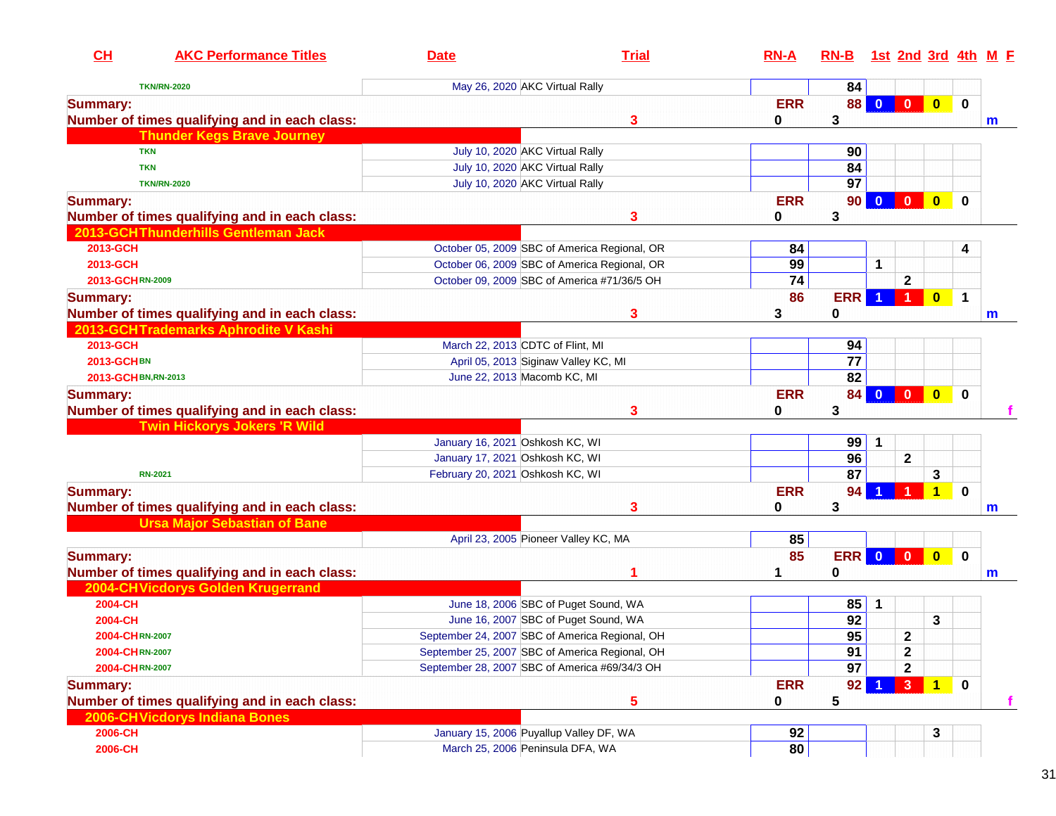| CH<br><b>AKC Performance Titles</b>           | <b>Date</b>                                   | <b>Trial</b>                                   | $RN-A$     | RN-B 1st 2nd 3rd 4th M F |                      |                         |                         |                         |             |
|-----------------------------------------------|-----------------------------------------------|------------------------------------------------|------------|--------------------------|----------------------|-------------------------|-------------------------|-------------------------|-------------|
| <b>TKN/RN-2020</b>                            | May 26, 2020 AKC Virtual Rally                |                                                |            | 84                       |                      |                         |                         |                         |             |
| <b>Summary:</b>                               |                                               |                                                | <b>ERR</b> | 88                       | $\Omega$             | $\mathbf{0}$            | $\bullet$               | $\mathbf 0$             |             |
| Number of times qualifying and in each class: |                                               | 3                                              | 0          | 3                        |                      |                         |                         |                         | m           |
| <b>Thunder Kegs Brave Journey</b>             |                                               |                                                |            |                          |                      |                         |                         |                         |             |
| <b>TKN</b>                                    | July 10, 2020 AKC Virtual Rally               |                                                |            | 90                       |                      |                         |                         |                         |             |
| <b>TKN</b>                                    | July 10, 2020 AKC Virtual Rally               |                                                |            | 84                       |                      |                         |                         |                         |             |
| <b>TKN/RN-2020</b>                            | July 10, 2020 AKC Virtual Rally               |                                                |            | 97                       |                      |                         |                         |                         |             |
| <b>Summary:</b>                               |                                               |                                                | <b>ERR</b> | 90                       | $\Omega$             | $\mathbf{0}$            | $\mathbf{0}$            | $\bf{0}$                |             |
| Number of times qualifying and in each class: |                                               | 3                                              | 0          | 3                        |                      |                         |                         |                         |             |
| 2013-GCHThunderhills Gentleman Jack           |                                               |                                                |            |                          |                      |                         |                         |                         |             |
| 2013-GCH                                      |                                               | October 05, 2009 SBC of America Regional, OR   | 84         |                          |                      |                         |                         | 4                       |             |
| 2013-GCH                                      |                                               | October 06, 2009 SBC of America Regional, OR   | 99         |                          | 1                    |                         |                         |                         |             |
| 2013-GCHRN-2009                               |                                               | October 09, 2009 SBC of America #71/36/5 OH    | 74         |                          |                      | $\mathbf 2$             |                         |                         |             |
| <b>Summary:</b>                               |                                               |                                                | 86         | <b>ERR</b>               | $\blacktriangleleft$ | $\blacktriangleleft$    | $\bullet$               | $\overline{\mathbf{1}}$ |             |
| Number of times qualifying and in each class: |                                               | 3                                              | 3          | 0                        |                      |                         |                         |                         | $\mathbf m$ |
| 2013-GCHTrademarks Aphrodite V Kashi          |                                               |                                                |            |                          |                      |                         |                         |                         |             |
| 2013-GCH                                      | March 22, 2013 CDTC of Flint, MI              |                                                |            | 94                       |                      |                         |                         |                         |             |
| <b>2013-GCHBN</b>                             | April 05, 2013 Siginaw Valley KC, MI          |                                                |            | 77                       |                      |                         |                         |                         |             |
| 2013-GCH BN, RN-2013                          | June 22, 2013 Macomb KC, MI                   |                                                |            | 82                       |                      |                         |                         |                         |             |
| <b>Summary:</b>                               |                                               |                                                | <b>ERR</b> | 84                       | $\mathbf{0}$         | $\bullet$               | $\bullet$               | $\mathbf 0$             |             |
| Number of times qualifying and in each class: |                                               | 3                                              | 0          | $\mathbf{3}$             |                      |                         |                         |                         |             |
| <b>Twin Hickorys Jokers 'R Wild</b>           |                                               |                                                |            |                          |                      |                         |                         |                         |             |
|                                               | January 16, 2021 Oshkosh KC, WI               |                                                |            | 99                       | $\mathbf 1$          |                         |                         |                         |             |
|                                               | January 17, 2021 Oshkosh KC, WI               |                                                |            | 96                       |                      | $\mathbf 2$             |                         |                         |             |
| <b>RN-2021</b>                                | February 20, 2021 Oshkosh KC, WI              |                                                |            | $\overline{87}$          |                      |                         | 3                       |                         |             |
| <b>Summary:</b>                               |                                               |                                                | <b>ERR</b> | 94                       |                      |                         | $\mathbf 1$             | $\mathbf 0$             |             |
| Number of times qualifying and in each class: |                                               | 3                                              | 0          | 3                        |                      |                         |                         |                         | m           |
| <b>Ursa Major Sebastian of Bane</b>           |                                               |                                                |            |                          |                      |                         |                         |                         |             |
|                                               | April 23, 2005 Pioneer Valley KC, MA          |                                                | 85         |                          |                      |                         |                         |                         |             |
| <b>Summary:</b>                               |                                               |                                                | 85         | ERR                      | $\bullet$            | $\overline{\mathbf{0}}$ | $\overline{\mathbf{0}}$ | $\mathbf 0$             |             |
| Number of times qualifying and in each class: |                                               |                                                |            | 0                        |                      |                         |                         |                         | m           |
| 2004-CH Vicdorys Golden Krugerrand            |                                               |                                                |            |                          |                      |                         |                         |                         |             |
| 2004-CH                                       |                                               | June 18, 2006 SBC of Puget Sound, WA           |            | 85                       | 1                    |                         |                         |                         |             |
| 2004-CH                                       |                                               | June 16, 2007 SBC of Puget Sound, WA           |            | 92                       |                      |                         | 3                       |                         |             |
| 2004-CHRN-2007                                |                                               | September 24, 2007 SBC of America Regional, OH |            | 95                       |                      | $\mathbf{2}$            |                         |                         |             |
| 2004-CHRN-2007                                |                                               | September 25, 2007 SBC of America Regional, OH |            | 91                       |                      | $\mathbf 2$             |                         |                         |             |
| 2004-CHRN-2007                                | September 28, 2007 SBC of America #69/34/3 OH |                                                |            | 97                       |                      | $\mathbf{2}$            |                         |                         |             |
| <b>Summary:</b>                               |                                               |                                                | <b>ERR</b> | 92                       |                      | 3 <sup>°</sup>          | 1 <sub>1</sub>          | $\mathbf 0$             |             |
| Number of times qualifying and in each class: |                                               | 5                                              | 0          | 5                        |                      |                         |                         |                         | f.          |
| 2006-CH Vicdorys Indiana Bones                |                                               |                                                |            |                          |                      |                         |                         |                         |             |
| 2006-CH                                       | January 15, 2006 Puyallup Valley DF, WA       |                                                | 92         |                          |                      |                         | 3                       |                         |             |
| 2006-CH                                       | March 25, 2006 Peninsula DFA, WA              |                                                | 80         |                          |                      |                         |                         |                         |             |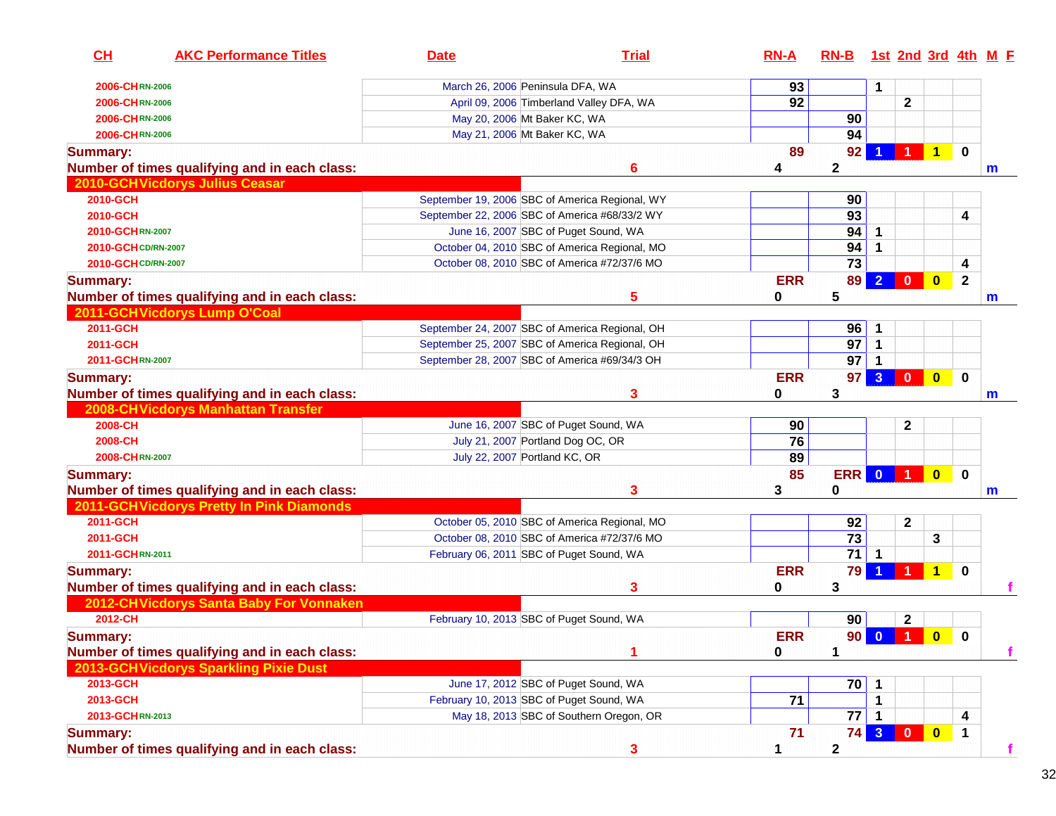| CH                  | <b>AKC Performance Titles</b>                 | <b>Date</b> | <b>Trial</b>                                   | $RN-A$     | $RN-B$          |                |                |                         |                | 1st 2nd 3rd 4th M E |
|---------------------|-----------------------------------------------|-------------|------------------------------------------------|------------|-----------------|----------------|----------------|-------------------------|----------------|---------------------|
| 2006-CHRN-2006      |                                               |             | March 26, 2006 Peninsula DFA, WA               | 93         |                 | 1              |                |                         |                |                     |
| 2006-CHRN-2006      |                                               |             | April 09, 2006 Timberland Valley DFA, WA       | 92         |                 |                | $\mathbf{2}$   |                         |                |                     |
| 2006-CHRN-2006      |                                               |             | May 20, 2006 Mt Baker KC, WA                   |            | 90              |                |                |                         |                |                     |
| 2006-CHRN-2006      |                                               |             | May 21, 2006 Mt Baker KC, WA                   |            | 94              |                |                |                         |                |                     |
| <b>Summary:</b>     |                                               |             |                                                | 89         | 92              |                | $\blacksquare$ | $\overline{1}$          | $\mathbf 0$    |                     |
|                     | Number of times qualifying and in each class: |             | 6                                              | 4          | $\mathbf{2}$    |                |                |                         |                | m                   |
|                     | 2010-GCH Vicdorys Julius Ceasar               |             |                                                |            |                 |                |                |                         |                |                     |
| 2010-GCH            |                                               |             | September 19, 2006 SBC of America Regional, WY |            | 90              |                |                |                         |                |                     |
| 2010-GCH            |                                               |             | September 22, 2006 SBC of America #68/33/2 WY  |            | 93              |                |                |                         | 4              |                     |
| 2010-GCHRN-2007     |                                               |             | June 16, 2007 SBC of Puget Sound, WA           |            | 94              | 1              |                |                         |                |                     |
| 2010-GCHCD/RN-2007  |                                               |             | October 04, 2010 SBC of America Regional, MO   |            | 94              | $\overline{1}$ |                |                         |                |                     |
| 2010-GCH CD/RN-2007 |                                               |             | October 08, 2010 SBC of America #72/37/6 MO    |            | 73              |                |                |                         | 4              |                     |
| <b>Summary:</b>     |                                               |             |                                                | <b>ERR</b> | 89              | $\mathbf{2}$   | $\mathbf 0$    | $\overline{\mathbf{0}}$ | $\overline{2}$ |                     |
|                     | Number of times qualifying and in each class: |             | 5                                              | 0          | 5               |                |                |                         |                | m                   |
|                     | 2011-GCH Vicdorys Lump O'Coal                 |             |                                                |            |                 |                |                |                         |                |                     |
| 2011-GCH            |                                               |             | September 24, 2007 SBC of America Regional, OH |            | 96              | -1             |                |                         |                |                     |
| 2011-GCH            |                                               |             | September 25, 2007 SBC of America Regional, OH |            | 97              | $\mathbf{1}$   |                |                         |                |                     |
| 2011-GCHRN-2007     |                                               |             | September 28, 2007 SBC of America #69/34/3 OH  |            | 97              |                |                |                         |                |                     |
| <b>Summary:</b>     |                                               |             |                                                | <b>ERR</b> | 97              | 3 <sup>5</sup> | $\bullet$      | $\bullet$               | $\mathbf 0$    |                     |
|                     | Number of times qualifying and in each class: |             | 3                                              | 0          | 3               |                |                |                         |                | $\mathsf{m}$        |
|                     | 2008-CH Vicdorys Manhattan Transfer           |             |                                                |            |                 |                |                |                         |                |                     |
| 2008-CH             |                                               |             | June 16, 2007 SBC of Puget Sound, WA           | 90         |                 |                | $\mathbf{2}$   |                         |                |                     |
| 2008-CH             |                                               |             | July 21, 2007 Portland Dog OC, OR              | 76         |                 |                |                |                         |                |                     |
| 2008-CHRN-2007      |                                               |             | July 22, 2007 Portland KC, OR                  | 89         |                 |                |                |                         |                |                     |
| <b>Summary:</b>     |                                               |             |                                                | 85         | <b>ERR</b>      | $\mathbf{0}$   | $\blacksquare$ | $\bullet$               | $\mathbf 0$    |                     |
|                     | Number of times qualifying and in each class: |             | 3                                              | 3          | 0               |                |                |                         |                | m                   |
|                     | 2011-GCH Vicdorys Pretty In Pink Diamonds     |             |                                                |            |                 |                |                |                         |                |                     |
| 2011-GCH            |                                               |             | October 05, 2010 SBC of America Regional, MO   |            | 92              |                | $\mathbf 2$    |                         |                |                     |
| 2011-GCH            |                                               |             | October 08, 2010 SBC of America #72/37/6 MO    |            | $\overline{73}$ |                |                | 3                       |                |                     |
| 2011-GCHRN-2011     |                                               |             | February 06, 2011 SBC of Puget Sound, WA       |            | $\overline{71}$ | $\mathbf{1}$   |                |                         |                |                     |
| <b>Summary:</b>     |                                               |             |                                                | <b>ERR</b> | 79              |                |                | $\mathbf{1}$            | $\mathbf 0$    |                     |
|                     | Number of times qualifying and in each class: |             | 3                                              | 0          | 3               |                |                |                         |                |                     |
|                     | 2012-CH Vicdorys Santa Baby For Vonnaken      |             |                                                |            |                 |                |                |                         |                |                     |
| 2012-CH             |                                               |             | February 10, 2013 SBC of Puget Sound, WA       |            | 90              |                | $\mathbf{2}$   |                         |                |                     |
| <b>Summary:</b>     |                                               |             |                                                | <b>ERR</b> |                 |                | 90 0 1         | $\bullet$               | $\mathbf 0$    |                     |
|                     | Number of times qualifying and in each class: |             |                                                | 0          | 1               |                |                |                         |                |                     |
|                     | 2013-GCH Vicdorys Sparkling Pixie Dust        |             |                                                |            |                 |                |                |                         |                |                     |
| 2013-GCH            |                                               |             | June 17, 2012 SBC of Puget Sound, WA           |            | 70              | -1             |                |                         |                |                     |
| 2013-GCH            |                                               |             | February 10, 2013 SBC of Puget Sound, WA       | 71         |                 | 1              |                |                         |                |                     |
| 2013-GCHRN-2013     |                                               |             | May 18, 2013 SBC of Southern Oregon, OR        |            | 77              | -1             |                |                         | 4              |                     |
| <b>Summary:</b>     |                                               |             |                                                | 71         | 74              | 3 <sup>2</sup> | $\mathbf{0}$   | $\bullet$               | $\mathbf 1$    |                     |
|                     | Number of times qualifying and in each class: |             | 3                                              | 1          | $\mathbf{2}$    |                |                |                         |                |                     |
|                     |                                               |             |                                                |            |                 |                |                |                         |                |                     |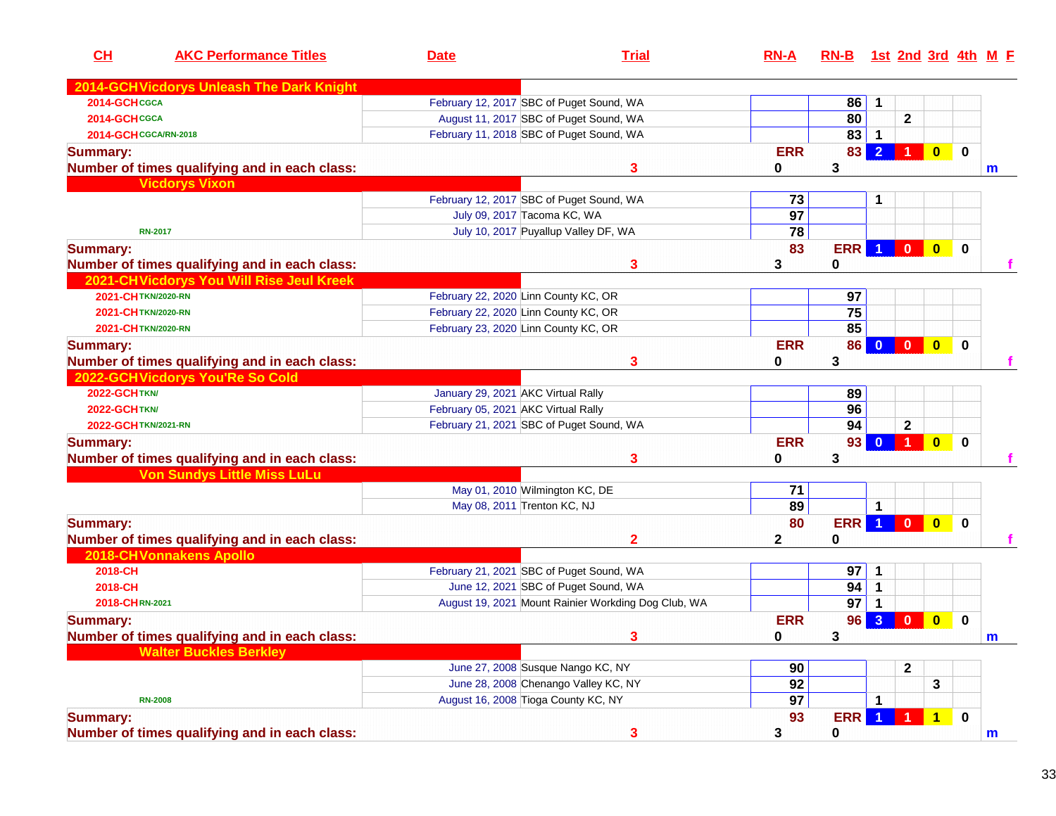| CL                           | <b>AKC Performance Titles</b>                 | <b>Date</b>                              | <b>Trial</b>                                        | $RN-A$          | <u>RN-B</u> |                         |                         |                         |             | <u>1st 2nd 3rd 4th M F</u> |
|------------------------------|-----------------------------------------------|------------------------------------------|-----------------------------------------------------|-----------------|-------------|-------------------------|-------------------------|-------------------------|-------------|----------------------------|
|                              | 2014-GCH Vicdorys Unleash The Dark Knight     |                                          |                                                     |                 |             |                         |                         |                         |             |                            |
| 2014-GCHCGCA                 |                                               | February 12, 2017 SBC of Puget Sound, WA |                                                     |                 | 86          | $\mathbf{1}$            |                         |                         |             |                            |
| 2014-GCHCGCA                 |                                               | August 11, 2017 SBC of Puget Sound, WA   |                                                     |                 | 80          |                         | $\mathbf 2$             |                         |             |                            |
| <b>2014-GCH CGCA/RN-2018</b> |                                               | February 11, 2018 SBC of Puget Sound, WA |                                                     |                 | 83          | $\mathbf{1}$            |                         |                         |             |                            |
| <b>Summary:</b>              |                                               |                                          |                                                     | <b>ERR</b>      | 83          | $\overline{2}$          |                         | $\overline{\mathbf{0}}$ | $\mathbf 0$ |                            |
|                              | Number of times qualifying and in each class: |                                          | 3                                                   | 0               | 3           |                         |                         |                         |             | $\mathbf m$                |
|                              | <b>Vicdorys Vixon</b>                         |                                          |                                                     |                 |             |                         |                         |                         |             |                            |
|                              |                                               | February 12, 2017 SBC of Puget Sound, WA |                                                     | 73              |             | 1                       |                         |                         |             |                            |
|                              |                                               | July 09, 2017 Tacoma KC, WA              |                                                     | $\overline{97}$ |             |                         |                         |                         |             |                            |
|                              | <b>RN-2017</b>                                | July 10, 2017 Puyallup Valley DF, WA     |                                                     | $\overline{78}$ |             |                         |                         |                         |             |                            |
| <b>Summary:</b>              |                                               |                                          |                                                     | 83              | <b>ERR</b>  | $\blacktriangleleft$    | $\overline{\mathbf{0}}$ | $\bullet$               | $\mathbf 0$ |                            |
|                              | Number of times qualifying and in each class: |                                          | 3                                                   | 3               | 0           |                         |                         |                         |             |                            |
|                              | 2021-CH Vicdorys You Will Rise Jeul Kreek     |                                          |                                                     |                 |             |                         |                         |                         |             |                            |
| 2021-CHTKN/2020-RN           |                                               | February 22, 2020 Linn County KC, OR     |                                                     |                 | 97          |                         |                         |                         |             |                            |
| 2021-CHTKN/2020-RN           |                                               | February 22, 2020 Linn County KC, OR     |                                                     |                 | 75          |                         |                         |                         |             |                            |
| 2021-CHTKN/2020-RN           |                                               | February 23, 2020 Linn County KC, OR     |                                                     |                 | 85          |                         |                         |                         |             |                            |
| <b>Summary:</b>              |                                               |                                          |                                                     | <b>ERR</b>      | 86          | $\mathbf{0}$            | $\overline{\mathbf{0}}$ | $\bullet$               | $\bf{0}$    |                            |
|                              | Number of times qualifying and in each class: |                                          | 3                                                   | 0               | 3           |                         |                         |                         |             |                            |
|                              | 2022-GCHVicdorys You'Re So Cold               |                                          |                                                     |                 |             |                         |                         |                         |             |                            |
| <b>2022-GCHTKN/</b>          |                                               | January 29, 2021 AKC Virtual Rally       |                                                     |                 | 89          |                         |                         |                         |             |                            |
| <b>2022-GCH TKN/</b>         |                                               | February 05, 2021 AKC Virtual Rally      |                                                     |                 | 96          |                         |                         |                         |             |                            |
| 2022-GCH TKN/2021-RN         |                                               | February 21, 2021 SBC of Puget Sound, WA |                                                     |                 | 94          |                         | $\mathbf{2}$            |                         |             |                            |
| <b>Summary:</b>              |                                               |                                          |                                                     | <b>ERR</b>      | 93          | $\overline{\mathbf{0}}$ | $\blacksquare$          | $\overline{\mathbf{0}}$ | $\mathbf 0$ |                            |
|                              | Number of times qualifying and in each class: |                                          | 3                                                   | 0               | 3           |                         |                         |                         |             |                            |
|                              | <b>Von Sundys Little Miss LuLu</b>            |                                          |                                                     |                 |             |                         |                         |                         |             |                            |
|                              |                                               | May 01, 2010 Wilmington KC, DE           |                                                     | 71              |             |                         |                         |                         |             |                            |
|                              |                                               | May 08, 2011 Trenton KC, NJ              |                                                     | 89              |             | 1                       |                         |                         |             |                            |
| <b>Summary:</b>              |                                               |                                          |                                                     | 80              | <b>ERR</b>  | $\blacktriangleleft$    | $\mathbf{0}$            | $\mathbf{0}$            | $\bf{0}$    |                            |
|                              | Number of times qualifying and in each class: |                                          | 2                                                   | $\mathbf{2}$    | 0           |                         |                         |                         |             |                            |
|                              | <b>2018-CHVonnakens Apollo</b>                |                                          |                                                     |                 |             |                         |                         |                         |             |                            |
| 2018-CH                      |                                               | February 21, 2021 SBC of Puget Sound, WA |                                                     |                 | 97          | 1                       |                         |                         |             |                            |
| 2018-CH                      |                                               | June 12, 2021 SBC of Puget Sound, WA     |                                                     |                 | 94          | $\mathbf{1}$            |                         |                         |             |                            |
| 2018-CHRN-2021               |                                               |                                          | August 19, 2021 Mount Rainier Workding Dog Club, WA |                 | 97          | $\mathbf 1$             |                         |                         |             |                            |
| <b>Summary:</b>              |                                               |                                          |                                                     | <b>ERR</b>      | 96          | $\overline{3}$          | $\bf{0}$                | $\overline{\mathbf{0}}$ | $\bf{0}$    |                            |
|                              | Number of times qualifying and in each class: |                                          | 3                                                   | 0               | 3           |                         |                         |                         |             | $\mathbf{m}$               |
|                              | <b>Walter Buckles Berkley</b>                 |                                          |                                                     |                 |             |                         |                         |                         |             |                            |
|                              |                                               | June 27, 2008 Susque Nango KC, NY        |                                                     | 90              |             |                         | $\mathbf 2$             |                         |             |                            |
|                              |                                               | June 28, 2008 Chenango Valley KC, NY     |                                                     | 92              |             |                         |                         | 3                       |             |                            |
|                              | <b>RN-2008</b>                                | August 16, 2008 Tioga County KC, NY      |                                                     | 97              |             | 1                       |                         |                         |             |                            |
| <b>Summary:</b>              |                                               |                                          |                                                     | 93              | <b>ERR</b>  | $\bullet$               |                         | $\overline{1}$          | $\mathbf 0$ |                            |
|                              | Number of times qualifying and in each class: |                                          | $\mathbf{3}$                                        | 3               | 0           |                         |                         |                         |             | $\mathbf{m}$               |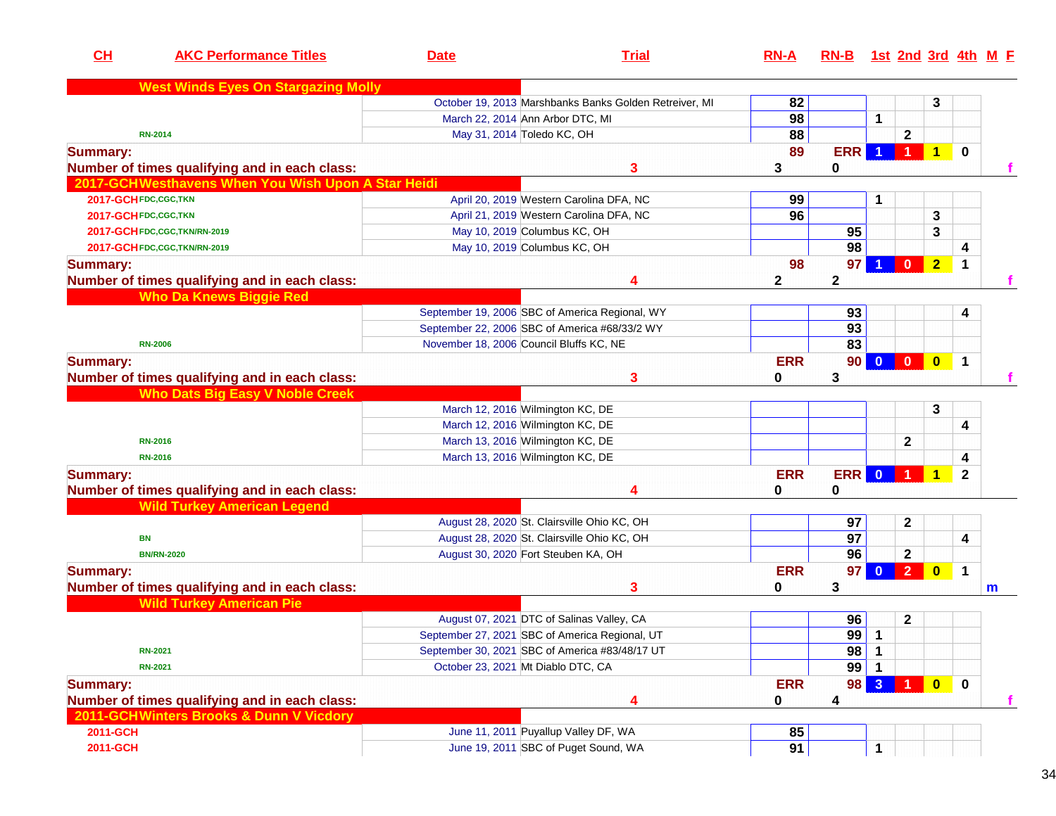| CL              | <b>AKC Performance Titles</b>                      | <b>Date</b> | <b>Trial</b>                                           | $RN-A$      | RN-B 1st 2nd 3rd 4th M F |                         |                         |                 |              |   |
|-----------------|----------------------------------------------------|-------------|--------------------------------------------------------|-------------|--------------------------|-------------------------|-------------------------|-----------------|--------------|---|
|                 | <b>West Winds Eyes On Stargazing Molly</b>         |             |                                                        |             |                          |                         |                         |                 |              |   |
|                 |                                                    |             | October 19, 2013 Marshbanks Banks Golden Retreiver, MI | 82          |                          |                         |                         | 3               |              |   |
|                 |                                                    |             | March 22, 2014 Ann Arbor DTC, MI                       | 98          |                          | 1                       |                         |                 |              |   |
|                 | <b>RN-2014</b>                                     |             | May 31, 2014 Toledo KC, OH                             | 88          |                          |                         | $\mathbf 2$             |                 |              |   |
| <b>Summary:</b> |                                                    |             |                                                        | 89          | <b>ERR</b>               |                         |                         | $\blacklozenge$ | $\bf{0}$     |   |
|                 | Number of times qualifying and in each class:      |             | 3                                                      | 3           | 0                        |                         |                         |                 |              |   |
|                 | 2017-GCHWesthavens When You Wish Upon A Star Heidi |             |                                                        |             |                          |                         |                         |                 |              |   |
|                 | 2017-GCH FDC, CGC, TKN                             |             | April 20, 2019 Western Carolina DFA, NC                | 99          |                          | 1                       |                         |                 |              |   |
|                 | 2017-GCH FDC,CGC, TKN                              |             | April 21, 2019 Western Carolina DFA, NC                | 96          |                          |                         |                         | 3               |              |   |
|                 | 2017-GCH FDC, CGC, TKN/RN-2019                     |             | May 10, 2019 Columbus KC, OH                           |             | 95                       |                         |                         | 3               |              |   |
|                 | 2017-GCH FDC, CGC, TKN/RN-2019                     |             | May 10, 2019 Columbus KC, OH                           |             | 98                       |                         |                         |                 | 4            |   |
| <b>Summary:</b> |                                                    |             |                                                        | 98          | 97 <sub>l</sub>          |                         | $\mathbf{0}$            | $\overline{2}$  | $\mathbf 1$  |   |
|                 | Number of times qualifying and in each class:      |             | 4                                                      | $\mathbf 2$ | $\mathbf{2}$             |                         |                         |                 |              |   |
|                 | <b>Who Da Knews Biggie Red</b>                     |             |                                                        |             |                          |                         |                         |                 |              |   |
|                 |                                                    |             | September 19, 2006 SBC of America Regional, WY         |             | 93                       |                         |                         |                 | 4            |   |
|                 |                                                    |             | September 22, 2006 SBC of America #68/33/2 WY          |             | 93                       |                         |                         |                 |              |   |
|                 | <b>RN-2006</b>                                     |             | November 18, 2006 Council Bluffs KC, NE                |             | 83                       |                         |                         |                 |              |   |
| <b>Summary:</b> |                                                    |             |                                                        | <b>ERR</b>  | 90 <sub>1</sub>          | $\overline{\mathbf{0}}$ | $\overline{\mathbf{0}}$ | $\bf{0}$        | 1            |   |
|                 | Number of times qualifying and in each class:      |             | 3                                                      | 0           | 3                        |                         |                         |                 |              |   |
|                 | <b>Who Dats Big Easy V Noble Creek</b>             |             |                                                        |             |                          |                         |                         |                 |              |   |
|                 |                                                    |             | March 12, 2016 Wilmington KC, DE                       |             |                          |                         |                         | 3               |              |   |
|                 |                                                    |             | March 12, 2016 Wilmington KC, DE                       |             |                          |                         |                         |                 | 4            |   |
|                 | <b>RN-2016</b>                                     |             | March 13, 2016 Wilmington KC, DE                       |             |                          |                         | $\mathbf{2}$            |                 |              |   |
|                 | <b>RN-2016</b>                                     |             | March 13, 2016 Wilmington KC, DE                       |             |                          |                         |                         |                 | 4            |   |
| <b>Summary:</b> |                                                    |             |                                                        | <b>ERR</b>  | <b>ERR</b>               | $\mathbf{0}$            |                         | 1               | $\mathbf{2}$ |   |
|                 | Number of times qualifying and in each class:      |             |                                                        | 0           | $\bf{0}$                 |                         |                         |                 |              |   |
|                 | <b>Wild Turkey American Legend</b>                 |             |                                                        |             |                          |                         |                         |                 |              |   |
|                 |                                                    |             | August 28, 2020 St. Clairsville Ohio KC, OH            |             | 97                       |                         | $\mathbf 2$             |                 |              |   |
|                 | <b>BN</b>                                          |             | August 28, 2020 St. Clairsville Ohio KC, OH            |             | 97                       |                         |                         |                 | 4            |   |
|                 | <b>BN/RN-2020</b>                                  |             | August 30, 2020 Fort Steuben KA, OH                    |             | 96                       |                         | $\mathbf 2$             |                 |              |   |
| <b>Summary:</b> |                                                    |             |                                                        | <b>ERR</b>  | 97                       | $\bf{0}$                | $\overline{2}$          | $\bf{0}$        | 1            |   |
|                 | Number of times qualifying and in each class:      |             | 3                                                      | 0           | 3                        |                         |                         |                 |              |   |
|                 | <b>Wild Turkey American Pie</b>                    |             |                                                        |             |                          |                         |                         |                 |              | m |
|                 |                                                    |             | August 07, 2021 DTC of Salinas Valley, CA              |             | 96                       |                         | $\boldsymbol{2}$        |                 |              |   |
|                 |                                                    |             | September 27, 2021 SBC of America Regional, UT         |             | $99$ 1                   |                         |                         |                 |              |   |
|                 | <b>RN-2021</b>                                     |             | September 30, 2021 SBC of America #83/48/17 UT         |             | 98                       | $\mathbf 1$             |                         |                 |              |   |
|                 | <b>RN-2021</b>                                     |             | October 23, 2021 Mt Diablo DTC, CA                     |             | $99$ 1                   |                         |                         |                 |              |   |
|                 |                                                    |             |                                                        |             |                          |                         |                         |                 |              |   |
| <b>Summary:</b> |                                                    |             |                                                        | <b>ERR</b>  | 98 l                     | 3 <sup>1</sup>          |                         | $\bullet$       | $\mathbf 0$  |   |
|                 | Number of times qualifying and in each class:      |             | 4                                                      | 0           | 4                        |                         |                         |                 |              |   |
|                 | 2011-GCHWinters Brooks & Dunn V Vicdory            |             |                                                        |             |                          |                         |                         |                 |              |   |
| 2011-GCH        |                                                    |             | June 11, 2011 Puyallup Valley DF, WA                   | 85          |                          |                         |                         |                 |              |   |
| 2011-GCH        |                                                    |             | June 19, 2011 SBC of Puget Sound, WA                   | 91          |                          | $\mathbf 1$             |                         |                 |              |   |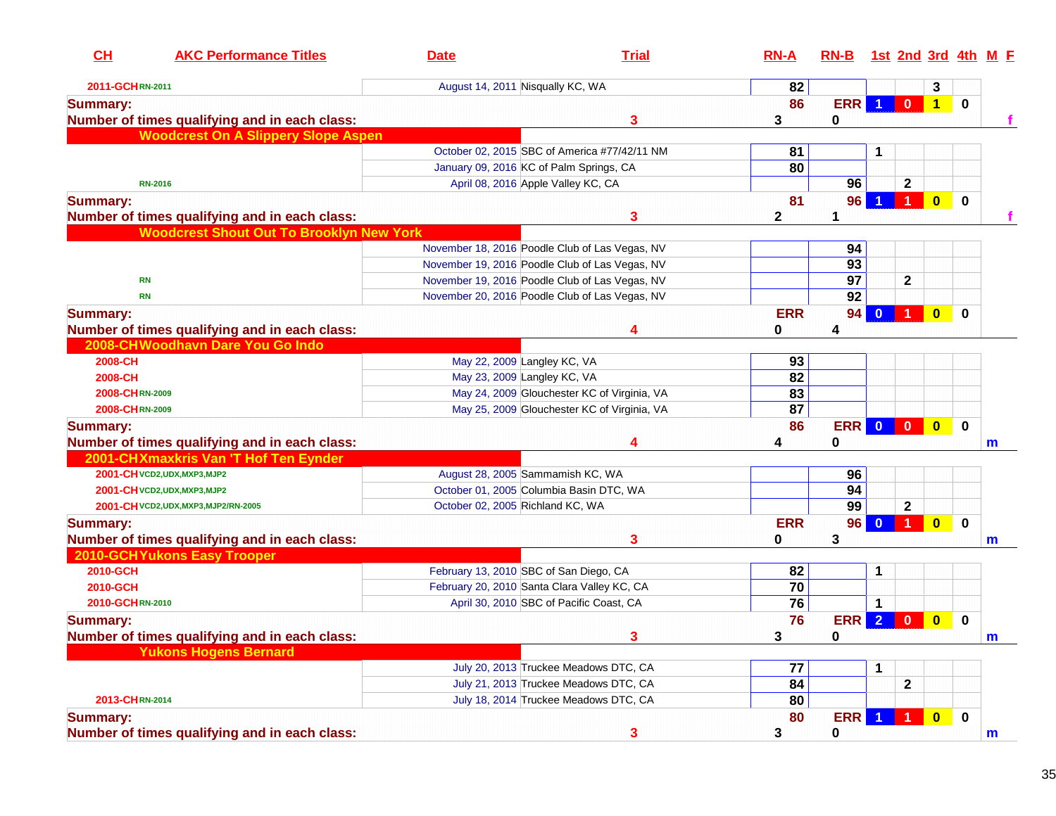| CL<br><b>AKC Performance Titles</b>             | <b>Date</b>                                 | <b>Trial</b>                                   | $RN-A$       | RN-B 1st 2nd 3rd 4th M F |                         |                      |                         |             |   |
|-------------------------------------------------|---------------------------------------------|------------------------------------------------|--------------|--------------------------|-------------------------|----------------------|-------------------------|-------------|---|
| 2011-GCHRN-2011                                 | August 14, 2011 Nisqually KC, WA            |                                                | 82           |                          |                         |                      | 3                       |             |   |
| <b>Summary:</b>                                 |                                             |                                                | 86           | <b>ERR</b>               | 1 <sup>1</sup>          | $\bullet$            | 1                       | $\mathbf 0$ |   |
| Number of times qualifying and in each class:   |                                             | 3                                              | 3            | 0                        |                         |                      |                         |             |   |
| <b>Woodcrest On A Slippery Slope Aspen</b>      |                                             |                                                |              |                          |                         |                      |                         |             |   |
|                                                 |                                             | October 02, 2015 SBC of America #77/42/11 NM   | 81           |                          | 1                       |                      |                         |             |   |
|                                                 | January 09, 2016 KC of Palm Springs, CA     |                                                | 80           |                          |                         |                      |                         |             |   |
| <b>RN-2016</b>                                  | April 08, 2016 Apple Valley KC, CA          |                                                |              | 96                       |                         | $\mathbf{2}$         |                         |             |   |
| <b>Summary:</b>                                 |                                             |                                                | 81           | 96                       |                         |                      | $\overline{\mathbf{0}}$ | $\mathbf 0$ |   |
| Number of times qualifying and in each class:   |                                             | 3                                              | $\mathbf{2}$ | $\mathbf 1$              |                         |                      |                         |             |   |
| <b>Woodcrest Shout Out To Brooklyn New York</b> |                                             |                                                |              |                          |                         |                      |                         |             |   |
|                                                 |                                             | November 18, 2016 Poodle Club of Las Vegas, NV |              | 94                       |                         |                      |                         |             |   |
|                                                 |                                             | November 19, 2016 Poodle Club of Las Vegas, NV |              | 93                       |                         |                      |                         |             |   |
| <b>RN</b>                                       |                                             | November 19, 2016 Poodle Club of Las Vegas, NV |              | $\overline{97}$          |                         | $\mathbf 2$          |                         |             |   |
| <b>RN</b>                                       |                                             | November 20, 2016 Poodle Club of Las Vegas, NV |              | 92                       |                         |                      |                         |             |   |
| <b>Summary:</b>                                 |                                             |                                                | <b>ERR</b>   | 94 <sub>1</sub>          |                         |                      | $\mathbf{0}$            | $\bf{0}$    |   |
| Number of times qualifying and in each class:   |                                             | 4                                              | 0            | 4                        |                         |                      |                         |             |   |
| 2008-CHWoodhavn Dare You Go Indo                |                                             |                                                |              |                          |                         |                      |                         |             |   |
| 2008-CH                                         | May 22, 2009 Langley KC, VA                 |                                                | 93           |                          |                         |                      |                         |             |   |
| 2008-CH                                         | May 23, 2009 Langley KC, VA                 |                                                | 82           |                          |                         |                      |                         |             |   |
| 2008-CHRN-2009                                  |                                             | May 24, 2009 Glouchester KC of Virginia, VA    | 83           |                          |                         |                      |                         |             |   |
| 2008-CHRN-2009                                  |                                             | May 25, 2009 Glouchester KC of Virginia, VA    | 87           |                          |                         |                      |                         |             |   |
| <b>Summary:</b>                                 |                                             |                                                | 86           | <b>ERR</b>               | $\overline{\mathbf{0}}$ | $\mathbf{0}$         | $\mathbf{0}$            | $\mathbf 0$ |   |
| Number of times qualifying and in each class:   |                                             | 4                                              | 4            | 0                        |                         |                      |                         |             | m |
| 2001-CHXmaxkris Van 'T Hof Ten Eynder           |                                             |                                                |              |                          |                         |                      |                         |             |   |
| 2001-CH VCD2, UDX, MXP3, MJP2                   | August 28, 2005 Sammamish KC, WA            |                                                |              | 96                       |                         |                      |                         |             |   |
| 2001-CH VCD2, UDX, MXP3, MJP2                   | October 01, 2005 Columbia Basin DTC, WA     |                                                |              | 94                       |                         |                      |                         |             |   |
| 2001-CH VCD2, UDX, MXP3, MJP2/RN-2005           | October 02, 2005 Richland KC, WA            |                                                |              | $\overline{99}$          |                         | $\mathbf{2}$         |                         |             |   |
| <b>Summary:</b>                                 |                                             |                                                | <b>ERR</b>   | 96                       | $\mathbf{0}$            | $\blacktriangleleft$ | $\overline{\mathbf{0}}$ | $\bf{0}$    |   |
| Number of times qualifying and in each class:   |                                             | 3                                              | 0            | 3                        |                         |                      |                         |             | m |
| <b>2010-GCHYukons Easy Trooper</b>              |                                             |                                                |              |                          |                         |                      |                         |             |   |
| 2010-GCH                                        | February 13, 2010 SBC of San Diego, CA      |                                                | 82           |                          | 1                       |                      |                         |             |   |
| 2010-GCH                                        | February 20, 2010 Santa Clara Valley KC, CA |                                                | 70           |                          |                         |                      |                         |             |   |
| 2010-GCHRN-2010                                 |                                             | April 30, 2010 SBC of Pacific Coast, CA        | 76           |                          | 1                       |                      |                         |             |   |
| Summary:                                        |                                             |                                                | 76           | <b>ERR</b>               | $\overline{2}$          | $\mathbf{0}$         | $\mathbf{0}$            | $\mathbf 0$ |   |
| Number of times qualifying and in each class:   |                                             |                                                | 3            | $\Omega$                 |                         |                      |                         |             | m |
| <b>Yukons Hogens Bernard</b>                    |                                             |                                                |              |                          |                         |                      |                         |             |   |
|                                                 |                                             | July 20, 2013 Truckee Meadows DTC, CA          | 77           |                          | 1                       |                      |                         |             |   |
|                                                 |                                             | July 21, 2013 Truckee Meadows DTC, CA          | 84           |                          |                         | $\mathbf 2$          |                         |             |   |
| 2013-CHRN-2014                                  |                                             | July 18, 2014 Truckee Meadows DTC, CA          | 80           |                          |                         |                      |                         |             |   |
| <b>Summary:</b>                                 |                                             |                                                | 80           | ERR                      |                         |                      | $\overline{\mathbf{0}}$ | $\mathbf 0$ |   |
| Number of times qualifying and in each class:   |                                             | 3                                              | 3            | $\mathbf 0$              |                         |                      |                         |             | m |